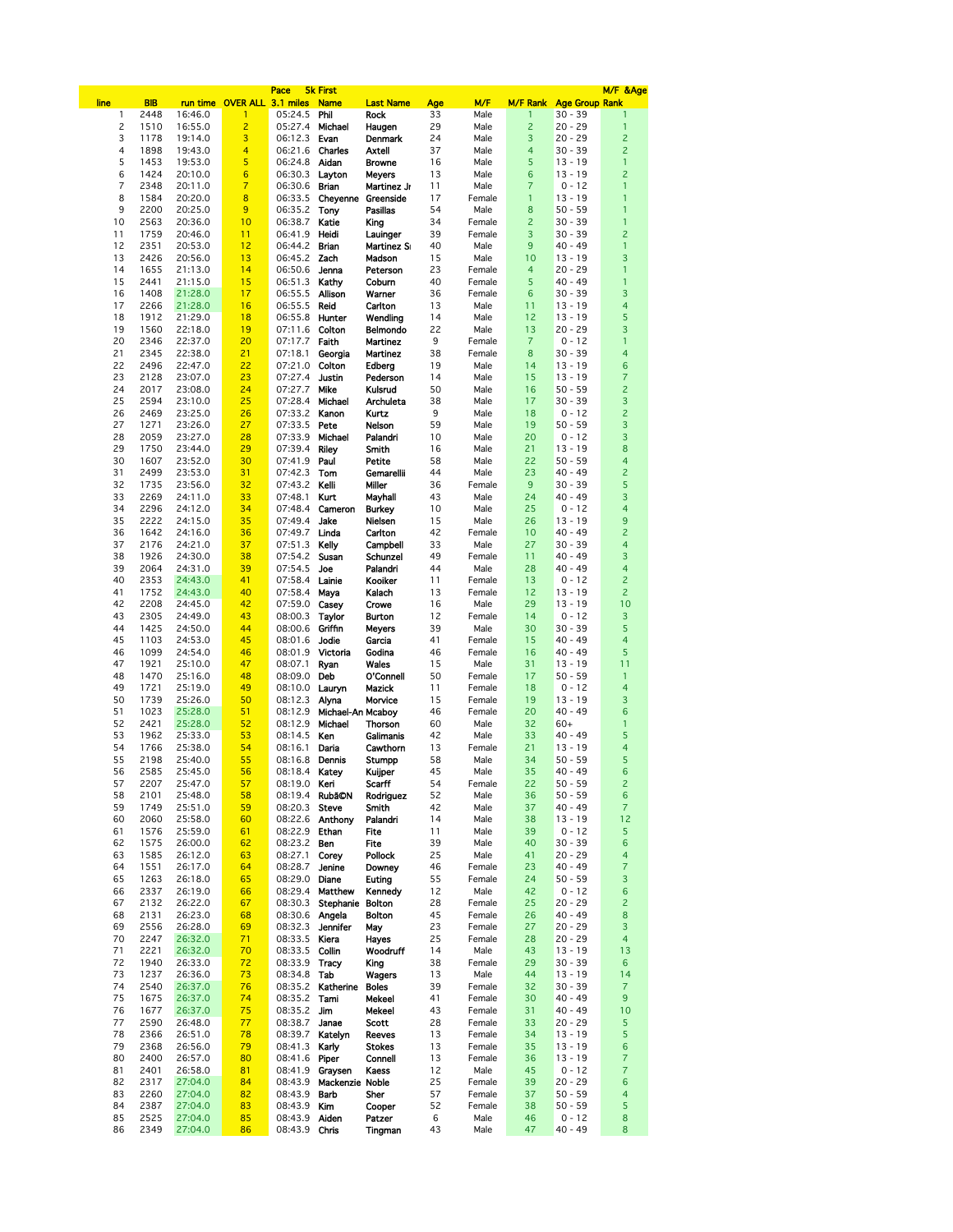|                     |              |                    |                             | Pace                     | <b>5k First</b>             |                         |          |                  |                      |                        | M/F &Age                |
|---------------------|--------------|--------------------|-----------------------------|--------------------------|-----------------------------|-------------------------|----------|------------------|----------------------|------------------------|-------------------------|
| line                | <b>BIB</b>   |                    | run time OVER ALL 3.1 miles |                          | <b>Name</b>                 | <b>Last Name</b>        | Age      | M/F              | <b>M/F Rank</b>      | <b>Age Group Rank</b>  |                         |
| 1<br>$\overline{c}$ | 2448         | 16:46.0<br>16:55.0 | 1<br>$\overline{c}$         | 05:24.5                  | Phil<br>Michael             | <b>Rock</b>             | 33<br>29 | Male             | 1<br>$\overline{c}$  | $30 - 39$<br>$20 - 29$ | 1<br>$\mathbf{1}$       |
| 3                   | 1510<br>1178 | 19:14.0            | 3                           | 05:27.4<br>06:12.3       | Evan                        | Haugen<br>Denmark       | 24       | Male<br>Male     | 3                    | $20 - 29$              | $\overline{c}$          |
| 4                   | 1898         | 19:43.0            | 4                           | 06:21.6                  | Charles                     | Axtell                  | 37       | Male             | 4                    | $30 - 39$              | $\overline{c}$          |
| 5                   | 1453         | 19:53.0            | 5                           | 06:24.8                  | Aidan                       | <b>Browne</b>           | 16       | Male             | 5                    | $13 - 19$              | 1                       |
| 6                   | 1424         | 20:10.0            | $6\phantom{1}$              | 06:30.3                  | Layton                      | <b>Meyers</b>           | 13       | Male             | 6                    | $13 - 19$              | $\overline{c}$          |
| 7                   | 2348         | 20:11.0            | $\overline{7}$              | 06:30.6                  | <b>Brian</b>                | Martinez Jr             | 11       | Male             | 7                    | $0 - 12$               | 1                       |
| 8                   | 1584         | 20:20.0            | 8                           | 06:33.5                  | <b>Cheyenne Greenside</b>   |                         | 17       | Female           | 1                    | $13 - 19$              | 1                       |
| 9                   | 2200         | 20:25.0            | 9                           | 06:35.2                  | Tony                        | Pasillas                | 54       | Male             | 8                    | $50 - 59$              | 1                       |
| 10                  | 2563         | 20:36.0            | 10                          | 06:38.7                  | Katie                       | King                    | 34       | Female           | $\overline{c}$       | $30 - 39$              | 1                       |
| 11                  | 1759         | 20:46.0            | 11                          | 06:41.9                  | Heidi                       | Lauinger                | 39       | Female           | 3                    | $30 - 39$              | $\overline{c}$          |
| 12                  | 2351         | 20:53.0            | 12                          | 06:44.2                  | Brian                       | <b>Martinez Si</b>      | 40       | Male             | 9                    | $40 - 49$              | 1                       |
| 13                  | 2426         | 20:56.0            | 13                          | 06:45.2                  | Zach                        | Madson                  | 15       | Male             | 10                   | $13 - 19$              | 3                       |
| 14                  | 1655         | 21:13.0            | 14                          | 06:50.6                  | Jenna                       | Peterson                | 23       | Female           | 4                    | $20 - 29$              | 1                       |
| 15<br>16            | 2441<br>1408 | 21:15.0            | 15<br>17                    | 06:51.3<br>06:55.5       | Kathy                       | Coburn                  | 40<br>36 | Female<br>Female | 5<br>$6\phantom{1}6$ | $40 - 49$<br>$30 - 39$ | 1<br>3                  |
| 17                  | 2266         | 21:28.0<br>21:28.0 | 16                          | 06:55.5                  | Allison<br>Reid             | Warner<br>Carlton       | 13       | Male             | 11                   | $13 - 19$              | 4                       |
| 18                  | 1912         | 21:29.0            | 18                          | 06:55.8                  | Hunter                      | Wendling                | 14       | Male             | 12                   | $13 - 19$              | 5                       |
| 19                  | 1560         | 22:18.0            | 19                          | 07:11.6                  | Colton                      | <b>Belmondo</b>         | 22       | Male             | 13                   | $20 - 29$              | 3                       |
| 20                  | 2346         | 22:37.0            | 20                          | 07:17.7                  | Faith                       | <b>Martinez</b>         | 9        | Female           | $\overline{7}$       | $0 - 12$               | $\mathbf{1}$            |
| 21                  | 2345         | 22:38.0            | 21                          | 07:18.1                  | Georgia                     | <b>Martinez</b>         | 38       | Female           | 8                    | $30 - 39$              | 4                       |
| 22                  | 2496         | 22:47.0            | 22                          | 07:21.0                  | Colton                      | Edberg                  | 19       | Male             | 14                   | $13 - 19$              | 6                       |
| 23                  | 2128         | 23:07.0            | 23                          | 07:27.4                  | Justin                      | Pederson                | 14       | Male             | 15                   | $13 - 19$              | 7                       |
| 24                  | 2017         | 23:08.0            | 24                          | 07:27.7                  | Mike                        | Kulsrud                 | 50       | Male             | 16                   | $50 - 59$              | $\overline{c}$          |
| 25                  | 2594         | 23:10.0            | 25                          | 07:28.4                  | Michael                     | Archuleta               | 38       | Male             | 17                   | $30 - 39$              | 3                       |
| 26                  | 2469         | 23:25.0            | 26                          | 07:33.2                  | Kanon                       | Kurtz                   | 9        | Male             | 18                   | $0 - 12$               | $\overline{c}$          |
| 27                  | 1271         | 23:26.0            | 27                          | 07:33.5                  | Pete                        | Nelson                  | 59       | Male             | 19                   | $50 - 59$              | 3                       |
| 28                  | 2059         | 23:27.0            | 28                          | 07:33.9                  | Michael                     | Palandri                | 10       | Male             | 20                   | $0 - 12$               | 3                       |
| 29<br>30            | 1750<br>1607 | 23:44.0<br>23:52.0 | 29<br>30                    | 07:39.4<br>07:41.9       | Riley<br>Paul               | Smith<br>Petite         | 16<br>58 | Male<br>Male     | 21<br>22             | $13 - 19$<br>$50 - 59$ | 8<br>4                  |
| 31                  | 2499         | 23:53.0            | 31                          | 07:42.3                  | Tom                         | Gemarellii              | 44       | Male             | 23                   | $40 - 49$              | $\overline{c}$          |
| 32                  | 1735         | 23:56.0            | 32                          | 07:43.2                  | Kelli                       | Miller                  | 36       | Female           | 9                    | $30 - 39$              | 5                       |
| 33                  | 2269         | 24:11.0            | 33                          | 07:48.1                  | Kurt                        | Mayhall                 | 43       | Male             | 24                   | $40 - 49$              | 3                       |
| 34                  | 2296         | 24:12.0            | 34                          | 07:48.4                  | Cameron                     | <b>Burkey</b>           | 10       | Male             | 25                   | $0 - 12$               | 4                       |
| 35                  | 2222         | 24:15.0            | 35                          | 07:49.4                  | Jake                        | Nielsen                 | 15       | Male             | 26                   | $13 - 19$              | 9                       |
| 36                  | 1642         | 24:16.0            | 36                          | 07:49.7                  | Linda                       | Carlton                 | 42       | Female           | 10                   | $40 - 49$              | $\overline{c}$          |
| 37                  | 2176         | 24:21.0            | 37                          | 07:51.3                  | Kelly                       | Campbell                | 33       | Male             | 27                   | $30 - 39$              | 4                       |
| 38                  | 1926         | 24:30.0            | 38                          | 07:54.2                  | Susan                       | Schunzel                | 49       | Female           | 11                   | $40 - 49$              | 3                       |
| 39                  | 2064         | 24:31.0            | 39                          | 07:54.5                  | Joe                         | Palandri                | 44       | Male             | 28                   | $40 - 49$              | 4                       |
| 40                  | 2353         | 24:43.0            | 41                          | 07:58.4                  | Lainie                      | Kooiker                 | 11       | Female           | 13                   | $0 - 12$               | $\overline{c}$          |
| 41                  | 1752         | 24:43.0            | 40                          | 07:58.4                  | Maya                        | Kalach                  | 13       | Female           | 12                   | $13 - 19$              | $\overline{c}$          |
| 42<br>43            | 2208<br>2305 | 24:45.0<br>24:49.0 | 42<br>43                    | 07:59.0                  | Casey                       | Crowe                   | 16<br>12 | Male<br>Female   | 29<br>14             | $13 - 19$<br>$0 - 12$  | 10<br>3                 |
| 44                  | 1425         | 24:50.0            | 44                          | 08:00.3<br>08:00.6       | Taylor<br>Griffin           | <b>Burton</b><br>Meyers | 39       | Male             | 30                   | $30 - 39$              | 5                       |
| 45                  | 1103         | 24:53.0            | 45                          | 08:01.6                  | Jodie                       | Garcia                  | 41       | Female           | 15                   | $40 - 49$              | 4                       |
| 46                  | 1099         | 24:54.0            | 46                          | 08:01.9                  | Victoria                    | Godina                  | 46       | Female           | 16                   | $40 - 49$              | 5                       |
| 47                  | 1921         | 25:10.0            | 47                          | 08:07.1                  | Ryan                        | Wales                   | 15       | Male             | 31                   | $13 - 19$              | 11                      |
| 48                  | 1470         | 25:16.0            | 48                          | 08:09.0                  | Deb                         | O'Connell               | 50       | Female           | 17                   | $50 - 59$              | 1                       |
| 49                  | 1721         | 25:19.0            | 49                          | 08:10.0                  | Laurvn                      | Mazick                  | 11       | Female           | 18                   | $0 - 12$               | 4                       |
| 50                  | 1739         | 25:26.0            | 50                          | 08:12.3                  | Alyna                       | Morvice                 | 15       | Female           | 19                   | $13 - 19$              | 3                       |
| 51                  | 1023         | 25:28.0            | 51                          | 08:12.9                  | Michael-An Mcabov           |                         | 46       | Female           | 20                   | $40 - 49$              | 6                       |
| 52                  | 2421         | 25:28.0            | 52                          | 08:12.9                  | Michael                     | <b>Thorson</b>          | 60       | Male             | 32                   | $60+$                  | 1                       |
| 53                  | 1962         | 25:33.0            | 53                          | 08:14.5                  | Ken                         | Galimanis               | 42       | Male             | 33                   | $40 - 49$              | 5                       |
| 54<br>55            | 1766<br>2198 | 25:38.0            | 54<br>55                    | 08:16.1                  | Daria                       | Cawthorn                | 13<br>58 | Female           | 21                   | $13 - 19$              | 4<br>5                  |
| 56                  | 2585         | 25:40.0<br>25:45.0 | 56                          | 08:16.8<br>08:18.4 Katey | Dennis                      | Stumpp<br>Kuijper       | 45       | Male<br>Male     | 34<br>35             | $50 - 59$<br>$40 - 49$ | 6                       |
| 57                  | 2207         | 25:47.0            | 57                          | 08:19.0 <b>Keri</b>      |                             | Scarff                  | 54       | Female           | 22                   | 50 - 59                | z                       |
| 58                  | 2101         | 25:48.0            | 58                          | 08:19.4 RubãON           |                             | Rodriguez               | 52       | Male             | 36                   | $50 - 59$              | 6                       |
| 59                  | 1749         | 25:51.0            | 59                          | 08:20.3                  | Steve                       | Smith                   | 42       | Male             | 37                   | $40 - 49$              | $\overline{7}$          |
| 60                  | 2060         | 25:58.0            | 60                          | 08:22.6                  | Anthony                     | Palandri                | 14       | Male             | 38                   | $13 - 19$              | 12                      |
| 61                  | 1576         | 25:59.0            | 61                          | 08:22.9 Ethan            |                             | Fite                    | 11       | Male             | 39                   | $0 - 12$               | 5                       |
| 62                  | 1575         | 26:00.0            | 62                          | 08:23.2 Ben              |                             | Fite                    | 39       | Male             | 40                   | $30 - 39$              | 6                       |
| 63                  | 1585         | 26:12.0            | 63                          | 08:27.1                  | Corey                       | <b>Pollock</b>          | 25       | Male             | 41                   | $20 - 29$              | 4                       |
| 64                  | 1551         | 26:17.0            | 64                          | 08:28.7                  | Jenine                      | Downey                  | 46       | Female           | 23                   | $40 - 49$              | 7                       |
| 65                  | 1263         | 26:18.0            | 65                          | 08:29.0 Diane            |                             | Euting                  | 55       | Female           | 24                   | $50 - 59$              | 3                       |
| 66<br>67            | 2337<br>2132 | 26:19.0<br>26:22.0 | 66<br>67                    | 08:29.4<br>08:30.3       | Matthew<br>Stephanie Bolton | Kennedy                 | 12<br>28 | Male<br>Female   | 42<br>25             | $0 - 12$<br>$20 - 29$  | 6<br>$\overline{c}$     |
| 68                  | 2131         | 26:23.0            | 68                          | 08:30.6 Angela           |                             | <b>Bolton</b>           | 45       | Female           | 26                   | $40 - 49$              | 8                       |
| 69                  | 2556         | 26:28.0            | 69                          | 08:32.3                  | Jennifer                    | May                     | 23       | Female           | 27                   | $20 - 29$              | 3                       |
| 70                  | 2247         | 26:32.0            | 71                          | 08:33.5 Kiera            |                             | Hayes                   | 25       | Female           | 28                   | $20 - 29$              | $\overline{\mathbf{4}}$ |
| 71                  | 2221         | 26:32.0            | 70                          | 08:33.5                  | Collin                      | Woodruff                | 14       | Male             | 43                   | $13 - 19$              | 13                      |
| 72                  | 1940         | 26:33.0            | 72                          | 08:33.9 Tracy            |                             | King                    | 38       | Female           | 29                   | $30 - 39$              | 6                       |
| 73                  | 1237         | 26:36.0            | 73                          | 08:34.8 Tab              |                             | Wagers                  | 13       | Male             | 44                   | $13 - 19$              | 14                      |
| 74                  | 2540         | 26:37.0            | 76                          | 08:35.2                  | Katherine                   | <b>Boles</b>            | 39       | Female           | 32                   | $30 - 39$              | $\overline{7}$          |
| 75                  | 1675         | 26:37.0            | 74                          | 08:35.2 Tami             |                             | Mekeel                  | 41       | Female           | 30                   | $40 - 49$              | 9                       |
| 76                  | 1677         | 26:37.0            | 75                          | 08:35.2                  | Jim                         | Mekeel                  | 43       | Female           | 31                   | $40 - 49$              | 10                      |
| 77                  | 2590         | 26:48.0            | 77                          | 08:38.7                  | Janae                       | Scott                   | 28       | Female           | 33                   | $20 - 29$              | 5<br>5                  |
| 78<br>79            | 2366<br>2368 | 26:51.0<br>26:56.0 | 78<br>79                    | 08:39.7<br>08:41.3       | Katelyn<br>Karly            | Reeves<br><b>Stokes</b> | 13<br>13 | Female<br>Female | 34<br>35             | $13 - 19$<br>$13 - 19$ | 6                       |
| 80                  | 2400         | 26:57.0            | 80                          | 08:41.6                  | Piper                       | Connell                 | 13       | Female           | 36                   | $13 - 19$              | 7                       |
| 81                  | 2401         | 26:58.0            | 81                          | 08:41.9                  | Graysen                     | Kaess                   | 12       | Male             | 45                   | $0 - 12$               | $\overline{7}$          |
| 82                  | 2317         | 27:04.0            | 84                          | 08:43.9                  | Mackenzie Noble             |                         | 25       | Female           | 39                   | $20 - 29$              | 6                       |
| 83                  | 2260         | 27:04.0            | 82                          | 08:43.9                  | Barb                        | Sher                    | 57       | Female           | 37                   | $50 - 59$              | 4                       |
| 84                  | 2387         | 27:04.0            | 83                          | 08:43.9                  | Kim                         | Cooper                  | 52       | Female           | 38                   | $50 - 59$              | 5                       |
| 85                  | 2525         | 27:04.0            | 85                          | 08:43.9                  | Aiden                       | Patzer                  | 6        | Male             | 46                   | $0 - 12$               | 8                       |
| 86                  | 2349         | 27:04.0            | 86                          | 08:43.9 Chris            |                             | Tingman                 | 43       | Male             | 47                   | 40 - 49                | 8                       |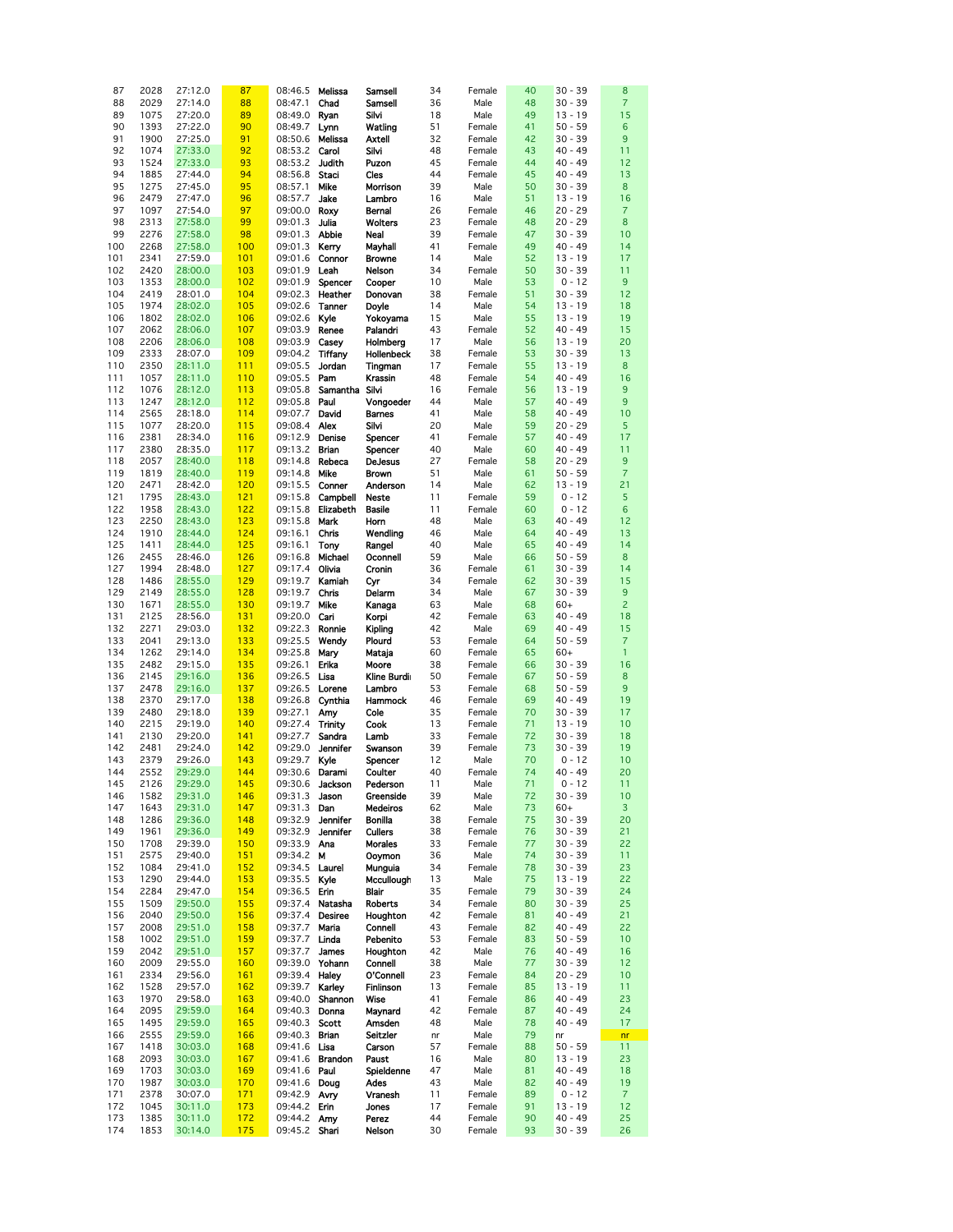| 87  | 2028 | 27:12.0 | 87  | 08:46.5        | Melissa         | Samsell           | 34 | Female | 40 | $30 - 39$ | 8               |
|-----|------|---------|-----|----------------|-----------------|-------------------|----|--------|----|-----------|-----------------|
|     |      |         |     |                |                 |                   |    |        |    |           |                 |
| 88  | 2029 | 27:14.0 | 88  | 08:47.1        | Chad            | Samsell           | 36 | Male   | 48 | $30 - 39$ | $\overline{7}$  |
| 89  | 1075 | 27:20.0 | 89  | 08:49.0        | Ryan            | Silvi             | 18 | Male   | 49 | $13 - 19$ | 15              |
| 90  | 1393 | 27:22.0 | 90  | 08:49.7        | Lynn            | Watling           | 51 | Female | 41 | $50 - 59$ | $6\phantom{1}6$ |
|     |      |         |     |                |                 |                   |    |        |    |           |                 |
| 91  | 1900 | 27:25.0 | 91  | 08:50.6        | Melissa         | <b>Axtell</b>     | 32 | Female | 42 | $30 - 39$ | 9               |
| 92  | 1074 | 27:33.0 | 92  | 08:53.2        | Carol           | Silvi             | 48 | Female | 43 | $40 - 49$ | 11              |
| 93  | 1524 | 27:33.0 | 93  | 08:53.2        | Judith          | Puzon             | 45 | Female | 44 | $40 - 49$ | 12              |
|     |      |         |     |                |                 |                   |    |        |    |           |                 |
| 94  | 1885 | 27:44.0 | 94  | 08:56.8        | Staci           | Cles              | 44 | Female | 45 | $40 - 49$ | 13              |
| 95  | 1275 | 27:45.0 | 95  | 08:57.1        | Mike            | Morrison          | 39 | Male   | 50 | $30 - 39$ | $\bf8$          |
| 96  | 2479 | 27:47.0 | 96  | 08:57.7        | Jake            | Lambro            | 16 | Male   | 51 | $13 - 19$ | 16              |
|     |      |         |     |                |                 |                   |    |        |    |           |                 |
| 97  | 1097 | 27:54.0 | 97  | 09:00.0 Roxy   |                 | <b>Bernal</b>     | 26 | Female | 46 | $20 - 29$ | $\overline{7}$  |
| 98  | 2313 | 27:58.0 | 99  | 09:01.3        | Julia           | Wolters           | 23 | Female | 48 | $20 - 29$ | 8               |
| 99  | 2276 | 27:58.0 | 98  | 09:01.3        | <b>Abbie</b>    | Neal              | 39 | Female | 47 | $30 - 39$ | 10              |
|     |      |         |     |                |                 |                   |    |        |    |           |                 |
| 100 | 2268 | 27:58.0 | 100 | 09:01.3        | Kerry           | Mavhall           | 41 | Female | 49 | $40 - 49$ | 14              |
| 101 | 2341 | 27:59.0 | 101 | 09:01.6        | Connor          | <b>Browne</b>     | 14 | Male   | 52 | $13 - 19$ | 17              |
| 102 | 2420 | 28:00.0 | 103 | 09:01.9        | Leah            | Nelson            | 34 | Female | 50 | $30 - 39$ | 11              |
| 103 | 1353 | 28:00.0 | 102 | 09:01.9        | Spencer         | Cooper            | 10 |        | 53 | $0 - 12$  | 9               |
|     |      |         |     |                |                 |                   |    | Male   |    |           |                 |
| 104 | 2419 | 28:01.0 | 104 | 09:02.3        | Heather         | Donovan           | 38 | Female | 51 | $30 - 39$ | 12              |
| 105 | 1974 | 28:02.0 | 105 | 09:02.6        | Tanner          | Doyle             | 14 | Male   | 54 | $13 - 19$ | 18              |
| 106 | 1802 | 28:02.0 | 106 | 09:02.6        | Kyle            | Yokoyama          | 15 | Male   | 55 | $13 - 19$ | 19              |
|     |      |         |     |                |                 |                   |    |        |    |           |                 |
| 107 | 2062 | 28:06.0 | 107 | 09:03.9        | Renee           | Palandri          | 43 | Female | 52 | $40 - 49$ | 15              |
| 108 | 2206 | 28:06.0 | 108 | 09:03.9        | Casey           | Holmberg          | 17 | Male   | 56 | $13 - 19$ | 20              |
| 109 | 2333 | 28:07.0 | 109 | 09:04.2        | Tiffany         | <b>Hollenbeck</b> | 38 | Female | 53 | $30 - 39$ | 13              |
|     | 2350 |         | 111 |                |                 |                   |    |        |    |           | $\bf{8}$        |
| 110 |      | 28:11.0 |     | 09:05.5        | Jordan          | Tingman           | 17 | Female | 55 | $13 - 19$ |                 |
| 111 | 1057 | 28:11.0 | 110 | 09:05.5        | Pam             | Krassin           | 48 | Female | 54 | $40 - 49$ | 16              |
| 112 | 1076 | 28:12.0 | 113 | 09:05.8        | Samantha Silvi  |                   | 16 | Female | 56 | $13 - 19$ | 9               |
| 113 | 1247 | 28:12.0 | 112 | 09:05.8        | Paul            | Vongoeder         | 44 | Male   | 57 | $40 - 49$ | 9               |
|     |      |         | 114 |                |                 |                   |    |        |    |           | 10              |
| 114 | 2565 | 28:18.0 |     | 09:07.7        | David           | <b>Barnes</b>     | 41 | Male   | 58 | $40 - 49$ |                 |
| 115 | 1077 | 28:20.0 | 115 | 09:08.4        | Alex            | Silvi             | 20 | Male   | 59 | $20 - 29$ | 5               |
| 116 | 2381 | 28:34.0 | 116 | 09:12.9        | Denise          | Spencer           | 41 | Female | 57 | $40 - 49$ | 17              |
| 117 | 2380 | 28:35.0 | 117 | 09:13.2        | <b>Brian</b>    | Spencer           | 40 | Male   | 60 | $40 - 49$ | 11              |
|     |      |         | 118 |                | Rebeca          |                   | 27 |        |    | $20 - 29$ | 9               |
| 118 | 2057 | 28:40.0 |     | 09:14.8        |                 | <b>DeJesus</b>    |    | Female | 58 |           |                 |
| 119 | 1819 | 28:40.0 | 119 | 09:14.8        | Mike            | <b>Brown</b>      | 51 | Male   | 61 | $50 - 59$ | $\overline{7}$  |
| 120 | 2471 | 28:42.0 | 120 | 09:15.5        | Conner          | Anderson          | 14 | Male   | 62 | $13 - 19$ | 21              |
| 121 | 1795 | 28:43.0 | 121 | 09:15.8        | Campbell        | Neste             | 11 | Female | 59 | $0 - 12$  | $\overline{5}$  |
|     | 1958 | 28:43.0 | 122 | 09:15.8        | Elizabeth       | <b>Basile</b>     | 11 |        | 60 | $0 - 12$  | $6\phantom{1}6$ |
| 122 |      |         |     |                |                 |                   |    | Female |    |           |                 |
| 123 | 2250 | 28:43.0 | 123 | 09:15.8        | Mark            | Horn              | 48 | Male   | 63 | $40 - 49$ | 12              |
| 124 | 1910 | 28:44.0 | 124 | 09:16.1        | Chris           | Wendling          | 46 | Male   | 64 | $40 - 49$ | 13              |
| 125 | 1411 | 28:44.0 | 125 | 09:16.1        | Tony            | Rangel            | 40 | Male   | 65 | $40 - 49$ | 14              |
| 126 | 2455 | 28:46.0 | 126 | 09:16.8        | Michael         | Oconnell          | 59 | Male   | 66 | $50 - 59$ | 8               |
|     |      |         |     |                |                 |                   |    |        |    |           |                 |
| 127 | 1994 | 28:48.0 | 127 | 09:17.4        | Olivia          | Cronin            | 36 | Female | 61 | $30 - 39$ | 14              |
| 128 | 1486 | 28:55.0 | 129 | 09:19.7        | Kamiah          | Cyr               | 34 | Female | 62 | $30 - 39$ | 15              |
| 129 | 2149 | 28:55.0 | 128 | 09:19.7        | Chris           | Delarm            | 34 | Male   | 67 | $30 - 39$ | $9\,$           |
| 130 | 1671 | 28:55.0 | 130 | 09:19.7        | Mike            | Kanaga            | 63 | Male   | 68 | $60+$     | $\overline{c}$  |
|     |      |         |     |                |                 |                   |    |        |    |           |                 |
| 131 | 2125 | 28:56.0 | 131 | 09:20.0        | Cari            | Korpi             | 42 | Female | 63 | $40 - 49$ | 18              |
| 132 | 2271 | 29:03.0 | 132 | 09:22.3        | Ronnie          | <b>Kipling</b>    | 42 | Male   | 69 | $40 - 49$ | 15              |
| 133 | 2041 | 29:13.0 | 133 | 09:25.5        | Wendy           | Plourd            | 53 | Female | 64 | $50 - 59$ | $\overline{7}$  |
| 134 | 1262 | 29:14.0 | 134 | 09:25.8        | Mary            | Mataja            | 60 | Female | 65 | $60+$     | $\mathbf{1}$    |
|     |      |         |     |                |                 |                   |    |        |    |           |                 |
| 135 | 2482 | 29:15.0 | 135 | 09:26.1        | Erika           | Moore             | 38 | Female | 66 | $30 - 39$ | 16              |
| 136 | 2145 | 29:16.0 | 136 | 09:26.5        | Lisa            | Kline Burdi       | 50 | Female | 67 | $50 - 59$ | 8               |
| 137 | 2478 | 29:16.0 | 137 | 09:26.5        | Lorene          | Lambro            | 53 | Female | 68 | $50 - 59$ | 9               |
| 138 | 2370 | 29:17.0 | 138 | 09:26.8        | Cynthia         | <b>Hammock</b>    | 46 | Female | 69 | $40 - 49$ | 19              |
| 139 | 2480 |         | 139 |                |                 |                   | 35 | Female | 70 | $30 - 39$ | 17              |
|     |      | 29:18.0 |     | 09:27.1        | Amy             | Cole              |    |        |    |           |                 |
| 140 | 2215 | 29:19.0 | 140 | 09:27.4        | <b>Trinity</b>  | Cook              | 13 | Female | 71 | $13 - 19$ | 10              |
| 141 | 2130 | 29:20.0 | 141 | 09:27.7        | Sandra          | Lamb              | 33 | Female | 72 | $30 - 39$ | 18              |
| 142 | 2481 | 29:24.0 | 142 | 09:29.0        | <b>Jennifer</b> | Swanson           | 39 | Female | 73 | $30 - 39$ | 19              |
| 143 | 2379 | 29:26.0 | 143 | 09:29.7 Kyle   |                 |                   | 12 | Male   | 70 | $0 - 12$  | 10              |
|     |      |         |     |                |                 | Spencer           |    |        |    |           |                 |
| 144 | 2552 | 29:29.0 | 144 | 09:30.6 Darami |                 | Coulter           | 40 | Female | 74 | $40 - 49$ | 20              |
| 145 | 2126 | 29:29.0 | 145 |                | 09:30.6 Jackson | Pederson          | 11 | Male   | 71 | $0 - 12$  | 11              |
| 146 | 1582 | 29:31.0 | 146 | 09:31.3        | Jason           | Greenside         | 39 | Male   | 72 | $30 - 39$ | 10              |
| 147 | 1643 | 29:31.0 | 147 | 09:31.3        | Dan             | Medeiros          | 62 | Male   | 73 | $60+$     | $\mathbf{3}$    |
| 148 |      |         | 148 | 09:32.9        |                 | <b>Bonilla</b>    |    |        |    | $30 - 39$ | 20              |
|     | 1286 | 29:36.0 |     |                | <b>Jennifer</b> |                   | 38 | Female | 75 |           |                 |
| 149 | 1961 | 29:36.0 | 149 | 09:32.9        | Jennifer        | <b>Cullers</b>    | 38 | Female | 76 | $30 - 39$ | 21              |
| 150 | 1708 | 29:39.0 | 150 | 09:33.9        | Ana             | <b>Morales</b>    | 33 | Female | 77 | $30 - 39$ | 22              |
| 151 | 2575 | 29:40.0 | 151 | 09:34.2        | М               | <b>Ooymon</b>     | 36 | Male   | 74 | $30 - 39$ | 11              |
| 152 | 1084 | 29:41.0 | 152 | 09:34.5        | Laurel          | Munguia           | 34 | Female | 78 | $30 - 39$ | 23              |
|     |      |         |     |                |                 |                   |    |        |    |           |                 |
| 153 | 1290 | 29:44.0 | 153 | 09:35.5        | Kyle            | Mccullough        | 13 | Male   | 75 | $13 - 19$ | 22              |
| 154 | 2284 | 29:47.0 | 154 | 09:36.5        | Erin            | Blair             | 35 | Female | 79 | $30 - 39$ | 24              |
| 155 | 1509 | 29:50.0 | 155 | 09:37.4        | Natasha         | <b>Roberts</b>    | 34 | Female | 80 | $30 - 39$ | 25              |
| 156 | 2040 | 29:50.0 | 156 | 09:37.4        | <b>Desiree</b>  | Houghton          | 42 | Female | 81 | $40 - 49$ | 21              |
|     |      |         |     |                |                 |                   |    |        |    |           |                 |
| 157 | 2008 | 29:51.0 | 158 | 09:37.7        | Maria           | Connell           | 43 | Female | 82 | $40 - 49$ | 22              |
| 158 | 1002 | 29:51.0 | 159 | 09:37.7        | Linda           | Pebenito          | 53 | Female | 83 | $50 - 59$ | 10              |
| 159 | 2042 | 29:51.0 | 157 | 09:37.7        | James           | Houghton          | 42 | Male   | 76 | $40 - 49$ | 16              |
| 160 | 2009 | 29:55.0 | 160 | 09:39.0        | Yohann          | Connell           | 38 | Male   | 77 | $30 - 39$ | 12              |
| 161 | 2334 | 29:56.0 | 161 | 09:39.4 Haley  |                 | O'Connell         | 23 | Female | 84 | $20 - 29$ | 10              |
|     |      |         |     |                |                 |                   |    |        |    |           |                 |
| 162 | 1528 | 29:57.0 | 162 | 09:39.7        | Karley          | Finlinson         | 13 | Female | 85 | $13 - 19$ | 11              |
| 163 | 1970 | 29:58.0 | 163 | 09:40.0        | Shannon         | Wise              | 41 | Female | 86 | $40 - 49$ | 23              |
| 164 | 2095 | 29:59.0 | 164 | 09:40.3        | Donna           | Maynard           | 42 | Female | 87 | $40 - 49$ | 24              |
| 165 | 1495 | 29:59.0 | 165 | 09:40.3        | Scott           | Amsden            | 48 | Male   | 78 | $40 - 49$ | 17              |
| 166 | 2555 | 29:59.0 | 166 | 09:40.3        | <b>Brian</b>    | Seitzler          |    | Male   | 79 | nr        |                 |
|     |      |         |     |                |                 |                   | nr |        |    |           | nr              |
| 167 | 1418 | 30:03.0 | 168 | 09:41.6 Lisa   |                 | Carson            | 57 | Female | 88 | $50 - 59$ | 11              |
| 168 | 2093 | 30:03.0 | 167 | 09:41.6        | Brandon         | Paust             | 16 | Male   | 80 | $13 - 19$ | 23              |
| 169 | 1703 | 30:03.0 | 169 | 09:41.6 Paul   |                 | Spieldenne        | 47 | Male   | 81 | 40 - 49   | 18              |
| 170 | 1987 | 30:03.0 | 170 | 09:41.6 Doug   |                 | Ades              | 43 | Male   | 82 | $40 - 49$ | 19              |
| 171 | 2378 | 30:07.0 | 171 | 09:42.9        | Avry            | Vranesh           | 11 | Female | 89 | $0 - 12$  | $\overline{7}$  |
|     |      |         |     |                |                 |                   |    |        |    |           |                 |
| 172 | 1045 | 30:11.0 | 173 | 09:44.2        | Erin            | Jones             | 17 | Female | 91 | $13 - 19$ | 12              |
| 173 | 1385 | 30:11.0 | 172 | 09:44.2 Amy    |                 | Perez             | 44 | Female | 90 | 40 - 49   | 25              |
| 174 | 1853 | 30:14.0 | 175 | 09:45.2 Shari  |                 | Nelson            | 30 | Female | 93 | $30 - 39$ | 26              |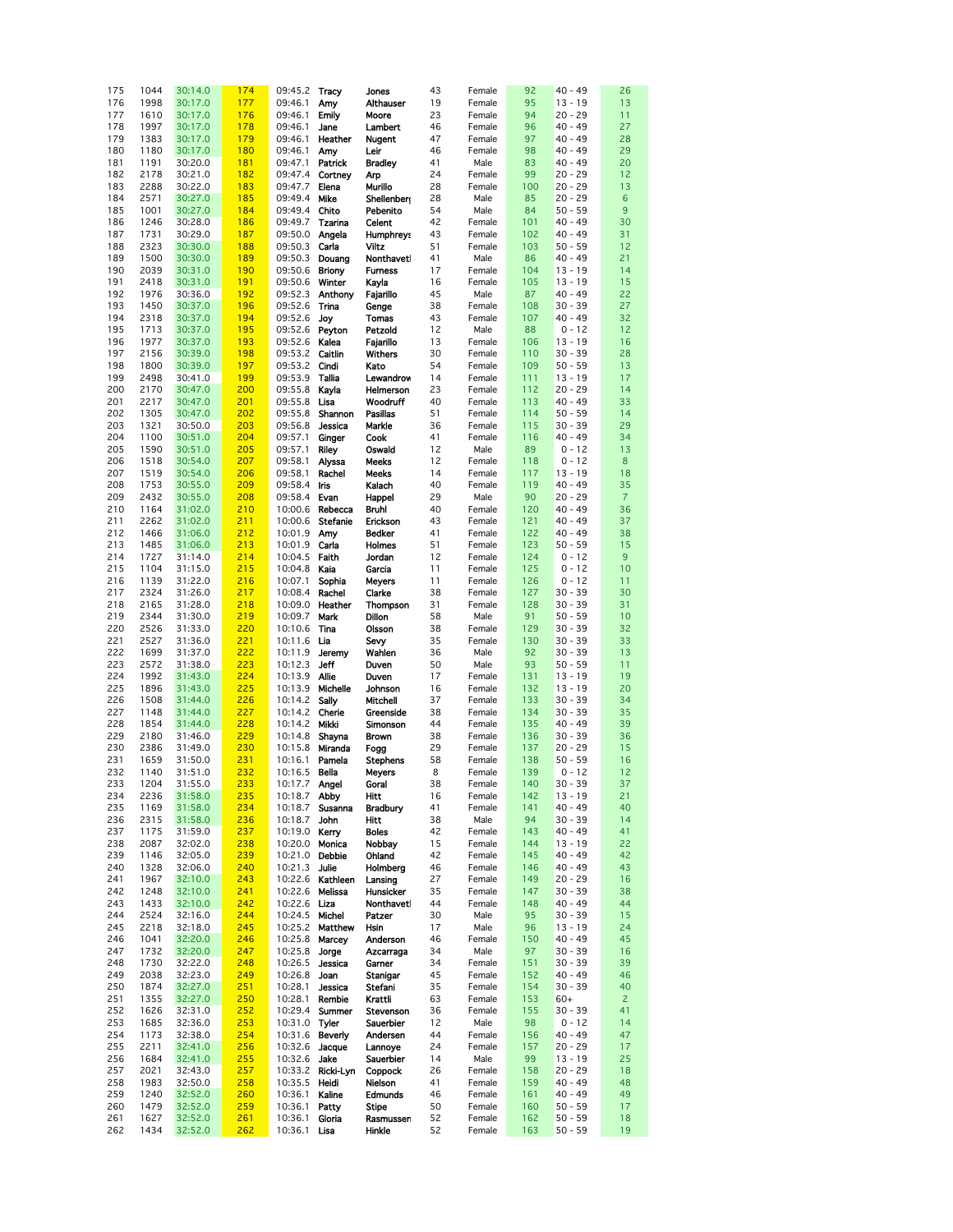| 175 | 1044 | 30:14.0 | 174 | 09:45.2         | Tracy             | Jones            | 43 | Female | 92  | $40 - 49$ | 26             |
|-----|------|---------|-----|-----------------|-------------------|------------------|----|--------|-----|-----------|----------------|
|     |      |         |     |                 |                   |                  |    |        |     |           |                |
| 176 | 1998 | 30:17.0 | 177 | 09:46.1         | Amy               | Althauser        | 19 | Female | 95  | $13 - 19$ | 13             |
| 177 | 1610 | 30:17.0 | 176 | 09:46.1         | <b>Emily</b>      | Moore            | 23 | Female | 94  | $20 - 29$ | 11             |
| 178 | 1997 | 30:17.0 | 178 | 09:46.1         | Jane              |                  | 46 | Female | 96  | $40 - 49$ | 27             |
|     |      |         |     |                 |                   | Lambert          |    |        |     |           |                |
| 179 | 1383 | 30:17.0 | 179 | 09:46.1         | Heather           | <b>Nugent</b>    | 47 | Female | 97  | 40 - 49   | 28             |
| 180 | 1180 | 30:17.0 | 180 | 09:46.1         | Amy               | Leir             | 46 | Female | 98  | 40 - 49   | 29             |
|     |      |         |     |                 |                   |                  |    |        |     |           |                |
| 181 | 1191 | 30:20.0 | 181 | 09:47.1         | Patrick           | <b>Bradley</b>   | 41 | Male   | 83  | $40 - 49$ | 20             |
| 182 | 2178 | 30:21.0 | 182 |                 | 09:47.4 Cortney   | Arp              | 24 | Female | 99  | $20 - 29$ | 12             |
| 183 | 2288 | 30:22.0 | 183 | 09:47.7         | Elena             | Murillo          | 28 | Female | 100 | $20 - 29$ | 13             |
|     |      |         |     |                 |                   |                  |    |        |     |           |                |
| 184 | 2571 | 30:27.0 | 185 | 09:49.4         | Mike              | Shellenbert      | 28 | Male   | 85  | $20 - 29$ | 6              |
| 185 | 1001 | 30:27.0 | 184 | 09:49.4 Chito   |                   | Pebenito         | 54 | Male   | 84  | $50 - 59$ | 9              |
| 186 | 1246 | 30:28.0 | 186 | 09:49.7         | <b>Tzarina</b>    | Celent           | 42 | Female | 101 | 40 - 49   | 30             |
|     |      |         |     |                 |                   |                  |    |        |     |           |                |
| 187 | 1731 | 30:29.0 | 187 | 09:50.0         | Angela            | <b>Humphreys</b> | 43 | Female | 102 | $40 - 49$ | 31             |
| 188 | 2323 | 30:30.0 | 188 | 09:50.3         | Carla             | Viltz            | 51 | Female | 103 | $50 - 59$ | 12             |
|     |      | 30:30.0 |     |                 |                   |                  | 41 |        |     |           |                |
| 189 | 1500 |         | 189 | 09:50.3         | Douang            | Nonthaveti       |    | Male   | 86  | $40 - 49$ | 21             |
| 190 | 2039 | 30:31.0 | 190 | 09:50.6 Briony  |                   | <b>Furness</b>   | 17 | Female | 104 | $13 - 19$ | 14             |
| 191 | 2418 | 30:31.0 | 191 | 09:50.6         | Winter            | Kayla            | 16 | Female | 105 | $13 - 19$ | 15             |
|     |      |         |     |                 |                   |                  |    |        |     |           |                |
| 192 | 1976 | 30:36.0 | 192 | 09:52.3         | Anthony           | Fajarillo        | 45 | Male   | 87  | 40 - 49   | 22             |
| 193 | 1450 | 30:37.0 | 196 | 09:52.6         | Trina             | Genge            | 38 | Female | 108 | $30 - 39$ | 27             |
| 194 | 2318 | 30:37.0 | 194 | 09:52.6         | Joy               | Tomas            | 43 | Female | 107 | 40 - 49   | 32             |
|     |      |         |     |                 |                   |                  |    |        |     |           |                |
| 195 | 1713 | 30:37.0 | 195 | 09:52.6         | Peyton            | Petzold          | 12 | Male   | 88  | $0 - 12$  | 12             |
| 196 | 1977 | 30:37.0 | 193 | 09:52.6         | Kalea             | Fajarillo        | 13 | Female | 106 | $13 - 19$ | 16             |
| 197 | 2156 | 30:39.0 | 198 | 09:53.2         | Caitlin           | <b>Withers</b>   | 30 | Female | 110 | $30 - 39$ | 28             |
|     |      |         |     |                 |                   |                  |    |        |     |           |                |
| 198 | 1800 | 30:39.0 | 197 | 09:53.2         | Cindi             | Kato             | 54 | Female | 109 | $50 - 59$ | 13             |
| 199 | 2498 | 30:41.0 | 199 | 09:53.9         | Tallia            | Lewandrow        | 14 | Female | 111 | $13 - 19$ | 17             |
| 200 | 2170 | 30:47.0 | 200 | 09:55.8         | Kayla             | Helmerson        | 23 | Female | 112 | $20 - 29$ | 14             |
|     |      |         |     |                 |                   |                  |    |        |     |           |                |
| 201 | 2217 | 30:47.0 | 201 | 09:55.8         | Lisa              | <b>Woodruff</b>  | 40 | Female | 113 | $40 - 49$ | 33             |
| 202 | 1305 | 30:47.0 | 202 | 09:55.8         | Shannon           | <b>Pasillas</b>  | 51 | Female | 114 | $50 - 59$ | 14             |
| 203 | 1321 | 30:50.0 | 203 | 09:56.8         | Jessica           | Markle           | 36 |        | 115 | $30 - 39$ | 29             |
|     |      |         |     |                 |                   |                  |    | Female |     |           |                |
| 204 | 1100 | 30:51.0 | 204 | 09:57.1         | Ginger            | Cook             | 41 | Female | 116 | 40 - 49   | 34             |
| 205 | 1590 | 30:51.0 | 205 | 09:57.1         | <b>Riley</b>      | Oswald           | 12 | Male   | 89  | $0 - 12$  | 13             |
|     |      |         |     |                 |                   |                  |    |        |     |           |                |
| 206 | 1518 | 30:54.0 | 207 | 09:58.1         | Alyssa            | <b>Meeks</b>     | 12 | Female | 118 | $0 - 12$  | 8              |
| 207 | 1519 | 30:54.0 | 206 | 09:58.1         | Rachel            | Meeks            | 14 | Female | 117 | $13 - 19$ | 18             |
| 208 | 1753 | 30:55.0 | 209 | 09:58.4         | Iris              | Kalach           | 40 | Female | 119 | $40 - 49$ | 35             |
|     |      |         |     |                 |                   |                  |    |        |     |           |                |
| 209 | 2432 | 30:55.0 | 208 | 09:58.4         | Evan              | Happel           | 29 | Male   | 90  | $20 - 29$ | $\overline{7}$ |
| 210 | 1164 | 31:02.0 | 210 | 10:00.6         | Rebecca           | Bruhl            | 40 | Female | 120 | $40 - 49$ | 36             |
| 211 | 2262 | 31:02.0 | 211 | 10:00.6         | <b>Stefanie</b>   | Erickson         | 43 | Female | 121 | 40 - 49   | 37             |
|     |      |         |     |                 |                   |                  |    |        |     |           |                |
| 212 | 1466 | 31:06.0 | 212 | 10:01.9         | Amy               | <b>Bedker</b>    | 41 | Female | 122 | $40 - 49$ | 38             |
| 213 | 1485 | 31:06.0 | 213 | 10:01.9         | Carla             | Holmes           | 51 | Female | 123 | $50 - 59$ | 15             |
| 214 | 1727 | 31:14.0 | 214 | 10:04.5 Faith   |                   | Jordan           | 12 | Female | 124 | $0 - 12$  | 9              |
|     |      |         |     |                 |                   |                  |    |        |     |           |                |
| 215 | 1104 | 31:15.0 | 215 | 10:04.8         | Kaia              | Garcia           | 11 | Female | 125 | $0 - 12$  | 10             |
| 216 | 1139 | 31:22.0 | 216 | 10:07.1         | Sophia            | <b>Meyers</b>    | 11 | Female | 126 | $0 - 12$  | 11             |
| 217 | 2324 | 31:26.0 | 217 | 10:08.4         | Rachel            | Clarke           | 38 | Female | 127 | $30 - 39$ | 30             |
|     |      |         |     |                 |                   |                  |    |        |     |           |                |
| 218 | 2165 | 31:28.0 | 218 | 10:09.0         | Heather           | <b>Thompson</b>  | 31 | Female | 128 | $30 - 39$ | 31             |
| 219 | 2344 | 31:30.0 | 219 | 10:09.7         | Mark              | Dillon           | 58 | Male   | 91  | $50 - 59$ | 10             |
| 220 | 2526 | 31:33.0 | 220 | 10:10.6         | Tina              | Olsson           | 38 | Female | 129 | $30 - 39$ | 32             |
|     |      |         |     |                 |                   |                  |    |        |     |           |                |
| 221 | 2527 | 31:36.0 | 221 | 10:11.6         | Lia               | Sevy             | 35 | Female | 130 | $30 - 39$ | 33             |
| 222 | 1699 | 31:37.0 | 222 | 10:11.9         | Jeremy            | Wahlen           | 36 | Male   | 92  | $30 - 39$ | 13             |
| 223 | 2572 | 31:38.0 | 223 | 10:12.3         | Jeff              | Duven            | 50 | Male   | 93  | $50 - 59$ | 11             |
|     |      |         |     |                 |                   |                  |    |        |     |           |                |
| 224 | 1992 | 31:43.0 | 224 | 10:13.9         | <b>Allie</b>      | Duven            | 17 | Female | 131 | $13 - 19$ | 19             |
| 225 | 1896 | 31:43.0 | 225 | 10:13.9         | Michelle          | Johnson          | 16 | Female | 132 | $13 - 19$ | 20             |
| 226 | 1508 | 31:44.0 | 226 | 10:14.2         | Sally             | <b>Mitchell</b>  | 37 | Female | 133 | $30 - 39$ | 34             |
|     |      |         |     |                 |                   |                  |    |        |     |           |                |
| 227 | 1148 | 31:44.0 | 227 | 10:14.2         | Cherie            | Greenside        | 38 | Female | 134 | $30 - 39$ | 35             |
| 228 | 1854 | 31:44.0 | 228 | 10:14.2         | Mikki             | Simonson         | 44 | Female | 135 | $40 - 49$ | 39             |
| 229 | 2180 | 31:46.0 | 229 | 10:14.8         | Shayna            | <b>Brown</b>     | 38 | Female | 136 | $30 - 39$ | 36             |
|     |      |         |     |                 |                   |                  |    |        |     |           |                |
| 230 | 2386 | 31:49.0 | 230 | 10:15.8         | Miranda           | Fogg             | 29 | Female | 137 | $20 - 29$ | 15             |
| 231 | 1659 | 31:50.0 | 231 | 10:16.1         | Pamela            | <b>Stephens</b>  | 58 | Female | 138 | $50 - 59$ | 16             |
| 232 | 1140 | 31:51.0 | 232 | 10:16.5 Bella   |                   | <b>Meyers</b>    | 8  | Female | 139 | $0 - 12$  | 12             |
|     |      |         |     |                 |                   |                  |    |        |     |           |                |
| 233 | 1204 | 31:55.0 | 233 | 10:17.7 Angel   |                   | Goral            | 38 | Female | 140 | $30 - 39$ | 37             |
| 234 | 2236 | 31:58.0 | 235 | 10:18.7 Abby    |                   | Hitt             | 16 | Female | 142 | $13 - 19$ | 21             |
| 235 | 1169 | 31:58.0 | 234 | 10:18.7         | Susanna           | <b>Bradbury</b>  | 41 | Female | 141 | $40 - 49$ | 40             |
|     |      |         |     |                 |                   |                  |    |        |     |           |                |
| 236 | 2315 | 31:58.0 | 236 | 10:18.7         | John              | Hitt             | 38 | Male   | 94  | $30 - 39$ | 14             |
| 237 | 1175 | 31:59.0 | 237 | 10:19.0         | Kerry             | <b>Boles</b>     | 42 | Female | 143 | 40 - 49   | 41             |
| 238 | 2087 | 32:02.0 | 238 | 10:20.0 Monica  |                   | Nobbay           | 15 | Female | 144 | $13 - 19$ | 22             |
| 239 | 1146 | 32:05.0 | 239 | 10:21.0 Debbie  |                   | Ohland           | 42 | Female | 145 | $40 - 49$ | 42             |
|     |      |         |     |                 |                   |                  |    |        |     |           |                |
| 240 | 1328 | 32:06.0 | 240 | 10:21.3         | Julie             | Holmberg         | 46 | Female | 146 | $40 - 49$ | 43             |
| 241 | 1967 | 32:10.0 | 243 |                 | 10:22.6 Kathleen  | Lansing          | 27 | Female | 149 | $20 - 29$ | 16             |
| 242 | 1248 | 32:10.0 | 241 | 10:22.6 Melissa |                   | Hunsicker        | 35 | Female | 147 | $30 - 39$ | 38             |
|     |      |         |     |                 |                   |                  |    |        |     |           |                |
| 243 | 1433 | 32:10.0 | 242 | 10:22.6 Liza    |                   | Nonthaveti       | 44 | Female | 148 | $40 - 49$ | 44             |
| 244 | 2524 | 32:16.0 | 244 | 10:24.5         | Michel            | Patzer           | 30 | Male   | 95  | $30 - 39$ | 15             |
| 245 | 2218 | 32:18.0 | 245 |                 | 10:25.2 Matthew   | Hsin             | 17 | Male   | 96  | $13 - 19$ | 24             |
|     |      |         |     |                 |                   |                  |    |        |     |           |                |
| 246 | 1041 | 32:20.0 | 246 | 10:25.8         | Marcey            | Anderson         | 46 | Female | 150 | 40 - 49   | 45             |
| 247 | 1732 | 32:20.0 | 247 | 10:25.8         | Jorge             | Azcarraga        | 34 | Male   | 97  | $30 - 39$ | 16             |
| 248 | 1730 | 32:22.0 | 248 | 10:26.5         | Jessica           | Garner           | 34 | Female | 151 | $30 - 39$ | 39             |
|     |      |         |     |                 |                   |                  |    |        |     |           |                |
| 249 | 2038 | 32:23.0 | 249 | 10:26.8         | Joan              | Stanigar         | 45 | Female | 152 | $40 - 49$ | 46             |
| 250 | 1874 | 32:27.0 | 251 | 10:28.1         | Jessica           | Stefani          | 35 | Female | 154 | $30 - 39$ | 40             |
| 251 | 1355 | 32:27.0 | 250 | 10:28.1         | Rembie            | Krattli          | 63 | Female | 153 | $60+$     | $\overline{c}$ |
|     |      |         |     |                 |                   |                  |    |        |     |           |                |
| 252 | 1626 | 32:31.0 | 252 | 10:29.4         | Summer            | Stevenson        | 36 | Female | 155 | $30 - 39$ | 41             |
| 253 | 1685 | 32:36.0 | 253 | 10:31.0         | Tyler             | Sauerbier        | 12 | Male   | 98  | $0 - 12$  | 14             |
| 254 | 1173 | 32:38.0 | 254 | 10:31.6         | Beverly           | Andersen         | 44 | Female | 156 | 40 - 49   | 47             |
| 255 | 2211 | 32:41.0 | 256 | 10:32.6         | Jacque            | Lannoye          | 24 | Female | 157 | 20 - 29   | 17             |
|     |      |         |     |                 |                   |                  |    |        |     |           |                |
| 256 | 1684 | 32:41.0 | 255 | 10:32.6 Jake    |                   | Sauerbier        | 14 | Male   | 99  | $13 - 19$ | 25             |
| 257 | 2021 | 32:43.0 | 257 |                 | 10:33.2 Ricki-Lyn | Coppock          | 26 | Female | 158 | $20 - 29$ | 18             |
| 258 | 1983 | 32:50.0 | 258 | 10:35.5         | Heidi             | Nielson          |    |        | 159 | $40 - 49$ | 48             |
|     |      |         |     |                 |                   |                  | 41 | Female |     |           |                |
| 259 | 1240 | 32:52.0 | 260 | 10:36.1         | Kaline            | Edmunds          | 46 | Female | 161 | 40 - 49   | 49             |
| 260 | 1479 | 32:52.0 | 259 | 10:36.1         | Patty             | <b>Stipe</b>     | 50 | Female | 160 | $50 - 59$ | 17             |
| 261 | 1627 | 32:52.0 | 261 | 10:36.1         | Gloria            | Rasmussen        | 52 | Female | 162 | $50 - 59$ | 18             |
| 262 | 1434 |         | 262 | 10:36.1 Lisa    |                   | Hinkle           | 52 |        | 163 | $50 - 59$ | 19             |
|     |      | 32:52.0 |     |                 |                   |                  |    | Female |     |           |                |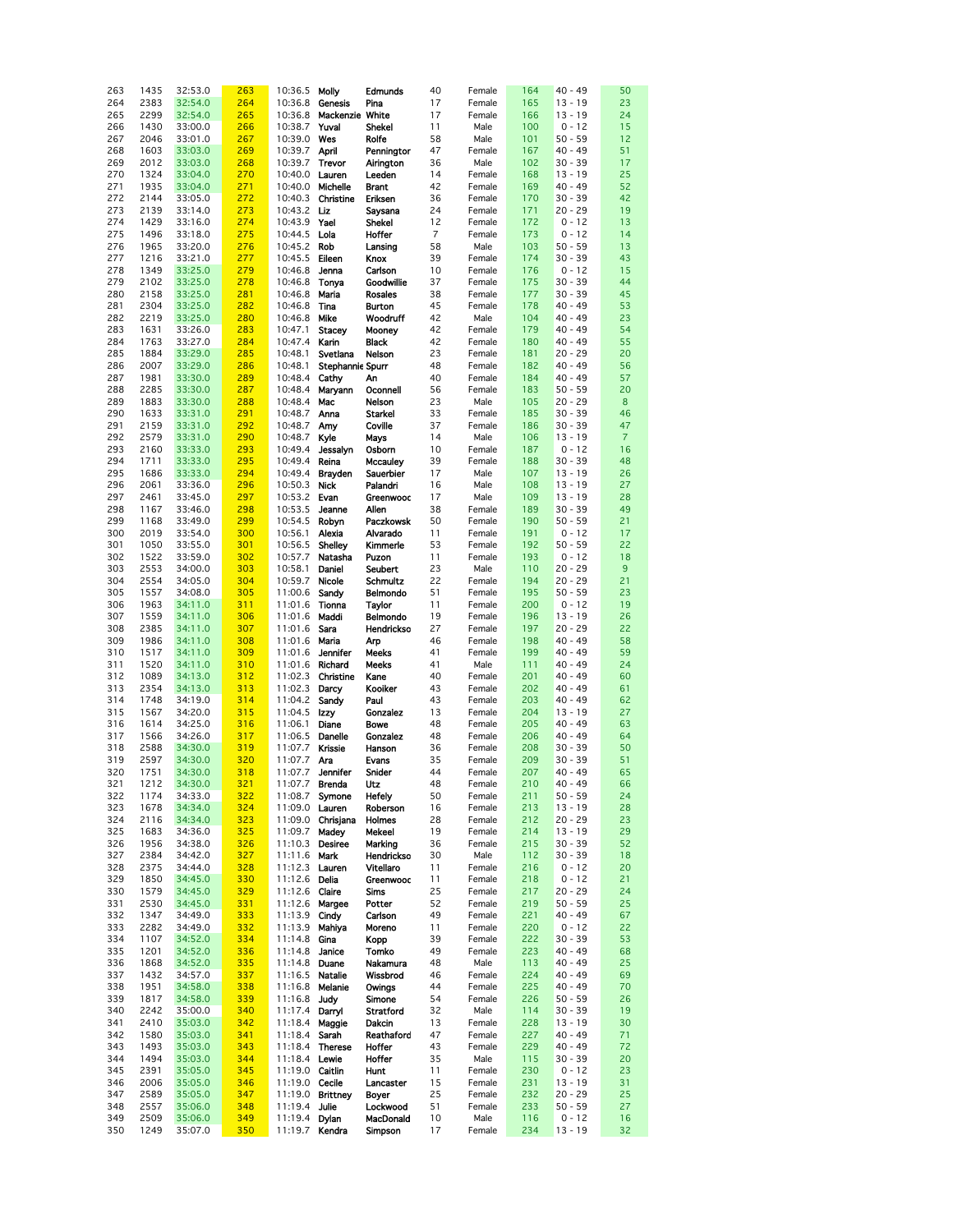| 263 | 1435 | 32:53.0 | 263 | 10:36.5        | Molly            | Edmunds         | 40             | Female | 164 | $40 - 49$ | 50             |
|-----|------|---------|-----|----------------|------------------|-----------------|----------------|--------|-----|-----------|----------------|
| 264 | 2383 | 32:54.0 | 264 | 10:36.8        | Genesis          | Pina            | 17             | Female | 165 | $13 - 19$ | 23             |
|     |      |         |     |                | Mackenzie White  |                 |                |        |     |           |                |
| 265 | 2299 | 32:54.0 | 265 | 10:36.8        |                  |                 | 17             | Female | 166 | $13 - 19$ | 24             |
| 266 | 1430 | 33:00.0 | 266 | 10:38.7        | Yuval            | Shekel          | 11             | Male   | 100 | $0 - 12$  | 15             |
| 267 | 2046 | 33:01.0 | 267 | 10:39.0        | Wes              | Rolfe           | 58             | Male   | 101 | $50 - 59$ | 12             |
| 268 | 1603 | 33:03.0 | 269 | 10:39.7        | April            | Pennington      | 47             | Female | 167 | $40 - 49$ | 51             |
| 269 | 2012 | 33:03.0 | 268 | 10:39.7        | Trevor           | Airington       | 36             | Male   | 102 | $30 - 39$ | 17             |
| 270 | 1324 | 33:04.0 | 270 | 10:40.0        | Lauren           | Leeden          | 14             | Female | 168 | $13 - 19$ | 25             |
| 271 | 1935 | 33:04.0 | 271 | 10:40.0        | Michelle         | <b>Brant</b>    | 42             | Female | 169 | $40 - 49$ | 52             |
|     |      |         |     | 10:40.3        |                  |                 |                |        |     |           |                |
| 272 | 2144 | 33:05.0 | 272 |                | Christine        | Eriksen         | 36             | Female | 170 | $30 - 39$ | 42             |
| 273 | 2139 | 33:14.0 | 273 | 10:43.2        | Liz              | Saysana         | 24             | Female | 171 | $20 - 29$ | 19             |
| 274 | 1429 | 33:16.0 | 274 | 10:43.9        | Yael             | Shekel          | 12             | Female | 172 | $0 - 12$  | 13             |
| 275 | 1496 | 33:18.0 | 275 | 10:44.5        | Lola             | Hoffer          | $\overline{7}$ | Female | 173 | $0 - 12$  | 14             |
| 276 | 1965 | 33:20.0 | 276 | 10:45.2        | Rob              | Lansing         | 58             | Male   | 103 | $50 - 59$ | 13             |
| 277 | 1216 | 33:21.0 | 277 | 10:45.5        | Eileen           | Knox            | 39             | Female | 174 | $30 - 39$ | 43             |
| 278 | 1349 | 33:25.0 | 279 | 10:46.8        | Jenna            | Carlson         | 10             | Female | 176 | $0 - 12$  | 15             |
| 279 | 2102 | 33:25.0 | 278 | 10:46.8        | Tonya            | Goodwillie      | 37             | Female | 175 | $30 - 39$ | 44             |
|     |      |         |     |                | Maria            |                 | 38             |        | 177 | $30 - 39$ | 45             |
| 280 | 2158 | 33:25.0 | 281 | 10:46.8        |                  | <b>Rosales</b>  |                | Female |     |           |                |
| 281 | 2304 | 33:25.0 | 282 | 10:46.8        | Tina             | <b>Burton</b>   | 45             | Female | 178 | $40 - 49$ | 53             |
| 282 | 2219 | 33:25.0 | 280 | 10:46.8        | Mike             | Woodruff        | 42             | Male   | 104 | $40 - 49$ | 23             |
| 283 | 1631 | 33:26.0 | 283 | 10:47.1        | <b>Stacey</b>    | Mooney          | 42             | Female | 179 | $40 - 49$ | 54             |
| 284 | 1763 | 33:27.0 | 284 | 10:47.4        | Karin            | <b>Black</b>    | 42             | Female | 180 | $40 - 49$ | 55             |
| 285 | 1884 | 33:29.0 | 285 | 10:48.1        | Svetlana         | Nelson          | 23             | Female | 181 | $20 - 29$ | 20             |
| 286 | 2007 | 33:29.0 | 286 | 10:48.1        | Stephannie Spurr |                 | 48             | Female | 182 | $40 - 49$ | 56             |
| 287 | 1981 | 33:30.0 | 289 | 10:48.4        | Cathy            | An              | 40             | Female | 184 | $40 - 49$ | 57             |
| 288 | 2285 | 33:30.0 | 287 | 10:48.4        | Maryann          | Oconnell        | 56             | Female | 183 | $50 - 59$ | 20             |
| 289 | 1883 | 33:30.0 | 288 | 10:48.4        | Mac              | Nelson          | 23             | Male   | 105 | $20 - 29$ | 8              |
|     |      |         |     |                |                  |                 |                |        |     |           |                |
| 290 | 1633 | 33:31.0 | 291 | 10:48.7        | Anna             | Starkel         | 33             | Female | 185 | $30 - 39$ | 46             |
| 291 | 2159 | 33:31.0 | 292 | 10:48.7        | Amy              | Coville         | 37             | Female | 186 | $30 - 39$ | 47             |
| 292 | 2579 | 33:31.0 | 290 | 10:48.7        | Kyle             | Mays            | 14             | Male   | 106 | $13 - 19$ | $\overline{7}$ |
| 293 | 2160 | 33:33.0 | 293 | 10:49.4        | Jessalyn         | Osborn          | 10             | Female | 187 | $0 - 12$  | 16             |
| 294 | 1711 | 33:33.0 | 295 | 10:49.4        | Reina            | <b>Mccauley</b> | 39             | Female | 188 | $30 - 39$ | 48             |
| 295 | 1686 | 33:33.0 | 294 | 10:49.4        | <b>Brayden</b>   | Sauerbier       | 17             | Male   | 107 | $13 - 19$ | 26             |
| 296 | 2061 | 33:36.0 | 296 | 10:50.3        | <b>Nick</b>      | Palandri        | 16             | Male   | 108 | $13 - 19$ | 27             |
| 297 | 2461 | 33:45.0 | 297 | 10:53.2        | Evan             | Greenwood       | 17             | Male   | 109 | $13 - 19$ | 28             |
| 298 | 1167 | 33:46.0 | 298 | 10:53.5        | Jeanne           | Allen           | 38             | Female | 189 | $30 - 39$ | 49             |
|     |      |         |     |                |                  |                 |                |        |     |           |                |
| 299 | 1168 | 33:49.0 | 299 | 10:54.5        | Robyn            | Paczkowsk       | 50             | Female | 190 | $50 - 59$ | 21             |
| 300 | 2019 | 33:54.0 | 300 | 10:56.1        | Alexia           | Alvarado        | 11             | Female | 191 | $0 - 12$  | 17             |
| 301 | 1050 | 33:55.0 | 301 | 10:56.5        | Shelley          | Kimmerle        | 53             | Female | 192 | $50 - 59$ | 22             |
| 302 | 1522 | 33:59.0 | 302 | 10:57.7        | Natasha          | Puzon           | 11             | Female | 193 | $0 - 12$  | 18             |
| 303 | 2553 | 34:00.0 | 303 | 10:58.1        | Daniel           | Seubert         | 23             | Male   | 110 | $20 - 29$ | 9              |
| 304 | 2554 | 34:05.0 | 304 | 10:59.7        | Nicole           | <b>Schmultz</b> | 22             | Female | 194 | $20 - 29$ | 21             |
| 305 | 1557 | 34:08.0 | 305 | 11:00.6        | Sandy            | Belmondo        | 51             | Female | 195 | $50 - 59$ | 23             |
| 306 | 1963 | 34:11.0 | 311 | 11:01.6        | Tionna           | Taylor          | 11             | Female | 200 | $0 - 12$  | 19             |
| 307 | 1559 | 34:11.0 | 306 | 11:01.6        | Maddi            | Belmondo        | 19             | Female | 196 | $13 - 19$ | 26             |
|     |      |         | 307 |                | Sara             | Hendrickso      | 27             |        | 197 |           | 22             |
| 308 | 2385 | 34:11.0 |     | 11:01.6        |                  |                 |                | Female |     | $20 - 29$ |                |
| 309 | 1986 | 34:11.0 | 308 | 11:01.6        | Maria            | Arp             | 46             | Female | 198 | $40 - 49$ | 58             |
| 310 | 1517 | 34:11.0 | 309 | 11:01.6        | Jennifer         | Meeks           | 41             | Female | 199 | $40 - 49$ | 59             |
| 311 | 1520 | 34:11.0 | 310 | 11:01.6        | Richard          | Meeks           | 41             | Male   | 111 | $40 - 49$ | 24             |
| 312 | 1089 | 34:13.0 | 312 | 11:02.3        | Christine        | Kane            | 40             | Female | 201 | $40 - 49$ | 60             |
| 313 | 2354 | 34:13.0 | 313 | 11:02.3        | Darcy            | Kooiker         | 43             | Female | 202 | $40 - 49$ | 61             |
| 314 | 1748 | 34:19.0 | 314 | 11:04.2        | Sandy            | Paul            | 43             | Female | 203 | $40 - 49$ | 62             |
| 315 | 1567 | 34:20.0 | 315 | 11:04.5        | Izzy             | Gonzalez        | 13             | Female | 204 | $13 - 19$ | 27             |
| 316 | 1614 | 34:25.0 | 316 | 11:06.1        | Diane            | Bowe            | 48             | Female | 205 | $40 - 49$ | 63             |
| 317 | 1566 | 34:26.0 | 317 | 11:06.5        | Danelle          | Gonzalez        | 48             | Female | 206 | $40 - 49$ | 64             |
| 318 | 2588 | 34:30.0 | 319 | 11:07.7        | Krissie          | Hanson          | 36             | Female | 208 | $30 - 39$ | 50             |
| 319 | 2597 | 34:30.0 | 320 | 11:07.7        | Ara              | Evans           | 35             | Female | 209 | $30 - 39$ | 51             |
|     |      |         |     |                |                  |                 |                |        |     |           |                |
| 320 | 1751 | 34:30.0 | 318 |                | 11:07.7 Jennifer | Snider          | 44             | Female | 207 | $40 - 49$ | 65             |
| 321 | 1212 | 34:30.0 | 321 | 11:07.7 Brenda |                  | Utz             | 48             | Female | 210 | $40 - 49$ | 66             |
| 322 | 1174 | 34:33.0 | 322 | 11:08.7 Symone |                  | Hefely          | 50             | Female | 211 | $50 - 59$ | 24             |
| 323 | 1678 | 34:34.0 | 324 | 11:09.0 Lauren |                  | Roberson        | 16             | Female | 213 | $13 - 19$ | 28             |
| 324 | 2116 | 34:34.0 | 323 | 11:09.0        | Chrisjana        | Holmes          | 28             | Female | 212 | $20 - 29$ | 23             |
| 325 | 1683 | 34:36.0 | 325 | 11:09.7        | Madey            | Mekeel          | 19             | Female | 214 | $13 - 19$ | 29             |
| 326 | 1956 | 34:38.0 | 326 | 11:10.3        | <b>Desiree</b>   | Marking         | 36             | Female | 215 | $30 - 39$ | 52             |
| 327 | 2384 | 34:42.0 | 327 | 11:11.6        | Mark             | Hendrickso      | 30             | Male   | 112 | $30 - 39$ | 18             |
| 328 | 2375 | 34:44.0 | 328 | 11:12.3        | Lauren           | Vitellaro       | 11             | Female | 216 | $0 - 12$  | 20             |
| 329 | 1850 | 34:45.0 | 330 | 11:12.6        | Delia            | Greenwood       | 11             | Female | 218 | $0 - 12$  | 21             |
| 330 | 1579 | 34:45.0 | 329 | 11:12.6        | Claire           | Sims            | 25             | Female | 217 | $20 - 29$ | 24             |
| 331 | 2530 | 34:45.0 | 331 | 11:12.6        | Margee           | Potter          | 52             | Female | 219 | $50 - 59$ | 25             |
| 332 | 1347 | 34:49.0 | 333 | 11:13.9        | Cindy            | Carlson         | 49             | Female | 221 | $40 - 49$ | 67             |
| 333 | 2282 | 34:49.0 | 332 | 11:13.9        | Mahiya           | Moreno          | 11             | Female | 220 | $0 - 12$  | 22             |
| 334 | 1107 | 34:52.0 | 334 | 11:14.8        | Gina             | Kopp            | 39             | Female | 222 | $30 - 39$ | 53             |
|     |      |         |     |                |                  |                 |                |        |     |           |                |
| 335 | 1201 | 34:52.0 | 336 | 11:14.8        | Janice           | Tomko           | 49             | Female | 223 | $40 - 49$ | 68             |
| 336 | 1868 | 34:52.0 | 335 | 11:14.8        | Duane            | Nakamura        | 48             | Male   | 113 | $40 - 49$ | 25             |
| 337 | 1432 | 34:57.0 | 337 | 11:16.5        | Natalie          | Wissbrod        | 46             | Female | 224 | $40 - 49$ | 69             |
| 338 | 1951 | 34:58.0 | 338 | 11:16.8        | Melanie          | Owings          | 44             | Female | 225 | $40 - 49$ | 70             |
| 339 | 1817 | 34:58.0 | 339 | 11:16.8        | Judy             | Simone          | 54             | Female | 226 | $50 - 59$ | 26             |
| 340 | 2242 | 35:00.0 | 340 | 11:17.4 Darryl |                  | Stratford       | 32             | Male   | 114 | $30 - 39$ | 19             |
| 341 | 2410 | 35:03.0 | 342 | 11:18.4        | Maggie           | Dakcin          | 13             | Female | 228 | $13 - 19$ | 30             |
| 342 | 1580 | 35:03.0 | 341 | 11:18.4        | Sarah            | Reathaford      | 47             | Female | 227 | $40 - 49$ | 71             |
| 343 | 1493 | 35:03.0 | 343 | 11:18.4        | <b>Therese</b>   | Hoffer          | 43             | Female | 229 | $40 - 49$ | 72             |
| 344 | 1494 | 35:03.0 | 344 | 11:18.4 Lewie  |                  | Hoffer          | 35             | Male   | 115 | $30 - 39$ | 20             |
| 345 | 2391 | 35:05.0 | 345 | 11:19.0        | Caitlin          | Hunt            | 11             | Female | 230 | $0 - 12$  | 23             |
|     |      |         |     |                |                  |                 |                |        |     |           |                |
| 346 | 2006 | 35:05.0 | 346 | 11:19.0        | Cecile           | Lancaster       | 15             | Female | 231 | $13 - 19$ | 31             |
| 347 | 2589 | 35:05.0 | 347 | 11:19.0        | <b>Brittney</b>  | Boyer           | 25             | Female | 232 | $20 - 29$ | 25             |
| 348 | 2557 | 35:06.0 | 348 | 11:19.4 Julie  |                  | Lockwood        | 51             | Female | 233 | $50 - 59$ | 27             |
| 349 | 2509 | 35:06.0 | 349 | 11:19.4 Dylan  |                  | MacDonald       | 10             | Male   | 116 | $0 - 12$  | 16             |
| 350 | 1249 | 35:07.0 | 350 | 11:19.7 Kendra |                  | Simpson         | 17             | Female | 234 | $13 - 19$ | 32             |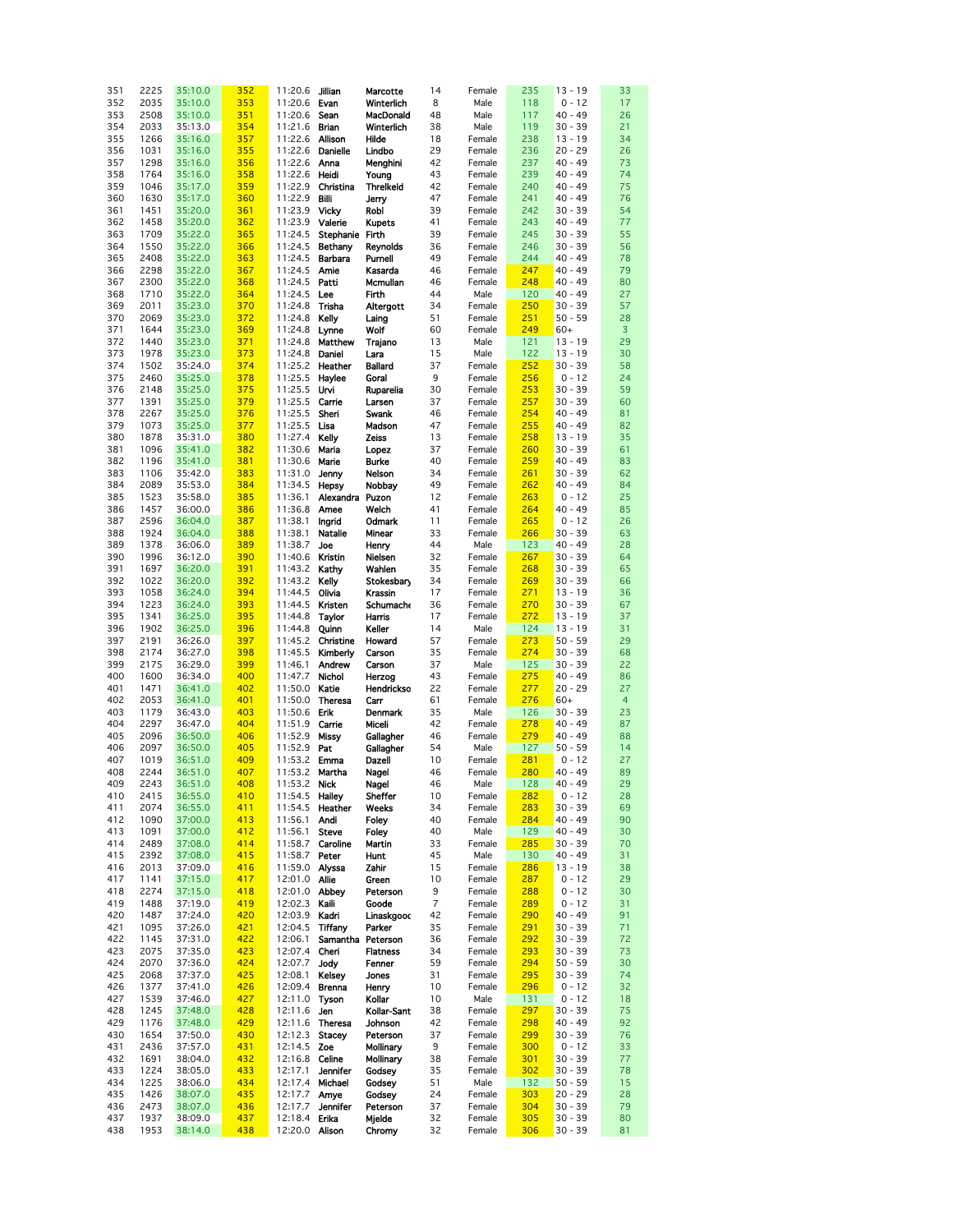| 351 | 2225 | 35:10.0 | 352 | 11:20.6         | Jillian                | Marcotte         | 14             | Female | 235 | $13 - 19$ | 33             |
|-----|------|---------|-----|-----------------|------------------------|------------------|----------------|--------|-----|-----------|----------------|
| 352 | 2035 | 35:10.0 | 353 | 11:20.6         | Evan                   | Winterlich       | 8              | Male   | 118 | $0 - 12$  | 17             |
| 353 | 2508 | 35:10.0 | 351 | 11:20.6         | Sean                   | MacDonald        | 48             | Male   | 117 | $40 - 49$ | 26             |
|     |      |         |     |                 |                        |                  |                |        |     |           |                |
| 354 | 2033 | 35:13.0 | 354 | 11:21.6         | <b>Brian</b>           | Winterlich       | 38             | Male   | 119 | $30 - 39$ | 21             |
| 355 | 1266 | 35:16.0 | 357 | 11:22.6         | Allison                | Hilde            | 18             | Female | 238 | $13 - 19$ | 34             |
| 356 | 1031 | 35:16.0 | 355 | 11:22.6         | <b>Danielle</b>        | Lindbo           | 29             | Female | 236 | $20 - 29$ | 26             |
|     |      |         |     |                 |                        |                  |                |        |     |           |                |
| 357 | 1298 | 35:16.0 | 356 | 11:22.6         | Anna                   | Menghini         | 42             | Female | 237 | $40 - 49$ | 73             |
| 358 | 1764 | 35:16.0 | 358 | 11:22.6         | Heidi                  | Young            | 43             | Female | 239 | $40 - 49$ | 74             |
| 359 | 1046 | 35:17.0 | 359 | 11:22.9         | Christina              | <b>Threlkeld</b> | 42             | Female | 240 | $40 - 49$ | 75             |
|     |      |         |     |                 |                        |                  |                |        |     |           |                |
| 360 | 1630 | 35:17.0 | 360 | 11:22.9         | <b>Billi</b>           | Jerry            | 47             | Female | 241 | $40 - 49$ | 76             |
| 361 | 1451 | 35:20.0 | 361 | 11:23.9         | <b>Vicky</b>           | Robl             | 39             | Female | 242 | $30 - 39$ | 54             |
| 362 | 1458 | 35:20.0 | 362 | 11:23.9         | Valerie                | <b>Kupets</b>    | 41             | Female | 243 | 40 - 49   | 77             |
|     |      |         |     |                 |                        |                  |                |        |     |           |                |
| 363 | 1709 | 35:22.0 | 365 | 11:24.5         | Stephanie Firth        |                  | 39             | Female | 245 | $30 - 39$ | 55             |
| 364 | 1550 | 35:22.0 | 366 | 11:24.5         | Bethany                | <b>Reynolds</b>  | 36             | Female | 246 | $30 - 39$ | 56             |
| 365 | 2408 | 35:22.0 | 363 | 11:24.5         | <b>Barbara</b>         | Purnell          | 49             | Female | 244 | $40 - 49$ | 78             |
|     |      |         |     |                 |                        |                  |                |        |     |           |                |
| 366 | 2298 | 35:22.0 | 367 | 11:24.5         | Amie                   | Kasarda          | 46             | Female | 247 | $40 - 49$ | 79             |
| 367 | 2300 | 35:22.0 | 368 | 11:24.5         | Patti                  | Mcmullan         | 46             | Female | 248 | $40 - 49$ | 80             |
| 368 | 1710 | 35:22.0 | 364 | 11:24.5 Lee     |                        | Firth            | 44             | Male   | 120 | 40 - 49   | 27             |
|     |      |         |     |                 |                        |                  |                |        |     |           |                |
| 369 | 2011 | 35:23.0 | 370 | 11:24.8         | Trisha                 | Altergott        | 34             | Female | 250 | $30 - 39$ | 57             |
| 370 | 2069 | 35:23.0 | 372 | 11:24.8         | Kelly                  | Laing            | 51             | Female | 251 | $50 - 59$ | 28             |
| 371 | 1644 | 35:23.0 | 369 | 11:24.8         | Lynne                  | Wolf             | 60             | Female | 249 | $60+$     | $\overline{3}$ |
|     |      |         |     |                 |                        |                  |                |        |     |           | 29             |
| 372 | 1440 | 35:23.0 | 371 | 11:24.8         | Matthew                | Trajano          | 13             | Male   | 121 | $13 - 19$ |                |
| 373 | 1978 | 35:23.0 | 373 | 11:24.8         | Daniel                 | Lara             | 15             | Male   | 122 | $13 - 19$ | 30             |
| 374 | 1502 | 35:24.0 | 374 | 11:25.2         | Heather                | <b>Ballard</b>   | 37             | Female | 252 | $30 - 39$ | 58             |
| 375 | 2460 | 35:25.0 | 378 | 11:25.5         | Haylee                 | Goral            | 9              | Female | 256 | $0 - 12$  | 24             |
|     |      |         |     |                 |                        |                  |                |        |     |           |                |
| 376 | 2148 | 35:25.0 | 375 | 11:25.5         | Urvi                   | Ruparelia        | 30             | Female | 253 | $30 - 39$ | 59             |
| 377 | 1391 | 35:25.0 | 379 | 11:25.5         | Carrie                 | Larsen           | 37             | Female | 257 | $30 - 39$ | 60             |
| 378 | 2267 | 35:25.0 | 376 | 11:25.5         | Sheri                  | Swank            | 46             | Female | 254 | $40 - 49$ | 81             |
|     |      |         |     |                 |                        |                  |                |        |     |           |                |
| 379 | 1073 | 35:25.0 | 377 | 11:25.5         | Lisa                   | Madson           | 47             | Female | 255 | $40 - 49$ | 82             |
| 380 | 1878 | 35:31.0 | 380 | 11:27.4         | Kelly                  | Zeiss            | 13             | Female | 258 | $13 - 19$ | 35             |
| 381 | 1096 | 35:41.0 | 382 | 11:30.6         | Maria                  | Lopez            | 37             | Female | 260 | $30 - 39$ | 61             |
|     |      |         |     |                 |                        |                  |                |        |     |           |                |
| 382 | 1196 | 35:41.0 | 381 | 11:30.6         | Marie                  | <b>Burke</b>     | 40             | Female | 259 | $40 - 49$ | 83             |
| 383 | 1106 | 35:42.0 | 383 | 11:31.0         | Jenny                  | Nelson           | 34             | Female | 261 | $30 - 39$ | 62             |
| 384 | 2089 | 35:53.0 | 384 | 11:34.5         | Hepsy                  | Nobbay           | 49             | Female | 262 | $40 - 49$ | 84             |
| 385 | 1523 | 35:58.0 | 385 | 11:36.1         | Alexandra Puzon        |                  | 12             | Female | 263 | $0 - 12$  | 25             |
|     | 1457 | 36:00.0 | 386 | 11:36.8         |                        | Welch            | 41             |        | 264 | $40 - 49$ | 85             |
| 386 |      |         |     |                 | Amee                   |                  |                | Female |     |           |                |
| 387 | 2596 | 36:04.0 | 387 | 11:38.1         | Ingrid                 | Odmark           | 11             | Female | 265 | $0 - 12$  | 26             |
| 388 | 1924 | 36:04.0 | 388 | 11:38.1         | <b>Natalie</b>         | Minear           | 33             | Female | 266 | $30 - 39$ | 63             |
| 389 | 1378 | 36:06.0 | 389 | 11:38.7         | Joe                    | Henry            | 44             | Male   | 123 | $40 - 49$ | 28             |
| 390 | 1996 | 36:12.0 | 390 | 11:40.6 Kristin |                        | Nielsen          | 32             | Female | 267 | $30 - 39$ | 64             |
| 391 | 1697 | 36:20.0 | 391 | 11:43.2 Kathy   |                        | Wahlen           | 35             | Female | 268 | $30 - 39$ | 65             |
|     |      |         |     |                 |                        |                  |                |        |     |           |                |
| 392 | 1022 | 36:20.0 | 392 | 11:43.2 Kelly   |                        | Stokesbary       | 34             | Female | 269 | $30 - 39$ | 66             |
| 393 | 1058 | 36:24.0 | 394 | 11:44.5         | Olivia                 | Krassin          | 17             | Female | 271 | $13 - 19$ | 36             |
| 394 | 1223 | 36:24.0 | 393 | 11:44.5         | Kristen                | <b>Schumache</b> | 36             | Female | 270 | $30 - 39$ | 67             |
| 395 | 1341 | 36:25.0 | 395 | 11:44.8         | Taylor                 | Harris           | 17             | Female | 272 | $13 - 19$ | 37             |
|     |      |         |     |                 |                        |                  |                |        |     |           |                |
| 396 | 1902 | 36:25.0 | 396 | 11:44.8         | Quinn                  | Keller           | 14             | Male   | 124 | $13 - 19$ | 31             |
| 397 | 2191 | 36:26.0 | 397 | 11:45.2         | Christine              | Howard           | 57             | Female | 273 | $50 - 59$ | 29             |
| 398 | 2174 | 36:27.0 | 398 | 11:45.5         | Kimberly               | Carson           | 35             | Female | 274 | $30 - 39$ | 68             |
| 399 | 2175 | 36:29.0 | 399 | 11:46.1         | Andrew                 | Carson           | 37             | Male   | 125 | $30 - 39$ | 22             |
| 400 | 1600 | 36:34.0 | 400 | 11:47.7         | Nichol                 | Herzog           | 43             | Female | 275 | 40 - 49   | 86             |
| 401 | 1471 | 36:41.0 | 402 | 11:50.0         | Katie                  | Hendrickso       | 22             | Female | 277 | $20 - 29$ | 27             |
|     |      |         |     |                 |                        |                  |                |        |     |           |                |
| 402 | 2053 | 36:41.0 | 401 | 11:50.0         | <b>Theresa</b>         | Carr             | 61             | Female | 276 | $60+$     | $\overline{4}$ |
| 403 | 1179 | 36:43.0 | 403 | 11:50.6         | Erik                   | <b>Denmark</b>   | 35             | Male   | 126 | $30 - 39$ | 23             |
| 404 | 2297 | 36:47.0 | 404 | 11:51.9         | Carrie                 | Miceli           | 42             | Female | 278 | $40 - 49$ | 87             |
| 405 | 2096 | 36:50.0 | 406 | 11:52.9         | Missy                  | Gallagher        | 46             | Female | 279 | 40 - 49   | 88             |
|     |      |         |     |                 |                        |                  |                |        |     |           |                |
| 406 | 2097 | 36:50.0 | 405 | 11:52.9         | Pat                    | Gallagher        | 54             | Male   | 127 | $50 - 59$ | 14             |
| 407 | 1019 | 36:51.0 | 409 | 11:53.2 Emma    |                        | Dazell           | 10             | Female | 281 | $0 - 12$  | 27             |
| 408 | 2244 | 36:51.0 | 407 | 11:53.2 Martha  |                        | <b>Nagel</b>     | 46             | Female | 280 | $40 - 49$ | 89             |
| 409 | 2243 | 36:51.0 | 408 | 11:53.2 Nick    |                        | Nagel            | 46             | Male   | 128 | $40 - 49$ | 29             |
|     |      |         |     |                 |                        |                  |                |        |     |           |                |
| 410 | 2415 | 36:55.0 | 410 | 11:54.5 Hailey  |                        | Sheffer          | 10             | Female | 282 | $0 - 12$  | 28             |
| 411 | 2074 | 36:55.0 | 411 |                 | 11:54.5 <b>Heather</b> | Weeks            | 34             | Female | 283 | $30 - 39$ | 69             |
| 412 | 1090 | 37:00.0 | 413 | 11:56.1         | Andi                   | Foley            | 40             | Female | 284 | $40 - 49$ | 90             |
| 413 | 1091 | 37:00.0 | 412 | 11:56.1         | Steve                  | Foley            | 40             | Male   | 129 | $40 - 49$ | 30             |
| 414 | 2489 | 37:08.0 | 414 | 11:58.7         | Caroline               | Martin           | 33             | Female | 285 | 30 - 39   | 70             |
|     |      |         |     |                 |                        |                  |                |        |     |           |                |
| 415 | 2392 | 37:08.0 | 415 | 11:58.7         | Peter                  | Hunt             | 45             | Male   | 130 | $40 - 49$ | 31             |
| 416 | 2013 | 37:09.0 | 416 | 11:59.0 Alyssa  |                        | Zahir            | 15             | Female | 286 | $13 - 19$ | 38             |
| 417 | 1141 | 37:15.0 | 417 | 12:01.0 Allie   |                        | Green            | 10             | Female | 287 | $0 - 12$  | 29             |
| 418 | 2274 | 37:15.0 | 418 | 12:01.0 Abbey   |                        | Peterson         | 9              | Female | 288 | $0 - 12$  | 30             |
| 419 | 1488 | 37:19.0 | 419 | 12:02.3 Kaili   |                        | Goode            | $\overline{7}$ | Female | 289 | $0 - 12$  | 31             |
|     |      |         |     |                 |                        |                  |                |        |     |           |                |
| 420 | 1487 | 37:24.0 | 420 | 12:03.9         | Kadri                  | Linaskgood       | 42             | Female | 290 | $40 - 49$ | 91             |
| 421 | 1095 | 37:26.0 | 421 | 12:04.5         | Tiffany                | Parker           | 35             | Female | 291 | $30 - 39$ | 71             |
| 422 | 1145 | 37:31.0 | 422 | 12:06.1         | Samantha Peterson      |                  | 36             | Female | 292 | 30 - 39   | 72             |
| 423 | 2075 | 37:35.0 | 423 | 12:07.4         | Cheri                  | <b>Flatness</b>  | 34             | Female | 293 | 30 - 39   | 73             |
| 424 | 2070 | 37:36.0 | 424 | 12:07.7         | Jody                   | Fenner           | 59             | Female | 294 | $50 - 59$ | 30             |
|     |      |         |     |                 |                        |                  |                |        |     |           |                |
| 425 | 2068 | 37:37.0 | 425 | 12:08.1         | Kelsey                 | Jones            | 31             | Female | 295 | $30 - 39$ | 74             |
| 426 | 1377 | 37:41.0 | 426 | 12:09.4 Brenna  |                        | Henry            | 10             | Female | 296 | $0 - 12$  | 32             |
| 427 | 1539 | 37:46.0 | 427 | 12:11.0         | Tyson                  | Kollar           | 10             | Male   | 131 | $0 - 12$  | 18             |
| 428 | 1245 | 37:48.0 | 428 | 12:11.6         | Jen                    | Kollar-Sant      | 38             | Female | 297 | $30 - 39$ | 75             |
| 429 | 1176 | 37:48.0 | 429 | 12:11.6         |                        | Johnson          |                | Female | 298 | $40 - 49$ | 92             |
|     |      |         |     |                 | <b>Theresa</b>         |                  | 42             |        |     |           |                |
| 430 | 1654 | 37:50.0 | 430 | 12:12.3         | <b>Stacey</b>          | Peterson         | 37             | Female | 299 | $30 - 39$ | 76             |
| 431 | 2436 | 37:57.0 | 431 | 12:14.5         | Zoe                    | Mollinary        | 9              | Female | 300 | $0 - 12$  | 33             |
| 432 | 1691 | 38:04.0 | 432 | 12:16.8 Celine  |                        | Mollinary        | 38             | Female | 301 | $30 - 39$ | 77             |
| 433 | 1224 | 38:05.0 | 433 | 12:17.1         | <b>Jennifer</b>        | Godsey           | 35             | Female | 302 | $30 - 39$ | 78             |
| 434 | 1225 | 38:06.0 | 434 | 12:17.4         | Michael                | Godsey           | 51             | Male   | 132 | $50 - 59$ | 15             |
|     |      |         |     |                 |                        |                  |                |        |     |           |                |
| 435 | 1426 | 38:07.0 | 435 | 12:17.7         | Amye                   | Godsey           | 24             | Female | 303 | 20 - 29   | 28             |
| 436 | 2473 | 38:07.0 | 436 | 12:17.7         | Jennifer               | Peterson         | 37             | Female | 304 | 30 - 39   | 79             |
| 437 | 1937 | 38:09.0 | 437 | 12:18.4         | Erika                  | Mjelde           | 32             | Female | 305 | $30 - 39$ | 80             |
| 438 | 1953 | 38:14.0 | 438 | 12:20.0 Alison  |                        | Chromy           | 32             | Female | 306 | $30 - 39$ | 81             |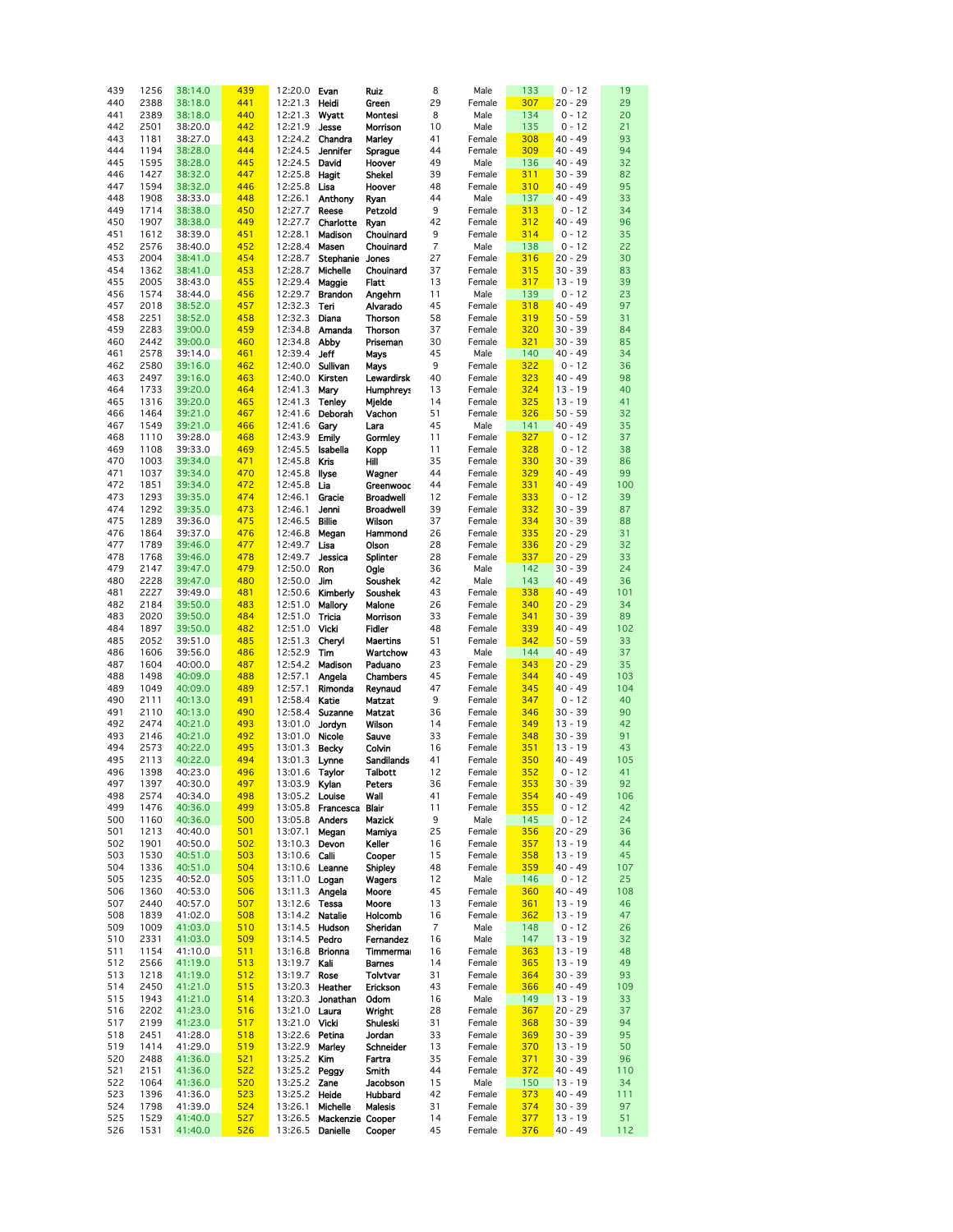| 439 | 1256 | 38:14.0 | 439 | 12:20.0 Evan     |                         | Ruiz             | 8              | Male   | 133 | $0 - 12$  | 19  |
|-----|------|---------|-----|------------------|-------------------------|------------------|----------------|--------|-----|-----------|-----|
|     |      |         |     |                  |                         |                  |                |        |     |           |     |
| 440 | 2388 | 38:18.0 | 441 | 12:21.3          | Heidi                   | Green            | 29             | Female | 307 | $20 - 29$ | 29  |
| 441 | 2389 | 38:18.0 | 440 | 12:21.3          | Wyatt                   | Montesi          | 8              | Male   | 134 | $0 - 12$  | 20  |
|     |      |         |     |                  |                         |                  |                |        |     |           |     |
| 442 | 2501 | 38:20.0 | 442 | 12:21.9          | Jesse                   | Morrison         | 10             | Male   | 135 | $0 - 12$  | 21  |
| 443 | 1181 | 38:27.0 | 443 | 12:24.2          | Chandra                 | Marley           | 41             | Female | 308 | $40 - 49$ | 93  |
|     |      |         |     |                  |                         |                  |                |        |     |           |     |
| 444 | 1194 | 38:28.0 | 444 | 12:24.5          | <b>Jennifer</b>         | Sprague          | 44             | Female | 309 | $40 - 49$ | 94  |
| 445 | 1595 | 38:28.0 | 445 | 12:24.5          | David                   | Hoover           | 49             | Male   | 136 | $40 - 49$ | 32  |
| 446 | 1427 | 38:32.0 | 447 | 12:25.8          |                         | Shekel           | 39             | Female | 311 | $30 - 39$ | 82  |
|     |      |         |     |                  | Hagit                   |                  |                |        |     |           |     |
| 447 | 1594 | 38:32.0 | 446 | 12:25.8          | Lisa                    | Hoover           | 48             | Female | 310 | $40 - 49$ | 95  |
| 448 | 1908 | 38:33.0 | 448 | 12:26.1          | Anthony                 | Ryan             | 44             | Male   | 137 | $40 - 49$ | 33  |
|     |      |         |     |                  |                         |                  |                |        |     |           |     |
| 449 | 1714 | 38:38.0 | 450 | 12:27.7          | Reese                   | Petzold          | 9              | Female | 313 | $0 - 12$  | 34  |
| 450 | 1907 | 38:38.0 | 449 | 12:27.7          | Charlotte               | Ryan             | 42             | Female | 312 | $40 - 49$ | 96  |
|     |      |         |     |                  |                         |                  |                |        |     |           |     |
| 451 | 1612 | 38:39.0 | 451 | 12:28.1          | Madison                 | Chouinard        | 9              | Female | 314 | $0 - 12$  | 35  |
| 452 | 2576 | 38:40.0 | 452 | 12:28.4          | Masen                   | Chouinard        | $\overline{7}$ | Male   | 138 | $0 - 12$  | 22  |
|     |      |         |     |                  |                         |                  |                |        |     |           |     |
| 453 | 2004 | 38:41.0 | 454 | 12:28.7          | Stephanie Jones         |                  | 27             | Female | 316 | $20 - 29$ | 30  |
| 454 | 1362 | 38:41.0 | 453 | 12:28.7          | Michelle                | Chouinard        | 37             | Female | 315 | $30 - 39$ | 83  |
| 455 | 2005 | 38:43.0 | 455 | 12:29.4          | Maggie                  | Flatt            | 13             | Female | 317 | $13 - 19$ | 39  |
|     |      |         |     |                  |                         |                  |                |        |     |           |     |
| 456 | 1574 | 38:44.0 | 456 | 12:29.7          | <b>Brandon</b>          | Angehrn          | 11             | Male   | 139 | $0 - 12$  | 23  |
| 457 | 2018 | 38:52.0 | 457 | 12:32.3          | Teri                    | Alvarado         | 45             | Female | 318 | $40 - 49$ | 97  |
|     |      |         |     |                  |                         |                  |                |        |     |           |     |
| 458 | 2251 | 38:52.0 | 458 | 12:32.3          | Diana                   | Thorson          | 58             | Female | 319 | $50 - 59$ | 31  |
| 459 | 2283 | 39:00.0 | 459 | 12:34.8          | Amanda                  | <b>Thorson</b>   | 37             | Female | 320 | $30 - 39$ | 84  |
|     | 2442 |         | 460 | 12:34.8          | Abby                    |                  | 30             |        | 321 |           | 85  |
| 460 |      | 39:00.0 |     |                  |                         | Priseman         |                | Female |     | $30 - 39$ |     |
| 461 | 2578 | 39:14.0 | 461 | 12:39.4          | Jeff                    | Mays             | 45             | Male   | 140 | 40 - 49   | 34  |
| 462 | 2580 | 39:16.0 | 462 | 12:40.0          | Sullivan                | Mays             | 9              | Female | 322 | $0 - 12$  | 36  |
|     |      |         |     |                  |                         |                  |                |        |     |           |     |
| 463 | 2497 | 39:16.0 | 463 | 12:40.0          | Kirsten                 | Lewardirsk       | 40             | Female | 323 | $40 - 49$ | 98  |
| 464 | 1733 | 39:20.0 | 464 | 12:41.3          | Mary                    | <b>Humphreys</b> | 13             | Female | 324 | $13 - 19$ | 40  |
|     |      |         |     |                  |                         |                  |                |        |     |           |     |
| 465 | 1316 | 39:20.0 | 465 | 12:41.3          | <b>Tenley</b>           | Mjelde           | 14             | Female | 325 | $13 - 19$ | 41  |
| 466 | 1464 | 39:21.0 | 467 | 12:41.6          | Deborah                 | Vachon           | 51             | Female | 326 | $50 - 59$ | 32  |
|     | 1549 | 39:21.0 | 466 | 12:41.6          |                         |                  | 45             |        | 141 | $40 - 49$ | 35  |
| 467 |      |         |     |                  | Gary                    | Lara             |                | Male   |     |           |     |
| 468 | 1110 | 39:28.0 | 468 | 12:43.9          | Emily                   | Gormley          | 11             | Female | 327 | $0 - 12$  | 37  |
| 469 | 1108 | 39:33.0 | 469 | 12:45.5          | Isabella                | Kopp             | 11             | Female | 328 | $0 - 12$  | 38  |
|     |      |         |     |                  |                         |                  |                |        |     |           |     |
| 470 | 1003 | 39:34.0 | 471 | 12:45.8          | Kris                    | Hill             | 35             | Female | 330 | $30 - 39$ | 86  |
| 471 | 1037 | 39:34.0 | 470 | 12:45.8          | llyse                   | Wagner           | 44             | Female | 329 | $40 - 49$ | 99  |
|     |      |         |     |                  |                         |                  | 44             |        |     |           |     |
| 472 | 1851 | 39:34.0 | 472 | 12:45.8          | Lia                     | Greenwood        |                | Female | 331 | $40 - 49$ | 100 |
| 473 | 1293 | 39:35.0 | 474 | 12:46.1          | Gracie                  | <b>Broadwell</b> | 12             | Female | 333 | $0 - 12$  | 39  |
| 474 | 1292 | 39:35.0 | 473 | 12:46.1          | Jenni                   | <b>Broadwell</b> | 39             | Female | 332 | $30 - 39$ | 87  |
|     |      |         |     |                  |                         |                  |                |        |     |           |     |
| 475 | 1289 | 39:36.0 | 475 | 12:46.5          | <b>Billie</b>           | Wilson           | 37             | Female | 334 | $30 - 39$ | 88  |
| 476 | 1864 | 39:37.0 | 476 | 12:46.8          | Megan                   | Hammond          | 26             | Female | 335 | $20 - 29$ | 31  |
| 477 | 1789 | 39:46.0 | 477 | 12:49.7          | Lisa                    | Olson            | 28             | Female | 336 | $20 - 29$ | 32  |
|     |      |         |     |                  |                         |                  |                |        |     |           |     |
| 478 | 1768 | 39:46.0 | 478 | 12:49.7          | Jessica                 | Splinter         | 28             | Female | 337 | $20 - 29$ | 33  |
| 479 | 2147 | 39:47.0 | 479 | 12:50.0          | Ron                     | Ogle             | 36             | Male   | 142 | $30 - 39$ | 24  |
|     |      |         |     |                  |                         |                  |                |        |     |           |     |
| 480 | 2228 | 39:47.0 | 480 | 12:50.0          | Jim                     | Soushek          | 42             | Male   | 143 | $40 - 49$ | 36  |
| 481 | 2227 | 39:49.0 | 481 |                  | 12:50.6 <b>Kimberly</b> | Soushek          | 43             | Female | 338 | $40 - 49$ | 101 |
| 482 | 2184 | 39:50.0 | 483 | 12:51.0          | Mallory                 | Malone           | 26             | Female | 340 | $20 - 29$ | 34  |
|     |      |         |     |                  |                         |                  |                |        |     |           |     |
| 483 | 2020 | 39:50.0 | 484 | 12:51.0          | Tricia                  | Morrison         | 33             | Female | 341 | $30 - 39$ | 89  |
| 484 | 1897 | 39:50.0 | 482 | 12:51.0          | Vicki                   | Fidler           | 48             | Female | 339 | 40 - 49   | 102 |
|     |      |         |     |                  |                         |                  |                |        |     |           |     |
| 485 | 2052 | 39:51.0 | 485 | 12:51.3          | Cheryl                  | <b>Maertins</b>  | 51             | Female | 342 | $50 - 59$ | 33  |
| 486 | 1606 | 39:56.0 | 486 | 12:52.9          | Tim                     | Wartchow         | 43             | Male   | 144 | 40 - 49   | 37  |
|     |      |         |     |                  |                         |                  |                |        |     |           |     |
| 487 | 1604 | 40:00.0 | 487 | 12:54.2          | Madison                 | Paduano          | 23             | Female | 343 | $20 - 29$ | 35  |
| 488 | 1498 | 40:09.0 | 488 | 12:57.1          | Angela                  | Chambers         | 45             | Female | 344 | $40 - 49$ | 103 |
| 489 | 1049 | 40:09.0 | 489 | 12:57.1          | Rimonda                 | Reynaud          | 47             | Female | 345 | $40 - 49$ | 104 |
|     |      |         |     |                  |                         |                  |                |        |     |           |     |
| 490 | 2111 | 40:13.0 | 491 | 12:58.4          | Katie                   | <b>Matzat</b>    | 9              | Female | 347 | $0 - 12$  | 40  |
| 491 | 2110 | 40:13.0 | 490 | 12:58.4          | Suzanne                 | Matzat           | 36             | Female | 346 | $30 - 39$ | 90  |
| 492 | 2474 | 40:21.0 | 493 | 13:01.0          | Jordyn                  | Wilson           | 14             | Female | 349 | $13 - 19$ | 42  |
|     |      |         |     |                  |                         |                  |                |        |     |           |     |
| 493 | 2146 | 40:21.0 | 492 | 13:01.0          | Nicole                  | Sauve            | 33             | Female | 348 | $30 - 39$ | 91  |
| 494 | 2573 | 40:22.0 | 495 | 13:01.3          | <b>Becky</b>            | Colvin           | 16             | Female | 351 | $13 - 19$ | 43  |
|     |      |         |     |                  |                         |                  |                |        |     |           |     |
| 495 | 2113 | 40:22.0 | 494 | 13:01.3          | Lynne                   | Sandilands       | 41             | Female | 350 | $40 - 49$ | 105 |
| 496 | 1398 | 40:23.0 | 496 | 13:01.6 Taylor   |                         | Talbott          | 12             | Female | 352 | $0 - 12$  | 41  |
| 497 | 1397 | 40:30.0 | 497 | 13:03.9 Kylan    |                         | Peters           | 36             | Female | 353 | $30 - 39$ | 92  |
|     |      |         |     |                  |                         |                  |                |        |     |           |     |
| 498 | 2574 | 40:34.0 | 498 | 13:05.2 Louise   |                         | Wall             | 41             | Female | 354 | $40 - 49$ | 106 |
| 499 | 1476 | 40:36.0 | 499 |                  | 13:05.8 Francesca       | Blair            | 11             | Female | 355 | $0 - 12$  | 42  |
|     |      |         |     |                  |                         |                  |                |        |     |           |     |
| 500 | 1160 | 40:36.0 | 500 | 13:05.8 Anders   |                         | Mazick           | 9              | Male   | 145 | $0 - 12$  | 24  |
| 501 | 1213 | 40:40.0 | 501 | 13:07.1          | Megan                   | Mamiya           | 25             | Female | 356 | $20 - 29$ | 36  |
| 502 | 1901 | 40:50.0 | 502 | 13:10.3          | Devon                   | Keller           | 16             | Female | 357 | $13 - 19$ | 44  |
|     |      |         |     |                  |                         |                  |                |        |     |           |     |
| 503 | 1530 | 40:51.0 | 503 | 13:10.6 Calli    |                         | Cooper           | 15             | Female | 358 | $13 - 19$ | 45  |
| 504 | 1336 | 40:51.0 | 504 | 13:10.6 Leanne   |                         | Shipley          | 48             | Female | 359 | 40 - 49   | 107 |
|     |      |         |     |                  |                         |                  |                |        |     |           |     |
| 505 | 1235 | 40:52.0 | 505 | 13:11.0 Logan    |                         | Wagers           | 12             | Male   | 146 | $0 - 12$  | 25  |
| 506 | 1360 | 40:53.0 | 506 | 13:11.3 Angela   |                         | Moore            | 45             | Female | 360 | $40 - 49$ | 108 |
| 507 | 2440 | 40:57.0 | 507 | 13:12.6 Tessa    |                         | Moore            | 13             | Female | 361 | $13 - 19$ | 46  |
|     |      |         |     |                  |                         |                  |                |        |     |           |     |
| 508 | 1839 | 41:02.0 | 508 | 13:14.2          | Natalie                 | Holcomb          | 16             | Female | 362 | $13 - 19$ | 47  |
| 509 | 1009 | 41:03.0 | 510 | 13:14.5 Hudson   |                         | Sheridan         | $\overline{7}$ | Male   | 148 | $0 - 12$  | 26  |
|     |      |         |     |                  |                         |                  |                |        |     |           |     |
| 510 | 2331 | 41:03.0 | 509 | 13:14.5          | Pedro                   | Fernandez        | 16             | Male   | 147 | $13 - 19$ | 32  |
| 511 | 1154 | 41:10.0 | 511 | 13:16.8 Brionna  |                         | Timmermar        | 16             | Female | 363 | $13 - 19$ | 48  |
| 512 | 2566 | 41:19.0 | 513 | 13:19.7          | Kali                    | Barnes           | 14             | Female | 365 | $13 - 19$ | 49  |
|     |      |         |     |                  |                         |                  |                |        |     |           |     |
| 513 | 1218 | 41:19.0 | 512 | 13:19.7          | Rose                    | Tolvtvar         | 31             | Female | 364 | 30 - 39   | 93  |
| 514 | 2450 | 41:21.0 | 515 | 13:20.3          | Heather                 | Erickson         | 43             | Female | 366 | $40 - 49$ | 109 |
| 515 | 1943 |         | 514 | 13:20.3          | Jonathan                |                  | 16             | Male   | 149 | $13 - 19$ | 33  |
|     |      | 41:21.0 |     |                  |                         | Odom             |                |        |     |           |     |
| 516 | 2202 | 41:23.0 | 516 | 13:21.0 Laura    |                         | Wright           | 28             | Female | 367 | 20 - 29   | 37  |
| 517 | 2199 | 41:23.0 | 517 | 13:21.0 Vicki    |                         | Shuleski         | 31             | Female | 368 | 30 - 39   | 94  |
|     |      |         |     |                  |                         |                  |                |        |     |           |     |
| 518 | 2451 | 41:28.0 | 518 | 13:22.6 Petina   |                         | Jordan           | 33             | Female | 369 | $30 - 39$ | 95  |
| 519 | 1414 | 41:29.0 | 519 | 13:22.9          | Marley                  | Schneider        | 13             | Female | 370 | $13 - 19$ | 50  |
| 520 | 2488 | 41:36.0 | 521 | 13:25.2 Kim      |                         | Fartra           | 35             | Female | 371 | $30 - 39$ | 96  |
|     |      |         |     |                  |                         |                  |                |        |     |           |     |
| 521 | 2151 | 41:36.0 | 522 | 13:25.2 Peggy    |                         | Smith            | 44             | Female | 372 | 40 - 49   | 110 |
| 522 | 1064 | 41:36.0 | 520 | 13:25.2 Zane     |                         | Jacobson         | 15             | Male   | 150 | $13 - 19$ | 34  |
|     |      |         |     |                  |                         |                  |                |        |     |           |     |
| 523 | 1396 | 41:36.0 | 523 | 13:25.2          | Heide                   | Hubbard          | 42             | Female | 373 | 40 - 49   | 111 |
| 524 | 1798 | 41:39.0 | 524 | 13:26.1          | Michelle                | <b>Malesis</b>   | 31             | Female | 374 | $30 - 39$ | 97  |
| 525 | 1529 | 41:40.0 | 527 | 13:26.5          | Mackenzie Cooper        |                  | 14             | Female | 377 | $13 - 19$ | 51  |
|     |      |         |     |                  |                         |                  |                |        |     |           |     |
| 526 | 1531 | 41:40.0 | 526 | 13:26.5 Danielle |                         | Cooper           | 45             | Female | 376 | $40 - 49$ | 112 |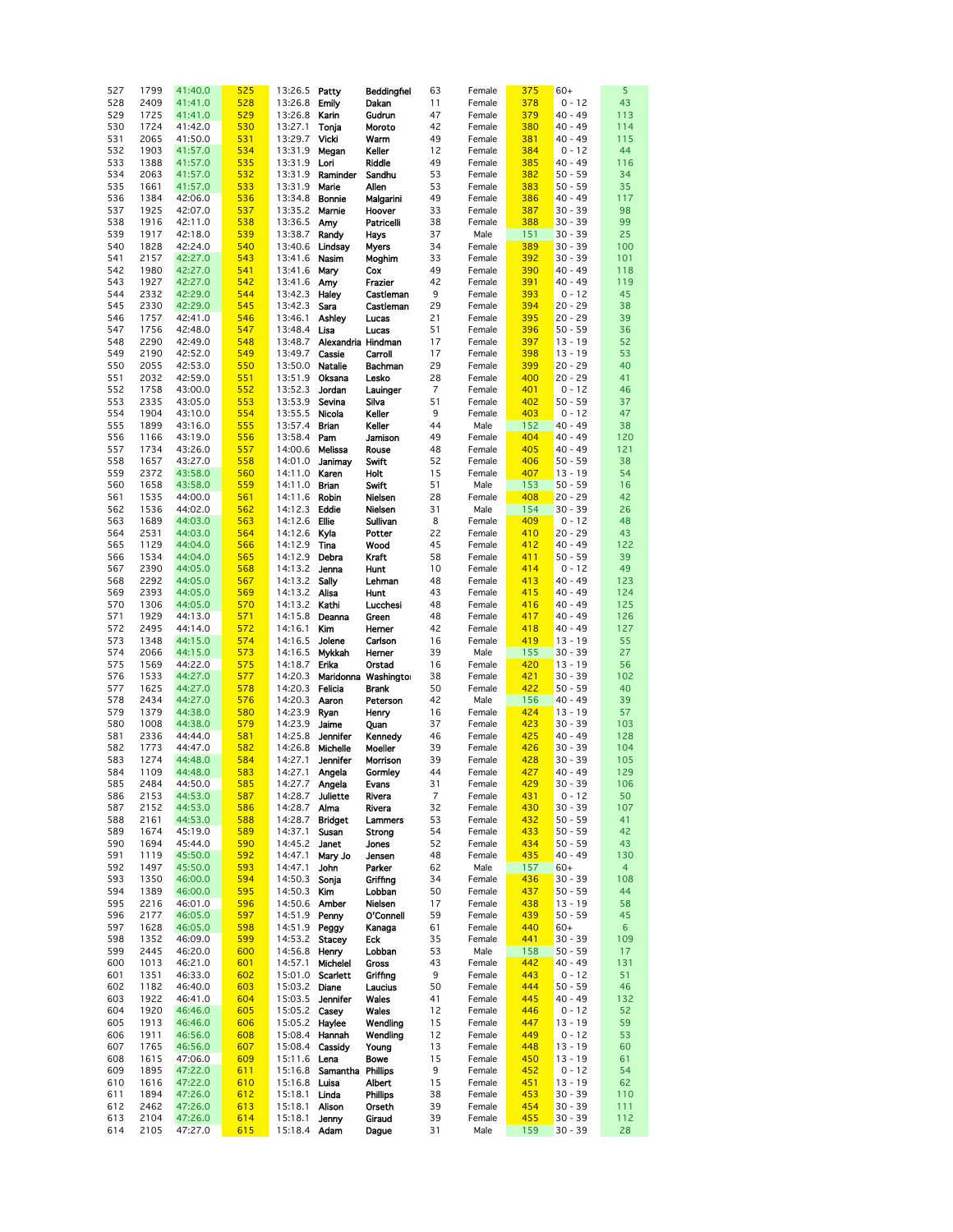| 527 | 1799 | 41:40.0 | 525 | 13:26.5              | Patty                     | Beddingfiel          | 63             | Female | 375 | $60+$     | 5              |
|-----|------|---------|-----|----------------------|---------------------------|----------------------|----------------|--------|-----|-----------|----------------|
| 528 | 2409 | 41:41.0 | 528 | 13:26.8              | <b>Emily</b>              | Dakan                | 11             | Female | 378 | $0 - 12$  | 43             |
| 529 | 1725 | 41:41.0 | 529 | 13:26.8              | Karin                     | Gudrun               | 47             | Female | 379 | $40 - 49$ | 113            |
|     |      |         |     |                      |                           |                      |                |        |     |           |                |
| 530 | 1724 | 41:42.0 | 530 | 13:27.1              | Tonja                     | Moroto               | 42             | Female | 380 | $40 - 49$ | 114            |
| 531 | 2065 | 41:50.0 | 531 | 13:29.7              | Vicki                     | Warm                 | 49             | Female | 381 | $40 - 49$ | 115            |
| 532 | 1903 | 41:57.0 | 534 | 13:31.9              | Megan                     | Keller               | 12             | Female | 384 | $0 - 12$  | 44             |
| 533 | 1388 | 41:57.0 | 535 | 13:31.9              | Lori                      | Riddle               | 49             | Female | 385 | $40 - 49$ | 116            |
| 534 | 2063 | 41:57.0 | 532 | 13:31.9              | Raminder                  | Sandhu               | 53             | Female | 382 | $50 - 59$ | 34             |
| 535 | 1661 | 41:57.0 | 533 | 13:31.9              | Marie                     | Allen                | 53             | Female | 383 | $50 - 59$ | 35             |
|     |      |         |     |                      |                           |                      |                |        |     |           |                |
| 536 | 1384 | 42:06.0 | 536 | 13:34.8              | Bonnie                    | Malgarini            | 49             | Female | 386 | $40 - 49$ | 117            |
| 537 | 1925 | 42:07.0 | 537 | 13:35.2              | Marnie                    | Hoover               | 33             | Female | 387 | $30 - 39$ | 98             |
| 538 | 1916 | 42:11.0 | 538 | 13:36.5              | Amy                       | Patricelli           | 38             | Female | 388 | $30 - 39$ | 99             |
| 539 | 1917 | 42:18.0 | 539 | 13:38.7              | Randy                     | Hays                 | 37             | Male   | 151 | $30 - 39$ | 25             |
| 540 | 1828 | 42:24.0 | 540 | 13:40.6              | Lindsay                   | <b>Myers</b>         | 34             | Female | 389 | $30 - 39$ | 100            |
| 541 | 2157 | 42:27.0 | 543 | 13:41.6              | Nasim                     | Moghim               | 33             | Female | 392 | $30 - 39$ | 101            |
|     |      |         |     |                      |                           |                      |                |        |     |           |                |
| 542 | 1980 | 42:27.0 | 541 | 13:41.6              | Mary                      | Cox                  | 49             | Female | 390 | $40 - 49$ | 118            |
| 543 | 1927 | 42:27.0 | 542 | 13:41.6              | Amy                       | Frazier              | 42             | Female | 391 | $40 - 49$ | 119            |
| 544 | 2332 | 42:29.0 | 544 | 13:42.3              | Haley                     | Castleman            | 9              | Female | 393 | $0 - 12$  | 45             |
| 545 | 2330 | 42:29.0 | 545 | 13:42.3              | Sara                      | Castleman            | 29             | Female | 394 | $20 - 29$ | 38             |
| 546 | 1757 | 42:41.0 | 546 | 13:46.1              | Ashley                    | Lucas                | 21             | Female | 395 | $20 - 29$ | 39             |
| 547 | 1756 | 42:48.0 | 547 | 13:48.4              | Lisa                      | Lucas                | 51             | Female | 396 | $50 - 59$ | 36             |
|     |      |         |     |                      |                           |                      |                |        |     |           |                |
| 548 | 2290 | 42:49.0 | 548 | 13:48.7              | Alexandria Hindman        |                      | 17             | Female | 397 | $13 - 19$ | 52             |
| 549 | 2190 | 42:52.0 | 549 | 13:49.7              | Cassie                    | Carroll              | 17             | Female | 398 | $13 - 19$ | 53             |
| 550 | 2055 | 42:53.0 | 550 | 13:50.0              | Natalie                   | Bachman              | 29             | Female | 399 | $20 - 29$ | 40             |
| 551 | 2032 | 42:59.0 | 551 | 13:51.9              | Oksana                    | Lesko                | 28             | Female | 400 | $20 - 29$ | 41             |
| 552 | 1758 | 43:00.0 | 552 | 13:52.3              | Jordan                    | Lauinger             | $\overline{7}$ | Female | 401 | $0 - 12$  | 46             |
| 553 | 2335 | 43:05.0 | 553 | 13:53.9              | Sevina                    | Silva                | 51             | Female | 402 | $50 - 59$ | 37             |
| 554 | 1904 | 43:10.0 | 554 | 13:55.5              | Nicola                    | Keller               | 9              | Female | 403 | $0 - 12$  | 47             |
| 555 | 1899 | 43:16.0 | 555 | 13:57.4              | <b>Brian</b>              | Keller               | 44             | Male   | 152 | $40 - 49$ | 38             |
|     |      |         |     |                      |                           |                      |                |        |     |           |                |
| 556 | 1166 | 43:19.0 | 556 | 13:58.4              | Pam                       | Jamison              | 49             | Female | 404 | $40 - 49$ | 120            |
| 557 | 1734 | 43:26.0 | 557 | 14:00.6              | Melissa                   | Rouse                | 48             | Female | 405 | 40 - 49   | 121            |
| 558 | 1657 | 43:27.0 | 558 | 14:01.0              | Janimay                   | Swift                | 52             | Female | 406 | $50 - 59$ | 38             |
| 559 | 2372 | 43:58.0 | 560 | 14:11.0 Karen        |                           | Holt                 | 15             | Female | 407 | $13 - 19$ | 54             |
| 560 | 1658 | 43:58.0 | 559 | 14:11.0              | <b>Brian</b>              | Swift                | 51             | Male   | 153 | $50 - 59$ | 16             |
| 561 | 1535 | 44:00.0 | 561 | 14:11.6              | Robin                     | Nielsen              | 28             | Female | 408 | $20 - 29$ | 42             |
| 562 | 1536 | 44:02.0 | 562 | 14:12.3              | Eddie                     | Nielsen              | 31             | Male   | 154 | $30 - 39$ | 26             |
|     |      |         |     |                      |                           |                      |                |        |     |           |                |
| 563 | 1689 | 44:03.0 | 563 | 14:12.6              | Ellie                     | Sullivan             | 8              | Female | 409 | $0 - 12$  | 48             |
| 564 | 2531 | 44:03.0 | 564 | 14:12.6              | Kyla                      | Potter               | 22             | Female | 410 | $20 - 29$ | 43             |
| 565 | 1129 | 44:04.0 | 566 | 14:12.9              | Tina                      | Wood                 | 45             | Female | 412 | 40 - 49   | 122            |
| 566 | 1534 | 44:04.0 | 565 | 14:12.9              | Debra                     | Kraft                | 58             | Female | 411 | $50 - 59$ | 39             |
| 567 | 2390 | 44:05.0 | 568 | 14:13.2              | Jenna                     | Hunt                 | 10             | Female | 414 | $0 - 12$  | 49             |
| 568 | 2292 | 44:05.0 | 567 | 14:13.2              | Sally                     | Lehman               | 48             | Female | 413 | $40 - 49$ | 123            |
| 569 | 2393 | 44:05.0 | 569 | 14:13.2 Alisa        |                           | Hunt                 | 43             | Female | 415 | $40 - 49$ | 124            |
| 570 | 1306 | 44:05.0 | 570 | 14:13.2 Kathi        |                           | Lucchesi             | 48             | Female | 416 | $40 - 49$ | 125            |
|     |      |         |     |                      |                           |                      |                |        |     |           |                |
| 571 | 1929 | 44:13.0 | 571 | 14:15.8              | Deanna                    | Green                | 48             | Female | 417 | 40 - 49   | 126            |
| 572 | 2495 | 44:14.0 | 572 | 14:16.1              | Kim                       | Hemer                | 42             | Female | 418 | 40 - 49   | 127            |
| 573 | 1348 | 44:15.0 | 574 | 14:16.5              | Jolene                    | Carlson              | 16             | Female | 419 | $13 - 19$ | 55             |
| 574 | 2066 | 44:15.0 | 573 | 14:16.5              | Mykkah                    | Hemer                | 39             | Male   | 155 | $30 - 39$ | 27             |
| 575 | 1569 | 44:22.0 | 575 | 14:18.7              | Erika                     | Orstad               | 16             | Female | 420 | $13 - 19$ | 56             |
| 576 | 1533 | 44:27.0 | 577 | 14:20.3              |                           | Maridonna Washingtor | 38             | Female | 421 | $30 - 39$ | 102            |
| 577 | 1625 | 44:27.0 | 578 | 14:20.3              | Felicia                   | <b>Brank</b>         | 50             | Female | 422 | $50 - 59$ | 40             |
| 578 | 2434 | 44:27.0 | 576 | 14:20.3              | Aaron                     | Peterson             | 42             | Male   | 156 | $40 - 49$ | 39             |
|     |      |         |     |                      |                           |                      |                |        |     |           |                |
| 579 | 1379 | 44:38.0 | 580 | 14:23.9              | Ryan                      | Henry                | 16             | Female | 424 | $13 - 19$ | 57             |
| 580 | 1008 | 44:38.0 | 579 | 14:23.9              | Jaime                     | Quan                 | 37             | Female | 423 | $30 - 39$ | 103            |
| 581 | 2336 | 44:44.0 | 581 | 14:25.8              | Jennifer                  | Kennedy              | 46             | Female | 425 | 40 - 49   | 128            |
| 582 | 1773 | 44:47.0 | 582 | 14:26.8              | Michelle                  | Moeller              | 39             | Female | 426 | $30 - 39$ | 104            |
| 583 | 1274 | 44:48.0 | 584 | 14:27.1              | <b>Jennifer</b>           | Morrison             | 39             | Female | 428 | $30 - 39$ | 105            |
| 584 | 1109 | 44:48.0 | 583 | 14:27.1 Angela       |                           | Gormley              | 44             | Female | 427 | $40 - 49$ | 129            |
| 585 | 2484 | 44:50.0 | 585 | 14:27.7 Angela       |                           | Evans                | 31             | Female | 429 | $30 - 39$ | 106            |
| 586 | 2153 | 44:53.0 | 587 | 14:28.7 Juliette     |                           | Rivera               | $\overline{7}$ | Female | 431 | $0 - 12$  | 50             |
|     |      |         |     |                      |                           |                      |                |        |     | $30 - 39$ |                |
| 587 | 2152 | 44:53.0 | 586 | 14:28.7 Alma         |                           | Rivera               | 32             | Female | 430 |           | 107            |
| 588 | 2161 | 44:53.0 | 588 | 14:28.7              | <b>Bridget</b>            | Lammers              | 53             | Female | 432 | $50 - 59$ | 41             |
| 589 | 1674 | 45:19.0 | 589 | 14:37.1              | Susan                     | Strong               | 54             | Female | 433 | $50 - 59$ | 42             |
| 590 | 1694 | 45:44.0 | 590 | 14:45.2 <b>Janet</b> |                           | Jones                | 52             | Female | 434 | $50 - 59$ | 43             |
| 591 | 1119 | 45:50.0 | 592 | 14:47.1              | Mary Jo                   | Jensen               | 48             | Female | 435 | $40 - 49$ | 130            |
| 592 | 1497 | 45:50.0 | 593 | 14:47.1              | John                      | Parker               | 62             | Male   | 157 | $60+$     | $\overline{4}$ |
| 593 | 1350 | 46:00.0 | 594 | 14:50.3              | Sonja                     | Griffing             | 34             | Female | 436 | $30 - 39$ | 108            |
| 594 | 1389 | 46:00.0 | 595 | 14:50.3              | Kim                       | Lobban               | 50             | Female | 437 | $50 - 59$ | 44             |
| 595 | 2216 | 46:01.0 | 596 | 14:50.6              | Amber                     | Nielsen              | 17             | Female | 438 | $13 - 19$ | 58             |
| 596 | 2177 | 46:05.0 | 597 | 14:51.9              | Penny                     | O'Connell            | 59             | Female | 439 | $50 - 59$ | 45             |
|     |      |         |     | 14:51.9 Peggy        |                           | Kanaga               |                |        | 440 |           |                |
| 597 | 1628 | 46:05.0 | 598 |                      |                           |                      | 61             | Female |     | $60+$     | 6              |
| 598 | 1352 | 46:09.0 | 599 | 14:53.2 Stacey       |                           | Eck                  | 35             | Female | 441 | $30 - 39$ | 109            |
| 599 | 2445 | 46:20.0 | 600 | 14:56.8 <b>Henry</b> |                           | Lobban               | 53             | Male   | 158 | $50 - 59$ | 17             |
| 600 | 1013 | 46:21.0 | 601 | 14:57.1              | Michelel                  | Gross                | 43             | Female | 442 | $40 - 49$ | 131            |
| 601 | 1351 | 46:33.0 | 602 |                      | 15:01.0 Scarlett          | Griffing             | 9              | Female | 443 | $0 - 12$  | 51             |
| 602 | 1182 | 46:40.0 | 603 | 15:03.2 Diane        |                           | Laucius              | 50             | Female | 444 | $50 - 59$ | 46             |
| 603 | 1922 | 46:41.0 | 604 | 15:03.5              | Jennifer                  | Wales                | 41             | Female | 445 | $40 - 49$ | 132            |
| 604 | 1920 | 46:46.0 | 605 | 15:05.2 Casey        |                           | Wales                | 12             | Female | 446 | $0 - 12$  | 52             |
| 605 | 1913 | 46:46.0 | 606 | 15:05.2 Haylee       |                           | Wendling             | 15             | Female | 447 | $13 - 19$ | 59             |
| 606 | 1911 | 46:56.0 | 608 | 15:08.4 Hannah       |                           | Wendling             | 12             | Female | 449 | $0 - 12$  | 53             |
|     |      |         |     |                      |                           |                      |                |        |     |           |                |
| 607 | 1765 | 46:56.0 | 607 | 15:08.4 Cassidy      |                           | Young                | 13             | Female | 448 | $13 - 19$ | 60             |
| 608 | 1615 | 47:06.0 | 609 | 15:11.6 Lena         |                           | Bowe                 | 15             | Female | 450 | $13 - 19$ | 61             |
| 609 | 1895 | 47:22.0 | 611 |                      | 15:16.8 Samantha Phillips |                      | 9              | Female | 452 | $0 - 12$  | 54             |
| 610 | 1616 | 47:22.0 | 610 | 15:16.8 Luisa        |                           | Albert               | 15             | Female | 451 | $13 - 19$ | 62             |
| 611 | 1894 | 47:26.0 | 612 | 15:18.1              | Linda                     | <b>Phillips</b>      | 38             | Female | 453 | $30 - 39$ | 110            |
| 612 | 2462 | 47:26.0 | 613 | 15:18.1              | Alison                    | Orseth               | 39             | Female | 454 | $30 - 39$ | 111            |
| 613 | 2104 | 47:26.0 | 614 | 15:18.1              | Jenny                     | Giraud               | 39             | Female | 455 | 30 - 39   | 112            |
| 614 | 2105 | 47:27.0 | 615 | 15:18.4 Adam         |                           | Dague                | 31             | Male   | 159 | $30 - 39$ | 28             |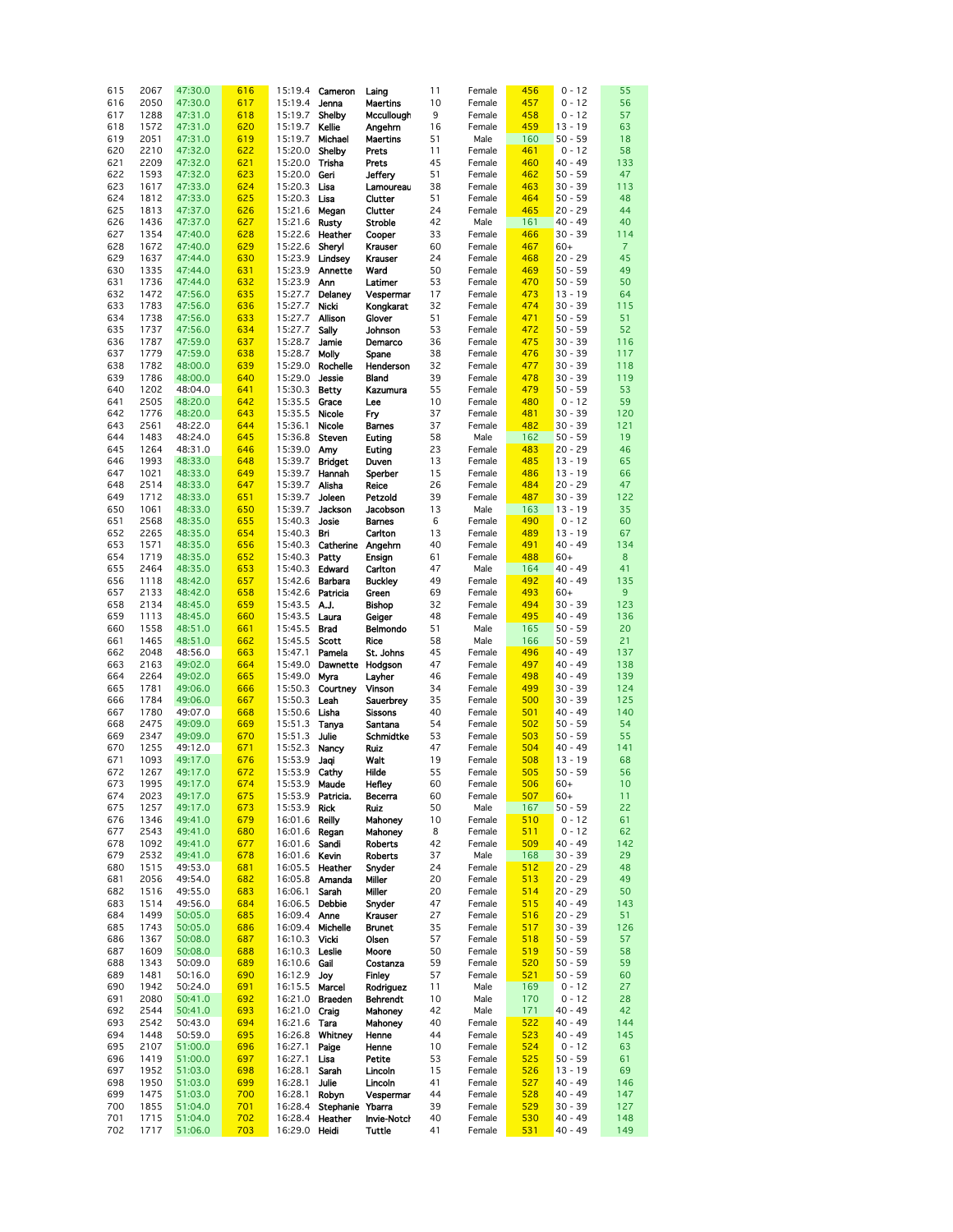| 615 | 2067 | 47:30.0 | 616 | 15:19.4       | Cameron           | Laing              | 11 | Female | 456 | $0 - 12$  | 55              |
|-----|------|---------|-----|---------------|-------------------|--------------------|----|--------|-----|-----------|-----------------|
| 616 | 2050 | 47:30.0 | 617 | 15:19.4       | Jenna             | <b>Maertins</b>    | 10 | Female | 457 | $0 - 12$  | 56              |
| 617 | 1288 | 47:31.0 | 618 | 15:19.7       | Shelby            | Mccullough         | 9  | Female | 458 | $0 - 12$  | 57              |
|     |      |         | 620 | 15:19.7       |                   |                    |    |        |     |           |                 |
| 618 | 1572 | 47:31.0 |     |               | Kellie            | Angehrn            | 16 | Female | 459 | $13 - 19$ | 63              |
| 619 | 2051 | 47:31.0 | 619 | 15:19.7       | Michael           | <b>Maertins</b>    | 51 | Male   | 160 | $50 - 59$ | 18              |
| 620 | 2210 | 47:32.0 | 622 | 15:20.0       | Shelby            | Prets              | 11 | Female | 461 | $0 - 12$  | 58              |
|     |      |         |     |               |                   |                    |    |        |     |           |                 |
| 621 | 2209 | 47:32.0 | 621 | 15:20.0       | Trisha            | Prets              | 45 | Female | 460 | $40 - 49$ | 133             |
| 622 | 1593 | 47:32.0 | 623 | 15:20.0       | Geri              | Jeffery            | 51 | Female | 462 | $50 - 59$ | 47              |
| 623 | 1617 | 47:33.0 | 624 | 15:20.3       | Lisa              | Lamoureau          | 38 | Female | 463 | $30 - 39$ | 113             |
|     |      |         |     |               |                   |                    |    |        |     |           |                 |
| 624 | 1812 | 47:33.0 | 625 | 15:20.3       | Lisa              | Clutter            | 51 | Female | 464 | $50 - 59$ | 48              |
| 625 | 1813 | 47:37.0 | 626 | 15:21.6       | Megan             | Clutter            | 24 | Female | 465 | $20 - 29$ | 44              |
| 626 | 1436 | 47:37.0 | 627 | 15:21.6       | Rusty             | Stroble            | 42 | Male   | 161 | $40 - 49$ | 40              |
|     |      |         |     |               |                   |                    |    |        |     |           |                 |
| 627 | 1354 | 47:40.0 | 628 | 15:22.6       | Heather           | Cooper             | 33 | Female | 466 | $30 - 39$ | 114             |
| 628 | 1672 | 47:40.0 | 629 | 15:22.6       | Sheryl            | Krauser            | 60 | Female | 467 | $60+$     | $\overline{7}$  |
|     |      |         |     |               |                   |                    |    |        |     |           |                 |
| 629 | 1637 | 47:44.0 | 630 | 15:23.9       | Lindsey           | Krauser            | 24 | Female | 468 | $20 - 29$ | 45              |
| 630 | 1335 | 47:44.0 | 631 | 15:23.9       | Annette           | Ward               | 50 | Female | 469 | $50 - 59$ | 49              |
| 631 | 1736 | 47:44.0 | 632 | 15:23.9       | Ann               | Latimer            | 53 | Female | 470 | $50 - 59$ | 50              |
|     |      |         |     |               |                   |                    |    |        |     |           |                 |
| 632 | 1472 | 47:56.0 | 635 | 15:27.7       | Delaney           | Vespermar          | 17 | Female | 473 | $13 - 19$ | 64              |
| 633 | 1783 | 47:56.0 | 636 | 15:27.7       | Nicki             | Kongkarat          | 32 | Female | 474 | $30 - 39$ | 115             |
| 634 | 1738 | 47:56.0 | 633 | 15:27.7       | Allison           | Glover             | 51 | Female | 471 | $50 - 59$ | 51              |
|     |      |         |     |               |                   |                    |    |        |     |           |                 |
| 635 | 1737 | 47:56.0 | 634 | 15:27.7       | Sally             | Johnson            | 53 | Female | 472 | $50 - 59$ | 52              |
| 636 | 1787 | 47:59.0 | 637 | 15:28.7       | Jamie             | Demarco            | 36 | Female | 475 | $30 - 39$ | 116             |
| 637 | 1779 | 47:59.0 | 638 | 15:28.7       | Molly             | Spane              | 38 | Female | 476 | $30 - 39$ | 117             |
|     |      |         |     |               |                   |                    |    |        |     |           |                 |
| 638 | 1782 | 48:00.0 | 639 | 15:29.0       | Rochelle          | Henderson          | 32 | Female | 477 | $30 - 39$ | 118             |
| 639 | 1786 | 48:00.0 | 640 | 15:29.0       | <b>Jessie</b>     | Bland              | 39 | Female | 478 | $30 - 39$ | 119             |
| 640 | 1202 | 48:04.0 | 641 | 15:30.3       | <b>Betty</b>      | Kazumura           | 55 | Female | 479 | $50 - 59$ | 53              |
|     |      |         |     |               |                   |                    |    |        |     |           |                 |
| 641 | 2505 | 48:20.0 | 642 | 15:35.5       | Grace             | Lee                | 10 | Female | 480 | $0 - 12$  | 59              |
| 642 | 1776 | 48:20.0 | 643 | 15:35.5       | Nicole            | Fry                | 37 | Female | 481 | $30 - 39$ | 120             |
| 643 | 2561 | 48:22.0 | 644 | 15:36.1       | Nicole            | <b>Barnes</b>      | 37 | Female | 482 | $30 - 39$ | 121             |
|     |      |         |     |               |                   |                    |    |        |     |           |                 |
| 644 | 1483 | 48:24.0 | 645 | 15:36.8       | Steven            | Euting             | 58 | Male   | 162 | $50 - 59$ | 19              |
| 645 | 1264 | 48:31.0 | 646 | 15:39.0       | Amy               | Euting             | 23 | Female | 483 | $20 - 29$ | 46              |
|     | 1993 |         | 648 |               |                   |                    | 13 |        |     | $13 - 19$ | 65              |
| 646 |      | 48:33.0 |     | 15:39.7       | <b>Bridget</b>    | Duven              |    | Female | 485 |           |                 |
| 647 | 1021 | 48:33.0 | 649 | 15:39.7       | Hannah            | Sperber            | 15 | Female | 486 | $13 - 19$ | 66              |
| 648 | 2514 | 48:33.0 | 647 | 15:39.7       | Alisha            | Reice              | 26 | Female | 484 | $20 - 29$ | 47              |
|     | 1712 |         | 651 | 15:39.7       | Joleen            | Petzold            | 39 | Female | 487 | $30 - 39$ | 122             |
| 649 |      | 48:33.0 |     |               |                   |                    |    |        |     |           |                 |
| 650 | 1061 | 48:33.0 | 650 | 15:39.7       | Jackson           | Jacobson           | 13 | Male   | 163 | $13 - 19$ | 35              |
| 651 | 2568 | 48:35.0 | 655 | 15:40.3       | Josie             | <b>Barnes</b>      | 6  | Female | 490 | $0 - 12$  | 60              |
| 652 | 2265 | 48:35.0 | 654 | 15:40.3       | Bri               | Carlton            | 13 | Female | 489 | $13 - 19$ | 67              |
|     |      |         |     |               |                   |                    |    |        |     |           |                 |
| 653 | 1571 | 48:35.0 | 656 | 15:40.3       | Catherine         | Angehrn            | 40 | Female | 491 | $40 - 49$ | 134             |
| 654 | 1719 | 48:35.0 | 652 | 15:40.3       | Patty             | Ensign             | 61 | Female | 488 | $60+$     | 8               |
| 655 | 2464 | 48:35.0 | 653 | 15:40.3       | Edward            | Carlton            | 47 | Male   | 164 | 40 - 49   | 41              |
|     |      |         |     |               |                   |                    |    |        |     |           |                 |
| 656 | 1118 | 48:42.0 | 657 | 15:42.6       | Barbara           | <b>Buckley</b>     | 49 | Female | 492 | $40 - 49$ | 135             |
| 657 | 2133 | 48:42.0 | 658 | 15:42.6       | Patricia          | Green              | 69 | Female | 493 | $60+$     | 9               |
| 658 | 2134 |         | 659 | 15:43.5       | AJ.               |                    | 32 | Female | 494 | $30 - 39$ | 123             |
|     |      | 48:45.0 |     |               |                   | <b>Bishop</b>      |    |        |     |           |                 |
| 659 | 1113 | 48:45.0 | 660 | 15:43.5       | Laura             | Geiger             | 48 | Female | 495 | $40 - 49$ | 136             |
| 660 | 1558 | 48:51.0 | 661 | 15:45.5       | <b>Brad</b>       | <b>Belmondo</b>    | 51 | Male   | 165 | $50 - 59$ | 20              |
| 661 | 1465 | 48:51.0 | 662 | 15:45.5       | Scott             | Rice               | 58 | Male   | 166 | $50 - 59$ | 21              |
|     |      |         |     |               |                   |                    |    |        |     |           |                 |
| 662 | 2048 | 48:56.0 | 663 | 15:47.1       | Pamela            | St. Johns          | 45 | Female | 496 | $40 - 49$ | 137             |
| 663 | 2163 | 49:02.0 | 664 | 15:49.0       | Dawnette          | Hodgson            | 47 | Female | 497 | $40 - 49$ | 138             |
| 664 | 2264 | 49:02.0 | 665 | 15:49.0       | Myra              | Layher             | 46 | Female | 498 | $40 - 49$ | 139             |
|     |      |         |     |               |                   |                    |    |        |     |           |                 |
| 665 | 1781 | 49:06.0 | 666 | 15:50.3       | Courtney          | Vinson             | 34 | Female | 499 | $30 - 39$ | 124             |
| 666 | 1784 | 49:06.0 | 667 | 15:50.3       | Leah              | Sauerbrey          | 35 | Female | 500 | $30 - 39$ | 125             |
| 667 | 1780 | 49:07.0 | 668 | 15:50.6       | Lisha             | <b>Sissons</b>     | 40 | Female | 501 | $40 - 49$ | 140             |
|     |      | 49:09.0 |     |               |                   |                    | 54 |        |     |           |                 |
| 668 | 2475 |         | 669 | 15:51.3       | Tanya             | Santana            |    | Female | 502 | $50 - 59$ | 54              |
| 669 | 2347 | 49:09.0 | 670 | 15:51.3       | Julie             | Schmidtke          | 53 | Female | 503 | $50 - 59$ | 55              |
| 670 | 1255 | 49:12.0 | 671 | 15:52.3       | Nancy             | Ruiz               | 47 | Female | 504 | $40 - 49$ | 141             |
| 671 | 1093 | 49:17.0 | 676 |               |                   |                    | 19 |        | 508 | $13 - 19$ | 68              |
|     |      |         |     | 15:53.9       | Jaqi              | Walt               |    | Female |     |           |                 |
| 672 | 1267 | 49:17.0 | 672 | 15:53.9 Cathy |                   | Hilde              | 55 | Female | 505 | $50 - 59$ | 56              |
| 673 | 1995 | 49:17.0 | 674 | 15:53.9       | Maude             | Hefley             | 60 | Female | 506 | $60+$     | 10 <sub>1</sub> |
| 674 | 2023 | 49:17.0 | 675 |               | 15:53.9 Patricia. | Becerra            | 60 | Female | 507 | $60+$     | 11              |
|     |      |         |     |               |                   |                    |    |        |     |           |                 |
| 675 | 1257 | 49:17.0 | 673 | 15:53.9       | <b>Rick</b>       | Ruiz               | 50 | Male   | 167 | $50 - 59$ | 22              |
| 676 | 1346 | 49:41.0 | 679 | 16:01.6       | Reilly            | Mahoney            | 10 | Female | 510 | $0 - 12$  | 61              |
| 677 | 2543 | 49:41.0 | 680 | 16:01.6       | Regan             | Mahoney            | 8  | Female | 511 | $0 - 12$  | 62              |
|     |      |         |     |               |                   |                    |    |        |     |           |                 |
| 678 | 1092 | 49:41.0 | 677 | 16:01.6       | Sandi             | Roberts            | 42 | Female | 509 | $40 - 49$ | 142             |
| 679 | 2532 | 49:41.0 | 678 | 16:01.6 Kevin |                   | <b>Roberts</b>     | 37 | Male   | 168 | $30 - 39$ | 29              |
| 680 | 1515 | 49:53.0 | 681 | 16:05.5       | Heather           | Snyder             | 24 | Female | 512 | $20 - 29$ | 48              |
|     |      |         |     | 16:05.8       | Amanda            | Miller             |    |        |     |           |                 |
| 681 | 2056 | 49:54.0 | 682 |               |                   |                    | 20 | Female | 513 | $20 - 29$ | 49              |
| 682 | 1516 | 49:55.0 | 683 | 16:06.1       | Sarah             | Miller             | 20 | Female | 514 | $20 - 29$ | 50              |
| 683 | 1514 | 49:56.0 | 684 | 16:06.5       | Debbie            | Snyder             | 47 | Female | 515 | $40 - 49$ | 143             |
| 684 | 1499 |         |     | 16:09.4       | Anne              | Krauser            | 27 | Female | 516 | $20 - 29$ | 51              |
|     |      | 50:05.0 | 685 |               |                   |                    |    |        |     |           |                 |
| 685 | 1743 | 50:05.0 | 686 | 16:09.4       | Michelle          | <b>Brunet</b>      | 35 | Female | 517 | $30 - 39$ | 126             |
| 686 | 1367 | 50:08.0 | 687 | 16:10.3       | Vicki             | Olsen              | 57 | Female | 518 | $50 - 59$ | 57              |
| 687 | 1609 | 50:08.0 | 688 | 16:10.3       | Leslie            | Moore              | 50 | Female | 519 | $50 - 59$ | 58              |
|     |      |         |     |               |                   |                    |    |        |     |           |                 |
| 688 | 1343 | 50:09.0 | 689 | 16:10.6       | Gail              | Costanza           | 59 | Female | 520 | $50 - 59$ | 59              |
| 689 | 1481 | 50:16.0 | 690 | 16:12.9       | Joy               | Finley             | 57 | Female | 521 | $50 - 59$ | 60              |
| 690 | 1942 | 50:24.0 | 691 | 16:15.5       | Marcel            | Rodriguez          | 11 | Male   | 169 | $0 - 12$  | 27              |
|     |      |         |     |               |                   |                    |    |        |     |           |                 |
| 691 | 2080 | 50:41.0 | 692 | 16:21.0       | Braeden           | <b>Behrendt</b>    | 10 | Male   | 170 | $0 - 12$  | 28              |
| 692 | 2544 | 50:41.0 | 693 | 16:21.0 Craig |                   | Mahoney            | 42 | Male   | 171 | $40 - 49$ | 42              |
| 693 | 2542 | 50:43.0 | 694 | 16:21.6 Tara  |                   | Mahoney            | 40 | Female | 522 | $40 - 49$ | 144             |
|     |      |         |     |               |                   |                    |    |        |     |           |                 |
| 694 | 1448 | 50:59.0 | 695 | 16:26.8       | Whitney           | Henne              | 44 | Female | 523 | $40 - 49$ | 145             |
| 695 | 2107 | 51:00.0 | 696 | 16:27.1       | Paige             | Henne              | 10 | Female | 524 | $0 - 12$  | 63              |
| 696 | 1419 | 51:00.0 | 697 | 16:27.1       | Lisa              | Petite             | 53 | Female | 525 | $50 - 59$ | 61              |
| 697 | 1952 | 51:03.0 | 698 | 16:28.1       | Sarah             | Lincoln            | 15 | Female | 526 | $13 - 19$ | 69              |
|     |      |         |     |               |                   |                    |    |        |     |           |                 |
| 698 | 1950 | 51:03.0 | 699 | 16:28.1       | Julie             | Lincoln            | 41 | Female | 527 | $40 - 49$ | 146             |
| 699 | 1475 | 51:03.0 | 700 | 16:28.1       | Robyn             | Vespermar          | 44 | Female | 528 | $40 - 49$ | 147             |
| 700 | 1855 | 51:04.0 | 701 | 16:28.4       | Stephanie Ybarra  |                    | 39 | Female | 529 | $30 - 39$ | 127             |
| 701 | 1715 | 51:04.0 | 702 | 16:28.4       | Heather           | <b>Invie-Notch</b> | 40 | Female | 530 | $40 - 49$ | 148             |
|     |      |         |     |               |                   |                    |    |        |     |           |                 |
| 702 | 1717 | 51:06.0 | 703 | 16:29.0 Heidi |                   | Tuttle             | 41 | Female | 531 | $40 - 49$ | 149             |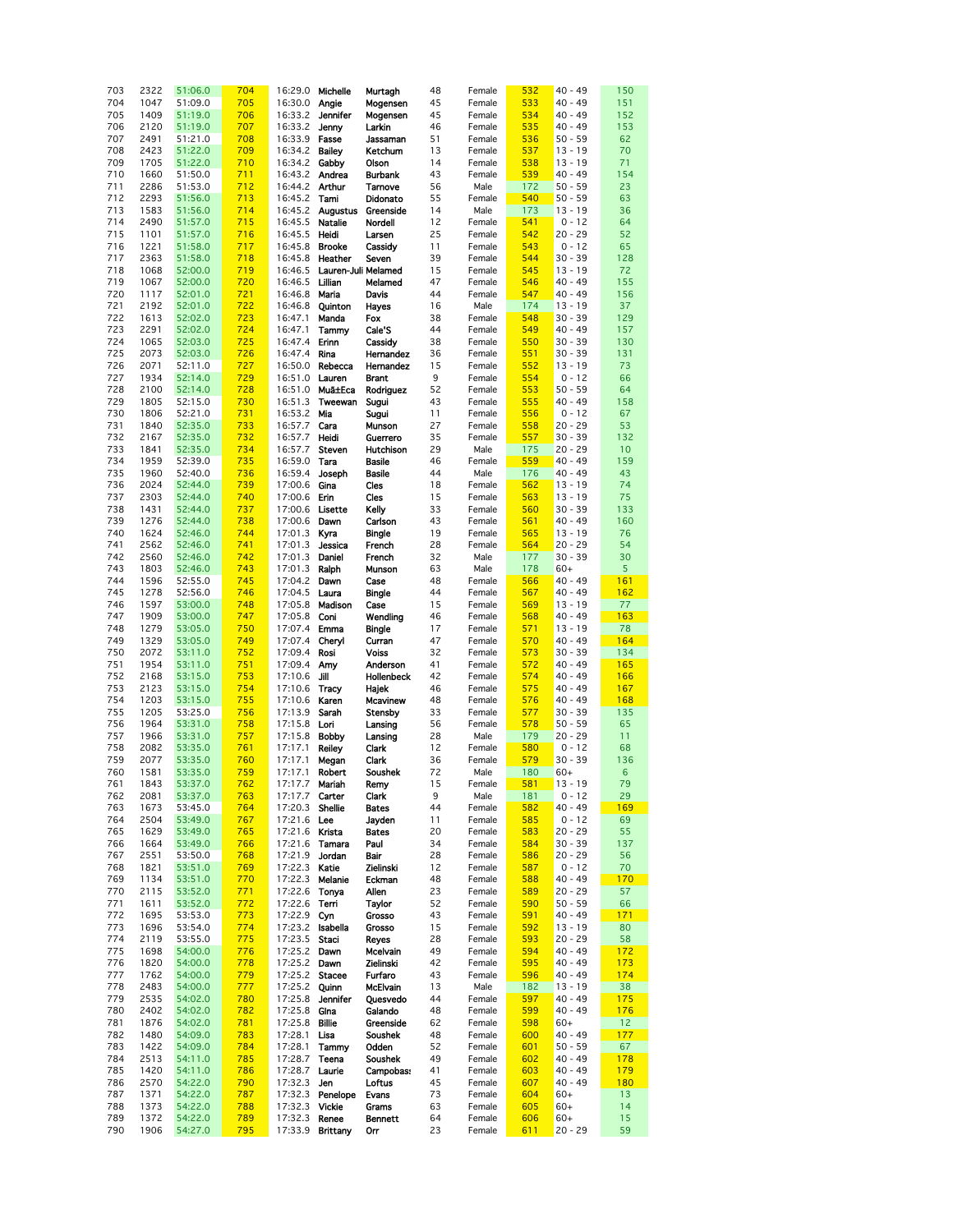| 703 | 2322 | 51:06.0 | 704 | 16:29.0        | Michelle            | Murtagh           | 48 | Female | 532 | $40 - 49$ | 150             |
|-----|------|---------|-----|----------------|---------------------|-------------------|----|--------|-----|-----------|-----------------|
| 704 | 1047 | 51:09.0 | 705 | 16:30.0        | Angie               | Mogensen          | 45 | Female | 533 | $40 - 49$ | 151             |
| 705 | 1409 | 51:19.0 | 706 | 16:33.2        | Jennifer            | Mogensen          | 45 | Female | 534 | $40 - 49$ | 152             |
|     |      |         |     |                |                     |                   |    |        |     |           |                 |
| 706 | 2120 | 51:19.0 | 707 | 16:33.2        | Jenny               | Larkin            | 46 | Female | 535 | $40 - 49$ | 153             |
| 707 | 2491 | 51:21.0 | 708 | 16:33.9        | Fasse               | Jassaman          | 51 | Female | 536 | $50 - 59$ | 62              |
|     |      |         |     |                |                     |                   |    |        |     |           |                 |
| 708 | 2423 | 51:22.0 | 709 | 16:34.2        | <b>Bailey</b>       | Ketchum           | 13 | Female | 537 | $13 - 19$ | 70              |
| 709 | 1705 | 51:22.0 | 710 | 16:34.2        | Gabby               | Olson             | 14 | Female | 538 | $13 - 19$ | 71              |
| 710 | 1660 | 51:50.0 | 711 | 16:43.2        | Andrea              | <b>Burbank</b>    | 43 | Female | 539 | $40 - 49$ | 154             |
|     |      |         |     |                |                     |                   |    |        |     |           |                 |
| 711 | 2286 | 51:53.0 | 712 | 16:44.2        | <b>Arthur</b>       | Tamove            | 56 | Male   | 172 | $50 - 59$ | 23              |
| 712 | 2293 | 51:56.0 | 713 | 16:45.2        | Tami                | Didonato          | 55 | Female | 540 | $50 - 59$ | 63              |
|     |      |         |     |                |                     |                   |    |        |     |           |                 |
| 713 | 1583 | 51:56.0 | 714 | 16:45.2        | <b>Augustus</b>     | Greenside         | 14 | Male   | 173 | $13 - 19$ | 36              |
| 714 | 2490 | 51:57.0 | 715 | 16:45.5        | Natalie             | Nordell           | 12 | Female | 541 | $0 - 12$  | 64              |
|     | 1101 | 51:57.0 | 716 | 16:45.5        | Heidi               | Larsen            | 25 |        | 542 | $20 - 29$ | 52              |
| 715 |      |         |     |                |                     |                   |    | Female |     |           |                 |
| 716 | 1221 | 51:58.0 | 717 | 16:45.8        | <b>Brooke</b>       | Cassidy           | 11 | Female | 543 | $0 - 12$  | 65              |
| 717 | 2363 | 51:58.0 | 718 | 16:45.8        | Heather             | Seven             | 39 | Female | 544 | $30 - 39$ | 128             |
|     |      |         |     |                |                     |                   |    |        |     |           |                 |
| 718 | 1068 | 52:00.0 | 719 | 16:46.5        | Lauren-Juli Melamed |                   | 15 | Female | 545 | $13 - 19$ | 72              |
| 719 | 1067 | 52:00.0 | 720 | 16:46.5        | Lilian              | Melamed           | 47 | Female | 546 | $40 - 49$ | 155             |
| 720 | 1117 | 52:01.0 | 721 | 16:46.8        | Maria               | Davis             | 44 | Female | 547 | $40 - 49$ | 156             |
|     |      |         |     |                |                     |                   |    |        |     |           |                 |
| 721 | 2192 | 52:01.0 | 722 | 16:46.8        | Quinton             | <b>Hayes</b>      | 16 | Male   | 174 | $13 - 19$ | 37              |
| 722 | 1613 | 52:02.0 | 723 | 16:47.1        | Manda               | Fox               | 38 | Female | 548 | $30 - 39$ | 129             |
| 723 | 2291 | 52:02.0 | 724 | 16:47.1        | Tammy               | Cale'S            | 44 | Female | 549 | $40 - 49$ | 157             |
|     |      |         |     |                |                     |                   |    |        |     |           |                 |
| 724 | 1065 | 52:03.0 | 725 | 16:47.4        | Erinn               | Cassidy           | 38 | Female | 550 | $30 - 39$ | 130             |
| 725 | 2073 | 52:03.0 | 726 | 16:47.4        | Rina                | Hernandez         | 36 | Female | 551 | $30 - 39$ | 131             |
|     |      |         |     |                |                     |                   |    |        |     |           |                 |
| 726 | 2071 | 52:11.0 | 727 | 16:50.0        | Rebecca             | Hernandez         | 15 | Female | 552 | $13 - 19$ | 73              |
| 727 | 1934 | 52:14.0 | 729 | 16:51.0        | Lauren              | <b>Brant</b>      | 9  | Female | 554 | $0 - 12$  | 66              |
| 728 | 2100 | 52:14.0 | 728 | 16:51.0        | Muã±Eca             | Rodriguez         | 52 | Female | 553 | $50 - 59$ | 64              |
|     |      |         |     |                |                     |                   |    |        |     |           |                 |
| 729 | 1805 | 52:15.0 | 730 | 16:51.3        | Tweewan             | Sugui             | 43 | Female | 555 | $40 - 49$ | 158             |
| 730 | 1806 | 52:21.0 | 731 | 16:53.2        | Mia                 | Sugui             | 11 | Female | 556 | $0 - 12$  | 67              |
|     |      |         |     |                |                     |                   |    |        |     | $20 - 29$ |                 |
| 731 | 1840 | 52:35.0 | 733 | 16:57.7        | Cara                | Munson            | 27 | Female | 558 |           | 53              |
| 732 | 2167 | 52:35.0 | 732 | 16:57.7        | Heidi               | Guerrero          | 35 | Female | 557 | $30 - 39$ | 132             |
| 733 | 1841 | 52:35.0 | 734 | 16:57.7        | Steven              | <b>Hutchison</b>  | 29 | Male   | 175 | $20 - 29$ | 10              |
|     |      |         |     |                |                     |                   |    |        |     |           |                 |
| 734 | 1959 | 52:39.0 | 735 | 16:59.0        | Tara                | <b>Basile</b>     | 46 | Female | 559 | $40 - 49$ | 159             |
| 735 | 1960 | 52:40.0 | 736 | 16:59.4        | Joseph              | <b>Basile</b>     | 44 | Male   | 176 | $40 - 49$ | 43              |
| 736 | 2024 | 52:44.0 | 739 | 17:00.6        | Gina                | Cles              | 18 | Female | 562 | $13 - 19$ | 74              |
|     |      |         |     |                |                     |                   |    |        |     |           |                 |
| 737 | 2303 | 52:44.0 | 740 | 17:00.6        | Erin                | Cles              | 15 | Female | 563 | $13 - 19$ | 75              |
| 738 | 1431 | 52:44.0 | 737 | 17:00.6        | Lisette             | Kelly             | 33 | Female | 560 | $30 - 39$ | 133             |
| 739 | 1276 | 52:44.0 | 738 | 17:00.6        |                     |                   | 43 | Female | 561 | $40 - 49$ | 160             |
|     |      |         |     |                | Dawn                | Carlson           |    |        |     |           |                 |
| 740 | 1624 | 52:46.0 | 744 | 17:01.3        | Kyra                | <b>Bingle</b>     | 19 | Female | 565 | $13 - 19$ | 76              |
| 741 | 2562 | 52:46.0 | 741 | 17:01.3        | Jessica             | French            | 28 | Female | 564 | $20 - 29$ | 54              |
|     |      |         |     |                |                     |                   |    |        |     |           |                 |
| 742 | 2560 | 52:46.0 | 742 | 17:01.3        | Daniel              | French            | 32 | Male   | 177 | $30 - 39$ | 30              |
| 743 | 1803 | 52:46.0 | 743 | 17:01.3        | Ralph               | Munson            | 63 | Male   | 178 | $60+$     | 5               |
| 744 | 1596 | 52:55.0 | 745 | 17:04.2        | Dawn                | Case              | 48 | Female | 566 | $40 - 49$ | 161             |
|     |      |         |     |                |                     |                   |    |        |     |           |                 |
| 745 | 1278 | 52:56.0 | 746 | 17:04.5        | Laura               | <b>Bingle</b>     | 44 | Female | 567 | $40 - 49$ | 162             |
| 746 | 1597 | 53:00.0 | 748 | 17:05.8        | Madison             | Case              | 15 | Female | 569 | $13 - 19$ | 77              |
| 747 | 1909 |         | 747 | 17:05.8        |                     |                   | 46 |        |     | $40 - 49$ | 163             |
|     |      | 53:00.0 |     |                | Coni                | Wendling          |    | Female | 568 |           |                 |
| 748 | 1279 | 53:05.0 | 750 | 17:07.4        | Emma                | <b>Bingle</b>     | 17 | Female | 571 | $13 - 19$ | 78              |
| 749 | 1329 | 53:05.0 | 749 | 17:07.4        | Cheryl              | Curran            | 47 | Female | 570 | $40 - 49$ | 164             |
|     |      |         |     |                |                     |                   |    |        |     |           |                 |
| 750 | 2072 | 53:11.0 | 752 | 17:09.4        | Rosi                | <b>Voiss</b>      | 32 | Female | 573 | $30 - 39$ | 134             |
| 751 | 1954 | 53:11.0 | 751 | 17:09.4        | Amy                 | Anderson          | 41 | Female | 572 | $40 - 49$ | 165             |
| 752 | 2168 | 53:15.0 | 753 | 17:10.6        | Jill                | <b>Hollenbeck</b> | 42 | Female | 574 | $40 - 49$ | 166             |
|     |      |         |     |                |                     |                   |    |        |     |           |                 |
| 753 | 2123 | 53:15.0 | 754 | 17:10.6        | Tracy               | Hajek             | 46 | Female | 575 | $40 - 49$ | 167             |
| 754 | 1203 | 53:15.0 | 755 | 17:10.6        | Karen               | Mcavinew          | 48 | Female | 576 | $40 - 49$ | 168             |
| 755 | 1205 | 53:25.0 | 756 | 17:13.9        | Sarah               | Stensby           | 33 | Female | 577 | $30 - 39$ | 135             |
|     |      |         |     |                |                     |                   |    |        |     |           |                 |
| 756 | 1964 | 53:31.0 | 758 | 17:15.8        | Lori                | Lansing           | 56 | Female | 578 | $50 - 59$ | 65              |
| 757 | 1966 | 53:31.0 | 757 | 17:15.8        | <b>Bobby</b>        | Lansing           | 28 | Male   | 179 | $20 - 29$ | 11              |
|     |      |         |     |                |                     |                   |    |        |     |           |                 |
| 758 | 2082 | 53:35.0 | 761 | 17:17.1        | <b>Reiley</b>       | Clark             | 12 | Female | 580 | $0 - 12$  | 68              |
| 759 | 2077 | 53:35.0 | 760 | 17:17.1        | Megan               | Clark             | 36 | Female | 579 | $30 - 39$ | 136             |
| 760 | 1581 | 53:35.0 | 759 | 17:17.1        | <b>Robert</b>       | Soushek           | 72 | Male   | 180 | $60+$     | $6\phantom{1}6$ |
|     |      |         |     |                |                     |                   |    |        |     |           |                 |
| 761 | 1843 | 53:37.0 | 762 | 17:17.7        | Mariah              | Remy              | 15 | Female | 581 | $13 - 19$ | 79              |
| 762 | 2081 | 53:37.0 | 763 | 17:17.7        | Carter              | Clark             | 9  | Male   | 181 | $0 - 12$  | 29              |
| 763 | 1673 | 53:45.0 | 764 | 17:20.3        | Shellie             | <b>Bates</b>      | 44 | Female | 582 | $40 - 49$ | 169             |
|     |      |         |     |                |                     |                   |    |        |     |           |                 |
| 764 | 2504 | 53:49.0 | 767 | 17:21.6 Lee    |                     | Jayden            | 11 | Female | 585 | $0 - 12$  | 69              |
| 765 | 1629 | 53:49.0 | 765 | 17:21.6 Krista |                     | <b>Bates</b>      | 20 | Female | 583 | $20 - 29$ | 55              |
| 766 | 1664 | 53:49.0 | 766 | 17:21.6        | Tamara              | Paul              | 34 | Female | 584 | $30 - 39$ | 137             |
|     |      |         |     |                |                     |                   |    |        |     |           |                 |
| 767 | 2551 | 53:50.0 | 768 | 17:21.9        | Jordan              | Bair              | 28 | Female | 586 | $20 - 29$ | 56              |
| 768 | 1821 | 53:51.0 | 769 | 17:22.3        | Katie               | Zielinski         | 12 | Female | 587 | $0 - 12$  | 70              |
| 769 | 1134 | 53:51.0 | 770 | 17:22.3        | Melanie             | Eckman            | 48 | Female | 588 | $40 - 49$ | 170             |
|     |      |         |     |                |                     |                   |    |        |     |           |                 |
| 770 | 2115 | 53:52.0 | 771 | 17:22.6        | Tonya               | Allen             | 23 | Female | 589 | $20 - 29$ | 57              |
| 771 | 1611 | 53:52.0 | 772 | 17:22.6        | Tem                 | Taylor            | 52 | Female | 590 | $50 - 59$ | 66              |
|     |      |         | 773 | 17:22.9        |                     | Grosso            | 43 |        | 591 | 40 - 49   | 171             |
| 772 | 1695 | 53:53.0 |     |                | Cyn                 |                   |    | Female |     |           |                 |
| 773 | 1696 | 53:54.0 | 774 | 17:23.2        | Isabella            | Grosso            | 15 | Female | 592 | $13 - 19$ | 80              |
| 774 | 2119 | 53:55.0 | 775 | 17:23.5        | Staci               | Reyes             | 28 | Female | 593 | $20 - 29$ | 58              |
|     |      |         |     |                |                     |                   | 49 |        |     | $40 - 49$ |                 |
| 775 | 1698 | 54:00.0 | 776 | 17:25.2        | Dawn                | Mcelvain          |    | Female | 594 |           | 172             |
| 776 | 1820 | 54:00.0 | 778 | 17:25.2        | Dawn                | Zielinski         | 42 | Female | 595 | $40 - 49$ | 173             |
| 777 | 1762 | 54:00.0 | 779 | 17:25.2        | Stacee              | Furfaro           | 43 | Female | 596 | $40 - 49$ | 174             |
|     |      |         |     |                |                     |                   |    |        |     |           |                 |
| 778 | 2483 | 54:00.0 | 777 | 17:25.2        | Quinn               | McElvain          | 13 | Male   | 182 | $13 - 19$ | 38              |
| 779 | 2535 | 54:02.0 | 780 | 17:25.8        | <b>Jennifer</b>     | Quesvedo          | 44 | Female | 597 | 40 - 49   | 175             |
| 780 | 2402 | 54:02.0 | 782 | 17:25.8        | Gina                | Galando           | 48 | Female | 599 | $40 - 49$ | 176             |
|     |      |         |     |                |                     |                   |    |        |     |           |                 |
| 781 | 1876 | 54:02.0 | 781 | 17:25.8        | <b>Billie</b>       | Greenside         | 62 | Female | 598 | $60+$     | 12              |
| 782 | 1480 | 54:09.0 | 783 | 17:28.1        | Lisa                | Soushek           | 48 | Female | 600 | $40 - 49$ | 177             |
| 783 | 1422 | 54:09.0 | 784 | 17:28.1        | Tammy               | Odden             | 52 | Female | 601 | $50 - 59$ | 67              |
|     |      |         |     |                |                     |                   |    |        |     |           |                 |
| 784 | 2513 | 54:11.0 | 785 | 17:28.7        | Teena               | Soushek           | 49 | Female | 602 | $40 - 49$ | 178             |
| 785 | 1420 | 54:11.0 | 786 | 17:28.7        | Laurie              | <b>Campobass</b>  | 41 | Female | 603 | $40 - 49$ | 179             |
| 786 | 2570 | 54:22.0 | 790 | 17:32.3        | Jen                 | Loftus            | 45 | Female | 607 | $40 - 49$ | 180             |
|     |      |         |     |                |                     |                   |    |        |     |           |                 |
| 787 | 1371 | 54:22.0 | 787 | 17:32.3        | Penelope            | Evans             | 73 | Female | 604 | $60+$     | 13              |
| 788 | 1373 | 54:22.0 | 788 | 17:32.3        | Vickie              | Grams             | 63 | Female | 605 | $60+$     | 14              |
|     |      |         | 789 |                |                     |                   |    |        |     | $60+$     |                 |
| 789 | 1372 | 54:22.0 |     | 17:32.3        | Renee               | Bennett           | 64 | Female | 606 |           | 15              |
| 790 | 1906 | 54:27.0 | 795 |                | 17:33.9 Brittany    | Orr               | 23 | Female | 611 | $20 - 29$ | 59              |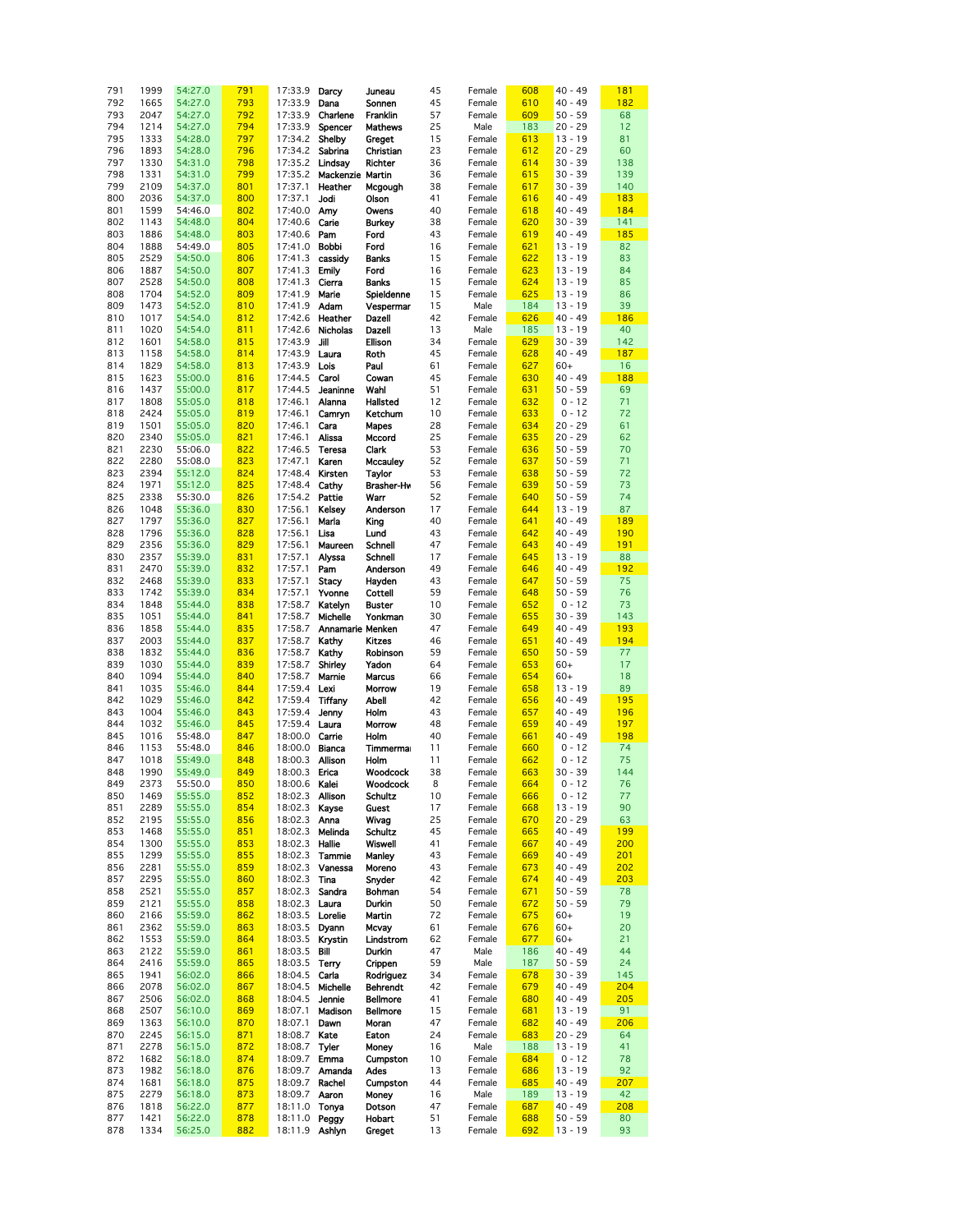| 791 | 1999 | 54:27.0 | 791 | 17:33.9                | Darcy            | Juneau          | 45 | Female | 608 | $40 - 49$ | 181 |
|-----|------|---------|-----|------------------------|------------------|-----------------|----|--------|-----|-----------|-----|
|     |      |         |     |                        |                  |                 |    |        |     |           |     |
| 792 | 1665 | 54:27.0 | 793 | 17:33.9                | Dana             | Sonnen          | 45 | Female | 610 | $40 - 49$ | 182 |
| 793 | 2047 | 54:27.0 | 792 | 17:33.9                | Charlene         | Franklin        | 57 | Female | 609 | $50 - 59$ | 68  |
| 794 | 1214 | 54:27.0 | 794 | 17:33.9                | Spencer          | Mathews         | 25 | Male   | 183 | $20 - 29$ | 12  |
|     |      |         |     |                        |                  |                 |    |        |     |           |     |
| 795 | 1333 | 54:28.0 | 797 | 17:34.2                | Shelby           | Greget          | 15 | Female | 613 | $13 - 19$ | 81  |
| 796 | 1893 | 54:28.0 | 796 | 17:34.2                | Sabrina          | Christian       | 23 | Female | 612 | $20 - 29$ | 60  |
|     |      |         |     |                        |                  |                 |    |        |     |           |     |
| 797 | 1330 | 54:31.0 | 798 | 17:35.2 <b>Lindsay</b> |                  | Richter         | 36 | Female | 614 | $30 - 39$ | 138 |
| 798 | 1331 | 54:31.0 | 799 | 17:35.2                | Mackenzie Martin |                 | 36 | Female | 615 | $30 - 39$ | 139 |
| 799 | 2109 | 54:37.0 | 801 | 17:37.1                | Heather          | Mcgough         | 38 | Female | 617 | $30 - 39$ | 140 |
|     |      |         |     |                        |                  |                 |    |        |     | $40 - 49$ |     |
| 800 | 2036 | 54:37.0 | 800 | 17:37.1                | Jodi             | Olson           | 41 | Female | 616 |           | 183 |
| 801 | 1599 | 54:46.0 | 802 | 17:40.0 Amy            |                  | Owens           | 40 | Female | 618 | $40 - 49$ | 184 |
| 802 | 1143 | 54:48.0 | 804 | 17:40.6                | Carie            | <b>Burkey</b>   | 38 | Female | 620 | $30 - 39$ | 141 |
|     |      |         |     |                        |                  |                 |    |        |     |           |     |
| 803 | 1886 | 54:48.0 | 803 | 17:40.6                | Pam              | Ford            | 43 | Female | 619 | $40 - 49$ | 185 |
| 804 | 1888 | 54:49.0 | 805 | 17:41.0                | <b>Bobbi</b>     | Ford            | 16 | Female | 621 | $13 - 19$ | 82  |
| 805 | 2529 | 54:50.0 | 806 | 17:41.3                | cassidy          | <b>Banks</b>    | 15 | Female | 622 | $13 - 19$ | 83  |
|     |      |         |     |                        |                  |                 |    |        |     |           |     |
| 806 | 1887 | 54:50.0 | 807 | 17:41.3                | Emily            | Ford            | 16 | Female | 623 | $13 - 19$ | 84  |
| 807 | 2528 | 54:50.0 | 808 | 17:41.3                | Cierra           | <b>Banks</b>    | 15 | Female | 624 | $13 - 19$ | 85  |
|     |      | 54:52.0 |     |                        | Marie            |                 |    |        |     |           |     |
| 808 | 1704 |         | 809 | 17:41.9                |                  | Spieldenne      | 15 | Female | 625 | $13 - 19$ | 86  |
| 809 | 1473 | 54:52.0 | 810 | 17:41.9                | Adam             | Vespermar       | 15 | Male   | 184 | $13 - 19$ | 39  |
| 810 | 1017 | 54:54.0 | 812 | 17:42.6                | Heather          | Dazell          | 42 | Female | 626 | $40 - 49$ | 186 |
|     |      |         |     |                        |                  |                 |    |        |     |           |     |
| 811 | 1020 | 54:54.0 | 811 |                        | 17:42.6 Nicholas | Dazell          | 13 | Male   | 185 | $13 - 19$ | 40  |
| 812 | 1601 | 54:58.0 | 815 | 17:43.9                | Jill             | Ellison         | 34 | Female | 629 | $30 - 39$ | 142 |
| 813 | 1158 | 54:58.0 | 814 | 17:43.9                | Laura            | Roth            | 45 | Female | 628 | $40 - 49$ | 187 |
|     |      |         |     |                        |                  |                 |    |        |     |           |     |
| 814 | 1829 | 54:58.0 | 813 | 17:43.9                | Lois             | Paul            | 61 | Female | 627 | $60+$     | 16  |
| 815 | 1623 | 55:00.0 | 816 | 17:44.5                | Carol            | Cowan           | 45 | Female | 630 | $40 - 49$ | 188 |
| 816 | 1437 | 55:00.0 | 817 | 17:44.5                | Jeaninne         | Wahl            | 51 | Female | 631 | $50 - 59$ | 69  |
|     |      |         |     |                        |                  |                 |    |        |     |           |     |
| 817 | 1808 | 55:05.0 | 818 | 17:46.1                | Alanna           | Hallsted        | 12 | Female | 632 | $0 - 12$  | 71  |
| 818 | 2424 | 55:05.0 | 819 | 17:46.1                | Camryn           | Ketchum         | 10 | Female | 633 | $0 - 12$  | 72  |
| 819 | 1501 | 55:05.0 | 820 | 17:46.1                | Cara             | Mapes           | 28 | Female | 634 | $20 - 29$ | 61  |
|     |      |         |     |                        |                  |                 |    |        |     |           |     |
| 820 | 2340 | 55:05.0 | 821 | 17:46.1                | Alissa           | Mccord          | 25 | Female | 635 | $20 - 29$ | 62  |
| 821 | 2230 | 55:06.0 | 822 | 17:46.5                | <b>Teresa</b>    | Clark           | 53 | Female | 636 | $50 - 59$ | 70  |
| 822 | 2280 | 55:08.0 | 823 | 17:47.1                | Karen            | <b>Mccauley</b> | 52 | Female | 637 | $50 - 59$ | 71  |
|     |      |         |     |                        |                  |                 |    |        |     |           |     |
| 823 | 2394 | 55:12.0 | 824 | 17:48.4                | Kirsten          | Taylor          | 53 | Female | 638 | $50 - 59$ | 72  |
| 824 | 1971 | 55:12.0 | 825 | 17:48.4                | Cathy            | Brasher-Hw      | 56 | Female | 639 | $50 - 59$ | 73  |
| 825 | 2338 | 55:30.0 | 826 | 17:54.2 Pattie         |                  | Warr            | 52 | Female | 640 | $50 - 59$ | 74  |
|     |      |         |     |                        |                  |                 |    |        |     |           |     |
| 826 | 1048 | 55:36.0 | 830 | 17:56.1                | Kelsey           | Anderson        | 17 | Female | 644 | $13 - 19$ | 87  |
| 827 | 1797 | 55:36.0 | 827 | 17:56.1                | Maria            | King            | 40 | Female | 641 | $40 - 49$ | 189 |
| 828 | 1796 | 55:36.0 | 828 | 17:56.1                | Lisa             | Lund            | 43 | Female | 642 | $40 - 49$ | 190 |
|     |      |         |     |                        |                  |                 |    |        |     |           |     |
| 829 | 2356 | 55:36.0 | 829 | 17:56.1                | Maureen          | Schnell         | 47 | Female | 643 | $40 - 49$ | 191 |
| 830 | 2357 | 55:39.0 | 831 | 17:57.1                | Alyssa           | Schnell         | 17 | Female | 645 | $13 - 19$ | 88  |
| 831 | 2470 | 55:39.0 | 832 | 17:57.1                | Pam              | Anderson        | 49 | Female | 646 | $40 - 49$ | 192 |
|     |      |         |     |                        |                  |                 |    |        |     |           |     |
| 832 | 2468 | 55:39.0 | 833 | 17:57.1                | <b>Stacy</b>     | Hayden          | 43 | Female | 647 | $50 - 59$ | 75  |
| 833 | 1742 | 55:39.0 | 834 | 17:57.1                | Yvonne           | Cottell         | 59 | Female | 648 | $50 - 59$ | 76  |
| 834 | 1848 | 55:44.0 | 838 | 17:58.7                | Katelyn          | <b>Buster</b>   | 10 | Female | 652 | $0 - 12$  | 73  |
|     |      |         |     |                        |                  |                 |    |        |     |           |     |
| 835 | 1051 | 55:44.0 | 841 | 17:58.7                | Michelle         | Yonkman         | 30 | Female | 655 | $30 - 39$ | 143 |
| 836 | 1858 | 55:44.0 | 835 | 17:58.7                | Annamarie Menken |                 | 47 | Female | 649 | $40 - 49$ | 193 |
| 837 | 2003 | 55:44.0 | 837 | 17:58.7                | Kathy            | <b>Kitzes</b>   | 46 | Female | 651 | $40 - 49$ | 194 |
|     |      |         |     |                        |                  |                 |    |        |     |           |     |
| 838 | 1832 | 55:44.0 | 836 | 17:58.7                | Kathy            | Robinson        | 59 | Female | 650 | $50 - 59$ | 77  |
| 839 | 1030 | 55:44.0 | 839 | 17:58.7                | Shirley          | Yadon           | 64 | Female | 653 | $60+$     | 17  |
| 840 | 1094 | 55:44.0 | 840 | 17:58.7                | Marnie           | <b>Marcus</b>   | 66 | Female | 654 | $60+$     | 18  |
|     |      |         |     |                        |                  |                 |    |        |     |           |     |
| 841 | 1035 | 55:46.0 | 844 | 17:59.4                | Lexi             | Morrow          | 19 | Female | 658 | $13 - 19$ | 89  |
| 842 | 1029 | 55:46.0 | 842 | 17:59.4                | Tiffany          | Abell           | 42 | Female | 656 | $40 - 49$ | 195 |
| 843 | 1004 | 55:46.0 | 843 | 17:59.4                | Jenny            | Holm            | 43 | Female | 657 | $40 - 49$ | 196 |
|     |      |         |     |                        |                  |                 |    |        |     |           |     |
| 844 | 1032 | 55:46.0 | 845 | 17:59.4 Laura          |                  | Morrow          | 48 | Female | 659 | $40 - 49$ | 197 |
| 845 | 1016 | 55:48.0 | 847 | 18:00.0                | Carrie           | Holm            | 40 | Female | 661 | $40 - 49$ | 198 |
| 846 | 1153 | 55:48.0 | 846 | 18:00.0                | Bianca           | Timmerma        | 11 | Female | 660 | $0 - 12$  | 74  |
|     |      |         |     |                        |                  |                 |    |        |     |           |     |
| 847 | 1018 | 55:49.0 | 848 | 18:00.3 Allison        |                  | Holm            | 11 | Female | 662 | $0 - 12$  | 75  |
| 848 | 1990 | 55:49.0 | 849 | 18:00.3 Erica          |                  | Woodcock        | 38 | Female | 663 | $30 - 39$ | 144 |
| 849 | 2373 | 55:50.0 | 850 | 18:00.6 Kalei          |                  | Woodcock        | 8  | Female | 664 | $0 - 12$  | 76  |
|     |      |         | 852 |                        |                  | <b>Schultz</b>  |    |        |     | $0 - 12$  |     |
| 850 | 1469 | 55:55.0 |     | 18:02.3 Allison        |                  |                 | 10 | Female | 666 |           | 77  |
| 851 | 2289 | 55:55.0 | 854 | 18:02.3                | Kayse            | Guest           | 17 | Female | 668 | $13 - 19$ | 90  |
| 852 | 2195 | 55:55.0 | 856 | 18:02.3                | Anna             | Wivag           | 25 | Female | 670 | $20 - 29$ | 63  |
| 853 | 1468 | 55:55.0 | 851 | 18:02.3                | Melinda          | <b>Schultz</b>  | 45 | Female | 665 | $40 - 49$ | 199 |
|     |      |         |     |                        |                  |                 |    |        |     |           |     |
| 854 | 1300 | 55:55.0 | 853 | 18:02.3                | Hallie           | Wiswell         | 41 | Female | 667 | 40 - 49   | 200 |
| 855 | 1299 | 55:55.0 | 855 | 18:02.3                | Tammie           | Manley          | 43 | Female | 669 | 40 - 49   | 201 |
| 856 | 2281 | 55:55.0 | 859 | 18:02.3                | Vanessa          | Moreno          | 43 | Female | 673 | $40 - 49$ | 202 |
|     |      |         |     |                        |                  |                 |    |        |     |           |     |
| 857 | 2295 | 55:55.0 | 860 | 18:02.3                | Tina             | Snyder          | 42 | Female | 674 | $40 - 49$ | 203 |
| 858 | 2521 | 55:55.0 | 857 | 18:02.3                | Sandra           | Bohman          | 54 | Female | 671 | $50 - 59$ | 78  |
| 859 | 2121 | 55:55.0 | 858 | 18:02.3 Laura          |                  | Durkin          | 50 | Female | 672 | $50 - 59$ | 79  |
| 860 |      | 55:59.0 |     | 18:03.5                | Lorelie          | Martin          | 72 | Female |     | $60+$     | 19  |
|     | 2166 |         | 862 |                        |                  |                 |    |        | 675 |           |     |
| 861 | 2362 | 55:59.0 | 863 | 18:03.5                | Dyann            | Mcvay           | 61 | Female | 676 | $60+$     | 20  |
| 862 | 1553 | 55:59.0 | 864 | 18:03.5                | Krystin          | Lindstrom       | 62 | Female | 677 | $60+$     | 21  |
| 863 | 2122 | 55:59.0 | 861 | 18:03.5                | Bill             | Durkin          | 47 | Male   | 186 | $40 - 49$ | 44  |
|     |      |         |     |                        |                  |                 |    |        |     |           |     |
| 864 | 2416 | 55:59.0 | 865 | 18:03.5                | Terry            | Crippen         | 59 | Male   | 187 | $50 - 59$ | 24  |
| 865 | 1941 | 56:02.0 | 866 | 18:04.5                | Carla            | Rodriguez       | 34 | Female | 678 | $30 - 39$ | 145 |
| 866 | 2078 | 56:02.0 | 867 | 18:04.5                | Michelle         | Behrendt        | 42 | Female | 679 | $40 - 49$ | 204 |
|     |      |         |     |                        |                  |                 |    |        |     |           |     |
| 867 | 2506 | 56:02.0 | 868 | 18:04.5                | Jennie           | <b>Bellmore</b> | 41 | Female | 680 | $40 - 49$ | 205 |
| 868 | 2507 | 56:10.0 | 869 | 18:07.1                | Madison          | <b>Bellmore</b> | 15 | Female | 681 | $13 - 19$ | 91  |
| 869 | 1363 | 56:10.0 | 870 | 18:07.1                | Dawn             | Moran           | 47 | Female | 682 | $40 - 49$ | 206 |
|     |      |         |     |                        |                  |                 |    |        |     |           |     |
| 870 | 2245 | 56:15.0 | 871 | 18:08.7                | Kate             | Eaton           | 24 | Female | 683 | $20 - 29$ | 64  |
| 871 | 2278 | 56:15.0 | 872 | 18:08.7                | Tyler            | Money           | 16 | Male   | 188 | $13 - 19$ | 41  |
| 872 | 1682 | 56:18.0 | 874 | 18:09.7                | Emma             | Cumpston        | 10 | Female | 684 | $0 - 12$  | 78  |
|     |      |         |     |                        |                  |                 |    |        |     |           |     |
| 873 | 1982 | 56:18.0 | 876 | 18:09.7                | Amanda           | Ades            | 13 | Female | 686 | $13 - 19$ | 92  |
| 874 | 1681 | 56:18.0 | 875 | 18:09.7                | Rachel           | Cumpston        | 44 | Female | 685 | $40 - 49$ | 207 |
| 875 | 2279 | 56:18.0 | 873 | 18:09.7                | Aaron            | Money           | 16 | Male   | 189 | $13 - 19$ | 42  |
| 876 | 1818 | 56:22.0 | 877 | 18:11.0 Tonya          |                  | Dotson          | 47 | Female | 687 | $40 - 49$ | 208 |
|     |      |         |     |                        |                  |                 |    |        |     |           |     |
| 877 | 1421 | 56:22.0 | 878 | 18:11.0 <b>Peggy</b>   |                  | Hobart          | 51 | Female | 688 | $50 - 59$ | 80  |
| 878 | 1334 | 56:25.0 | 882 | 18:11.9 Ashlyn         |                  | Greget          | 13 | Female | 692 | $13 - 19$ | 93  |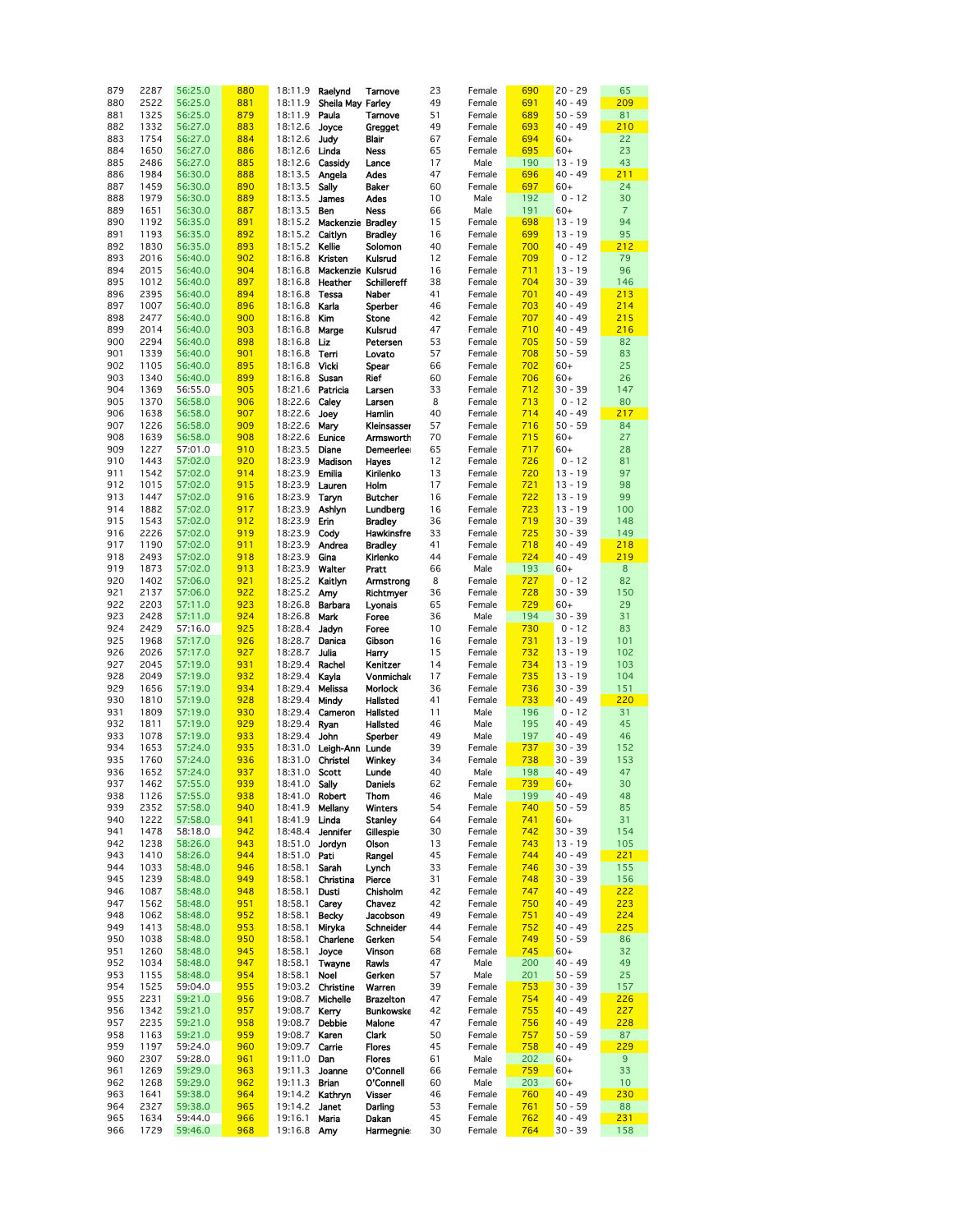| 879 | 2287 | 56:25.0 | 880 | 18:11.9               | Raelynd           | Tamove             | 23 | Female | 690 | $20 - 29$ | 65             |
|-----|------|---------|-----|-----------------------|-------------------|--------------------|----|--------|-----|-----------|----------------|
| 880 | 2522 | 56:25.0 | 881 | 18:11.9               | Sheila May Farley |                    | 49 | Female | 691 | $40 - 49$ | 209            |
| 881 | 1325 | 56:25.0 | 879 | 18:11.9               | Paula             | Tamove             | 51 | Female | 689 | $50 - 59$ | 81             |
| 882 | 1332 | 56:27.0 | 883 | 18:12.6               |                   |                    | 49 | Female | 693 | $40 - 49$ | 210            |
|     |      |         |     |                       | Joyce             | <b>Gregget</b>     |    |        |     |           |                |
| 883 | 1754 | 56:27.0 | 884 | 18:12.6               | Judy              | Blair              | 67 | Female | 694 | $60+$     | 22             |
| 884 | 1650 | 56:27.0 | 886 | 18:12.6               | Linda             | Ness               | 65 | Female | 695 | $60+$     | 23             |
| 885 | 2486 | 56:27.0 | 885 | 18:12.6               | Cassidy           | Lance              | 17 | Male   | 190 | $13 - 19$ | 43             |
| 886 | 1984 | 56:30.0 | 888 | 18:13.5               | Angela            | Ades               | 47 | Female | 696 | $40 - 49$ | 211            |
| 887 | 1459 | 56:30.0 | 890 | 18:13.5               | Sally             | Baker              | 60 | Female | 697 | $60+$     | 24             |
| 888 | 1979 | 56:30.0 | 889 | 18:13.5               | James             | Ades               | 10 | Male   | 192 | $0 - 12$  | 30             |
|     |      |         |     |                       |                   |                    |    |        |     |           |                |
| 889 | 1651 | 56:30.0 | 887 | 18:13.5               | Ben               | <b>Ness</b>        | 66 | Male   | 191 | $60+$     | $\overline{7}$ |
| 890 | 1192 | 56:35.0 | 891 | 18:15.2               | Mackenzie Bradley |                    | 15 | Female | 698 | $13 - 19$ | 94             |
| 891 | 1193 | 56:35.0 | 892 | 18:15.2               | Caitlyn           | <b>Bradley</b>     | 16 | Female | 699 | $13 - 19$ | 95             |
| 892 | 1830 | 56:35.0 | 893 | 18:15.2 Kellie        |                   | Solomon            | 40 | Female | 700 | $40 - 49$ | 212            |
| 893 | 2016 | 56:40.0 | 902 | 18:16.8               | Kristen           | Kulsrud            | 12 | Female | 709 | $0 - 12$  | 79             |
|     |      |         |     |                       |                   |                    |    |        |     |           |                |
| 894 | 2015 | 56:40.0 | 904 | 18:16.8               | Mackenzie Kulsrud |                    | 16 | Female | 711 | $13 - 19$ | 96             |
| 895 | 1012 | 56:40.0 | 897 |                       | 18:16.8 Heather   | <b>Schillereff</b> | 38 | Female | 704 | $30 - 39$ | 146            |
| 896 | 2395 | 56:40.0 | 894 | 18:16.8               | <b>Tessa</b>      | Naber              | 41 | Female | 701 | $40 - 49$ | 213            |
| 897 | 1007 | 56:40.0 | 896 | 18:16.8 Karla         |                   | Sperber            | 46 | Female | 703 | $40 - 49$ | 214            |
| 898 | 2477 | 56:40.0 | 900 | 18:16.8               | Kim               | Stone              | 42 | Female | 707 | $40 - 49$ | 215            |
| 899 | 2014 | 56:40.0 | 903 | 18:16.8               | Marge             | Kulsrud            | 47 | Female | 710 | $40 - 49$ | 216            |
|     |      |         |     |                       |                   |                    |    |        |     |           |                |
| 900 | 2294 | 56:40.0 | 898 | 18:16.8               | Liz               | Petersen           | 53 | Female | 705 | $50 - 59$ | 82             |
| 901 | 1339 | 56:40.0 | 901 | 18:16.8               | Tem               | Lovato             | 57 | Female | 708 | $50 - 59$ | 83             |
| 902 | 1105 | 56:40.0 | 895 | 18:16.8               | Vicki             | Spear              | 66 | Female | 702 | $60+$     | 25             |
| 903 | 1340 | 56:40.0 | 899 | 18:16.8               | Susan             | Rief               | 60 | Female | 706 | $60+$     | 26             |
| 904 | 1369 | 56:55.0 | 905 | 18:21.6 Patricia      |                   | Larsen             | 33 | Female | 712 | $30 - 39$ | 147            |
|     |      |         |     |                       | Calev             |                    | 8  |        |     |           |                |
| 905 | 1370 | 56:58.0 | 906 | 18:22.6               |                   | Larsen             |    | Female | 713 | $0 - 12$  | 80             |
| 906 | 1638 | 56:58.0 | 907 | 18:22.6               | Joey              | Hamlin             | 40 | Female | 714 | $40 - 49$ | 217            |
| 907 | 1226 | 56:58.0 | 909 | 18:22.6               | Mary              | Kleinsasser        | 57 | Female | 716 | $50 - 59$ | 84             |
| 908 | 1639 | 56:58.0 | 908 | 18:22.6               | Eunice            | Armsworth          | 70 | Female | 715 | $60+$     | 27             |
| 909 | 1227 | 57:01.0 | 910 | 18:23.5               | Diane             | Demeerleer         | 65 | Female | 717 | $60+$     | 28             |
| 910 | 1443 | 57:02.0 | 920 |                       | 18:23.9 Madison   | Hayes              | 12 | Female | 726 | $0 - 12$  | 81             |
|     |      |         |     |                       |                   |                    |    |        |     |           |                |
| 911 | 1542 | 57:02.0 | 914 | 18:23.9 Emilia        |                   | Kirilenko          | 13 | Female | 720 | $13 - 19$ | 97             |
| 912 | 1015 | 57:02.0 | 915 | 18:23.9 Lauren        |                   | Holm               | 17 | Female | 721 | $13 - 19$ | 98             |
| 913 | 1447 | 57:02.0 | 916 | 18:23.9               | Taryn             | <b>Butcher</b>     | 16 | Female | 722 | $13 - 19$ | 99             |
| 914 | 1882 | 57:02.0 | 917 | 18:23.9               | Ashlyn            | Lundberg           | 16 | Female | 723 | $13 - 19$ | 100            |
| 915 | 1543 | 57:02.0 | 912 | 18:23.9               | Erin              | <b>Bradley</b>     | 36 | Female | 719 | $30 - 39$ | 148            |
| 916 | 2226 | 57:02.0 | 919 | 18:23.9               | Cody              | Hawkinsfre         | 33 | Female | 725 | $30 - 39$ | 149            |
|     | 1190 | 57:02.0 | 911 |                       |                   |                    | 41 |        | 718 | $40 - 49$ | 218            |
| 917 |      |         |     | 18:23.9 Andrea        |                   | <b>Bradley</b>     |    | Female |     |           |                |
| 918 | 2493 | 57:02.0 | 918 | 18:23.9               | Gina              | Kirlenko           | 44 | Female | 724 | $40 - 49$ | 219            |
| 919 | 1873 | 57:02.0 | 913 | 18:23.9               | Walter            | Pratt              | 66 | Male   | 193 | $60+$     | 8              |
| 920 | 1402 | 57:06.0 | 921 | 18:25.2 Kaitlyn       |                   | Armstrong          | 8  | Female | 727 | $0 - 12$  | 82             |
| 921 | 2137 | 57:06.0 | 922 | 18:25.2               | Amy               | Richtmyer          | 36 | Female | 728 | $30 - 39$ | 150            |
| 922 | 2203 | 57:11.0 | 923 | 18:26.8               | Barbara           | Lyonais            | 65 | Female | 729 | $60+$     | 29             |
| 923 | 2428 | 57:11.0 | 924 | 18:26.8               | Mark              | Foree              | 36 | Male   | 194 | $30 - 39$ | 31             |
|     |      |         | 925 |                       |                   |                    |    |        |     | $0 - 12$  | 83             |
| 924 | 2429 | 57:16.0 |     | 18:28.4               | Jadyn             | Foree              | 10 | Female | 730 |           |                |
| 925 | 1968 | 57:17.0 | 926 | 18:28.7               | Danica            | Gibson             | 16 | Female | 731 | $13 - 19$ | 101            |
| 926 | 2026 | 57:17.0 | 927 | 18:28.7               | Julia             | Harry              | 15 | Female | 732 | $13 - 19$ | 102            |
| 927 | 2045 | 57:19.0 | 931 | 18:29.4               | Rachel            | Kenitzer           | 14 | Female | 734 | $13 - 19$ | 103            |
| 928 | 2049 | 57:19.0 | 932 | 18:29.4               | Kayla             | Vonmichak          | 17 | Female | 735 | $13 - 19$ | 104            |
| 929 | 1656 | 57:19.0 | 934 | 18:29.4               | Melissa           | Morlock            | 36 | Female | 736 | $30 - 39$ | 151            |
| 930 | 1810 | 57:19.0 | 928 | 18:29.4               | Mindy             | Hallsted           | 41 | Female | 733 | $40 - 49$ | 220            |
| 931 | 1809 | 57:19.0 | 930 | 18:29.4               | Cameron           | Hallsted           | 11 | Male   | 196 | $0 - 12$  | 31             |
|     |      |         | 929 |                       |                   |                    |    |        |     | $40 - 49$ | 45             |
| 932 | 1811 | 57:19.0 |     | 18:29.4               | Ryan              | Hallsted           | 46 | Male   | 195 |           |                |
| 933 | 1078 | 57:19.0 | 933 | 18:29.4               | John              | Sperber            | 49 | Male   | 197 | $40 - 49$ | 46             |
| 934 | 1653 | 57:24.0 | 935 | 18:31.0               | Leigh-Ann Lunde   |                    | 39 | Female | 737 | $30 - 39$ | 152            |
| 935 | 1760 | 57:24.0 | 936 | 18:31.0 Christel      |                   | Winkey             | 34 | Female | 738 | $30 - 39$ | 153            |
| 936 | 1652 | 57:24.0 | 937 | 18:31.0 Scott         |                   | Lunde              | 40 | Male   | 198 | $40 - 49$ | 47             |
| 937 | 1462 | 57:55.0 | 939 | 18:41.0 Sally         |                   | Daniels            | 62 | Female | 739 | $60+$     | 30             |
| 938 |      |         | 938 |                       |                   |                    | 46 |        | 199 | $40 - 49$ | 48             |
|     | 1126 | 57:55.0 |     | 18:41.0 Robert        |                   | Thom               |    | Male   |     |           |                |
| 939 | 2352 | 57:58.0 | 940 | 18:41.9 Mellany       |                   | <b>Winters</b>     | 54 | Female | 740 | $50 - 59$ | 85             |
| 940 | 1222 | 57:58.0 | 941 | 18:41.9 Linda         |                   | Stanley            | 64 | Female | 741 | $60+$     | 31             |
| 941 | 1478 | 58:18.0 | 942 | 18:48.4               | Jennifer          | Gillespie          | 30 | Female | 742 | $30 - 39$ | 154            |
| 942 | 1238 | 58:26.0 | 943 | 18:51.0 <b>Jordyn</b> |                   | Olson              | 13 | Female | 743 | $13 - 19$ | 105            |
| 943 | 1410 | 58:26.0 | 944 | 18:51.0 Pati          |                   | Rangel             | 45 | Female | 744 | $40 - 49$ | 221            |
| 944 | 1033 | 58:48.0 | 946 | 18:58.1               | Sarah             | Lynch              | 33 | Female | 746 | $30 - 39$ | 155            |
| 945 | 1239 | 58:48.0 | 949 | 18:58.1               | Christina         | Pierce             | 31 | Female | 748 | $30 - 39$ | 156            |
|     |      |         |     |                       |                   |                    |    |        |     |           |                |
| 946 | 1087 | 58:48.0 | 948 | 18:58.1               | Dusti             | Chisholm           | 42 | Female | 747 | $40 - 49$ | 222            |
| 947 | 1562 | 58:48.0 | 951 | 18:58.1               | Carey             | Chavez             | 42 | Female | 750 | $40 - 49$ | 223            |
| 948 | 1062 | 58:48.0 | 952 | 18:58.1               | Becky             | Jacobson           | 49 | Female | 751 | $40 - 49$ | 224            |
| 949 | 1413 | 58:48.0 | 953 | 18:58.1               | Miryka            | Schneider          | 44 | Female | 752 | $40 - 49$ | 225            |
| 950 | 1038 | 58:48.0 | 950 | 18:58.1               | Charlene          | Gerken             | 54 | Female | 749 | $50 - 59$ | 86             |
| 951 | 1260 | 58:48.0 | 945 | 18:58.1               | Joyce             | Vinson             | 68 | Female | 745 | $60+$     | 32             |
| 952 | 1034 | 58:48.0 | 947 | 18:58.1               | Twayne            | Rawls              | 47 | Male   | 200 | $40 - 49$ | 49             |
| 953 | 1155 | 58:48.0 | 954 | 18:58.1               | Noel              | Gerken             | 57 | Male   | 201 | $50 - 59$ | 25             |
|     |      |         |     |                       |                   |                    |    |        |     |           |                |
| 954 | 1525 | 59:04.0 | 955 |                       | 19:03.2 Christine | Warren             | 39 | Female | 753 | $30 - 39$ | 157            |
| 955 | 2231 | 59:21.0 | 956 | 19:08.7               | Michelle          | <b>Brazelton</b>   | 47 | Female | 754 | $40 - 49$ | 226            |
| 956 | 1342 | 59:21.0 | 957 | 19:08.7               | Kerry             | <b>Bunkowske</b>   | 42 | Female | 755 | $40 - 49$ | 227            |
| 957 | 2235 | 59:21.0 | 958 | 19:08.7               | Debbie            | Malone             | 47 | Female | 756 | $40 - 49$ | 228            |
| 958 | 1163 | 59:21.0 | 959 | 19:08.7 Karen         |                   | Clark              | 50 | Female | 757 | $50 - 59$ | 87             |
| 959 | 1197 | 59:24.0 | 960 | 19:09.7               | Carrie            | <b>Flores</b>      | 45 | Female | 758 | $40 - 49$ | 229            |
| 960 | 2307 | 59:28.0 | 961 | 19:11.0 Dan           |                   | <b>Flores</b>      | 61 | Male   | 202 | $60+$     | 9              |
|     |      |         | 963 |                       |                   |                    |    |        | 759 |           | 33             |
| 961 | 1269 | 59:29.0 |     | 19:11.3               | Joanne            | O'Connell          | 66 | Female |     | $60+$     |                |
| 962 | 1268 | 59:29.0 | 962 | 19:11.3 Brian         |                   | O'Connell          | 60 | Male   | 203 | $60+$     | 10             |
| 963 | 1641 | 59:38.0 | 964 |                       | 19:14.2 Kathryn   | <b>Visser</b>      | 46 | Female | 760 | $40 - 49$ | 230            |
| 964 | 2327 | 59:38.0 | 965 | 19:14.2               | Janet             | Darling            | 53 | Female | 761 | $50 - 59$ | 88             |
| 965 | 1634 | 59:44.0 | 966 | 19:16.1               | Maria             | Dakan              | 45 | Female | 762 | $40 - 49$ | 231            |
|     | 1729 | 59:46.0 | 968 | 19:16.8 Amy           |                   | <b>Harmegnie:</b>  | 30 | Female | 764 | $30 - 39$ | 158            |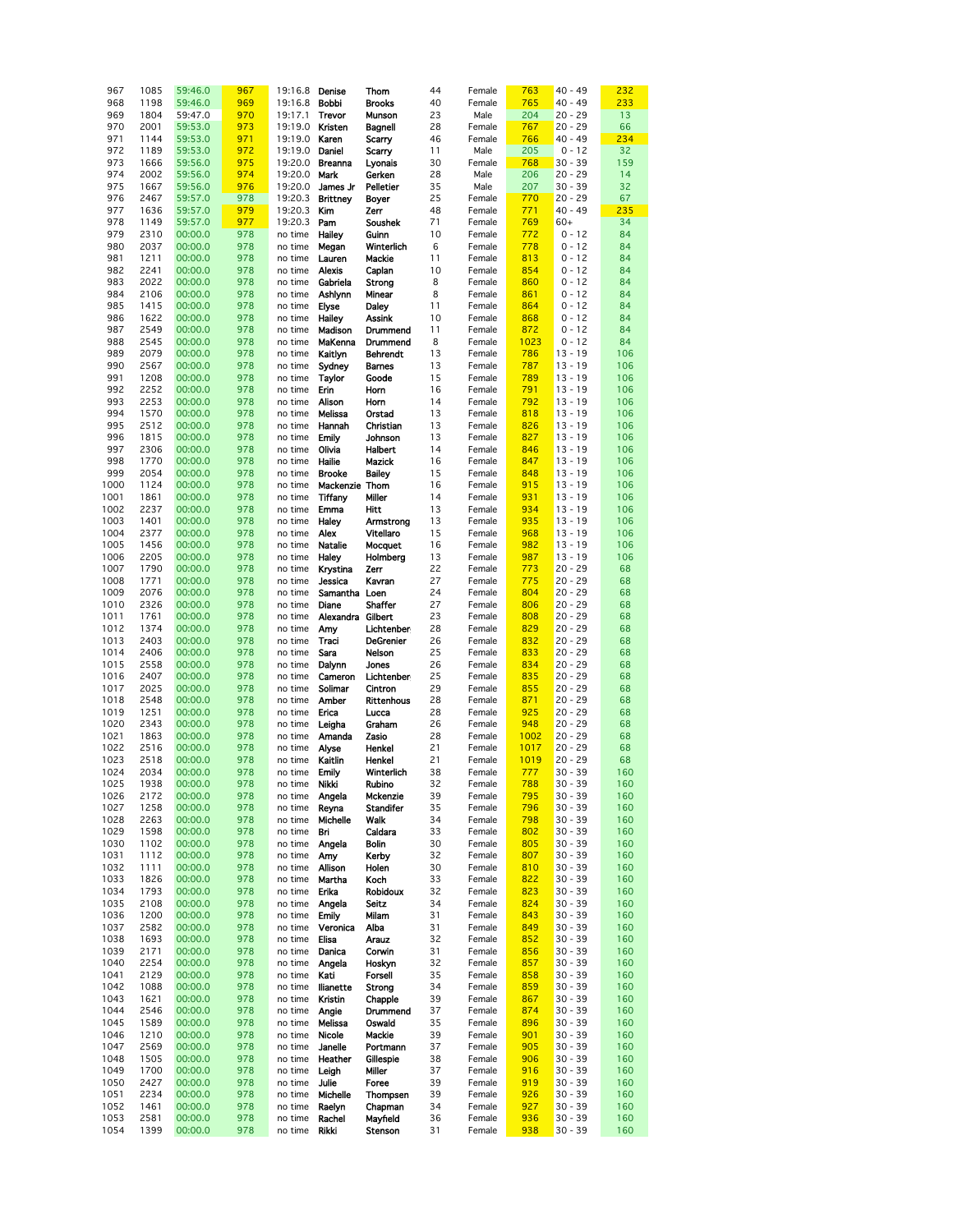| 967  | 1085 | 59:46.0 | 967 | 19:16.8               | Denise            | Thom              | 44 | Female | 763  | $40 - 49$ | 232 |
|------|------|---------|-----|-----------------------|-------------------|-------------------|----|--------|------|-----------|-----|
| 968  | 1198 | 59:46.0 | 969 | 19:16.8               | Bobbi             | <b>Brooks</b>     | 40 | Female | 765  | 40 - 49   | 233 |
|      |      |         |     |                       |                   |                   |    |        |      |           |     |
| 969  | 1804 | 59:47.0 | 970 | 19:17.1               | Trevor            | Munson            | 23 | Male   | 204  | $20 - 29$ | 13  |
| 970  | 2001 | 59:53.0 | 973 | 19:19.0               | Kristen           | Bagnell           | 28 | Female | 767  | $20 - 29$ | 66  |
| 971  | 1144 | 59:53.0 | 971 | 19:19.0               | Karen             | Scarry            | 46 | Female | 766  | $40 - 49$ | 234 |
| 972  | 1189 | 59:53.0 | 972 | 19:19.0               | Daniel            | Scarry            | 11 | Male   | 205  | $0 - 12$  | 32  |
| 973  | 1666 | 59:56.0 | 975 | 19:20.0               | <b>Breanna</b>    | Lyonais           | 30 | Female | 768  | $30 - 39$ | 159 |
| 974  | 2002 | 59:56.0 | 974 | 19:20.0               | Mark              | Gerken            | 28 | Male   | 206  | $20 - 29$ | 14  |
| 975  | 1667 | 59:56.0 | 976 | 19:20.0               | James Jr          | Pelletier         | 35 | Male   | 207  | $30 - 39$ | 32  |
|      |      |         |     |                       |                   |                   |    |        |      |           |     |
| 976  | 2467 | 59:57.0 | 978 | 19:20.3               | <b>Brittney</b>   | Boyer             | 25 | Female | 770  | $20 - 29$ | 67  |
| 977  | 1636 | 59:57.0 | 979 | 19:20.3               | Kim               | Zerr              | 48 | Female | 771  | $40 - 49$ | 235 |
| 978  | 1149 | 59:57.0 | 977 | 19:20.3               | Pam               | Soushek           | 71 | Female | 769  | $60+$     | 34  |
| 979  | 2310 | 00:00.0 | 978 | no time               | <b>Hailey</b>     | Guinn             | 10 | Female | 772  | $0 - 12$  | 84  |
| 980  | 2037 | 00:00.0 | 978 | no time               | Megan             | Winterlich        | 6  | Female | 778  | $0 - 12$  | 84  |
| 981  | 1211 | 00:00.0 | 978 | no time               | Lauren            | Mackie            | 11 | Female | 813  | $0 - 12$  | 84  |
| 982  | 2241 | 00:00.0 | 978 | no time               | Alexis            | Caplan            | 10 | Female | 854  | $0 - 12$  | 84  |
| 983  | 2022 | 00:00.0 | 978 | no time               | Gabriela          | Strong            | 8  | Female | 860  | $0 - 12$  | 84  |
|      |      |         |     |                       |                   |                   |    |        |      |           |     |
| 984  | 2106 | 00:00.0 | 978 | no time               | Ashlynn           | Minear            | 8  | Female | 861  | $0 - 12$  | 84  |
| 985  | 1415 | 00:00.0 | 978 | no time               | Elyse             | Daley             | 11 | Female | 864  | $0 - 12$  | 84  |
| 986  | 1622 | 00:00.0 | 978 | no time               | <b>Hailey</b>     | Assink            | 10 | Female | 868  | $0 - 12$  | 84  |
| 987  | 2549 | 00:00.0 | 978 | no time               | Madison           | Drummend          | 11 | Female | 872  | $0 - 12$  | 84  |
| 988  | 2545 | 00:00.0 | 978 | no time               | MaKenna           | Drummend          | 8  | Female | 1023 | $0 - 12$  | 84  |
| 989  | 2079 | 00:00.0 | 978 | no time               | Kaitlyn           | <b>Behrendt</b>   | 13 | Female | 786  | $13 - 19$ | 106 |
| 990  | 2567 | 00:00.0 | 978 | no time               | Sydney            | <b>Barnes</b>     | 13 | Female | 787  | $13 - 19$ | 106 |
| 991  | 1208 | 00:00.0 | 978 | no time               | Taylor            | Goode             | 15 | Female | 789  | $13 - 19$ | 106 |
|      |      |         |     |                       |                   |                   |    |        |      |           |     |
| 992  | 2252 | 00:00.0 | 978 | no time               | Erin              | Horn              | 16 | Female | 791  | $13 - 19$ | 106 |
| 993  | 2253 | 00:00.0 | 978 | no time               | Alison            | Horn              | 14 | Female | 792  | $13 - 19$ | 106 |
| 994  | 1570 | 00:00.0 | 978 | no time               | Melissa           | Orstad            | 13 | Female | 818  | $13 - 19$ | 106 |
| 995  | 2512 | 00:00.0 | 978 | no time               | Hannah            | Christian         | 13 | Female | 826  | $13 - 19$ | 106 |
| 996  | 1815 | 00:00.0 | 978 | no time               | <b>Emily</b>      | Johnson           | 13 | Female | 827  | $13 - 19$ | 106 |
| 997  | 2306 | 00:00.0 | 978 | no time               | Olivia            | <b>Halbert</b>    | 14 | Female | 846  | $13 - 19$ | 106 |
| 998  | 1770 | 00:00.0 | 978 | no time               | Hailie            | Mazick            | 16 | Female | 847  | $13 - 19$ | 106 |
| 999  | 2054 | 00:00.0 | 978 | no time               | <b>Brooke</b>     | <b>Bailey</b>     | 15 | Female | 848  | $13 - 19$ | 106 |
|      |      |         |     |                       |                   |                   |    |        |      |           |     |
| 1000 | 1124 | 00:00.0 | 978 | no time               | Mackenzie Thom    |                   | 16 | Female | 915  | $13 - 19$ | 106 |
| 1001 | 1861 | 00:00.0 | 978 | no time               | Tiffany           | Miller            | 14 | Female | 931  | $13 - 19$ | 106 |
| 1002 | 2237 | 00:00.0 | 978 | no time               | Emma              | Hitt              | 13 | Female | 934  | $13 - 19$ | 106 |
| 1003 | 1401 | 00:00.0 | 978 | no time               | <b>Haley</b>      | Armstrong         | 13 | Female | 935  | $13 - 19$ | 106 |
| 1004 | 2377 | 00:00.0 | 978 | no time               | Alex              | Vitellaro         | 15 | Female | 968  | $13 - 19$ | 106 |
| 1005 | 1456 | 00:00.0 | 978 | no time               | Natalie           | Mocquet           | 16 | Female | 982  | $13 - 19$ | 106 |
| 1006 | 2205 | 00:00.0 | 978 | no time               | <b>Haley</b>      | Holmberg          | 13 | Female | 987  | $13 - 19$ | 106 |
| 1007 | 1790 | 00:00.0 | 978 | no time               | Krystina          | Zerr              | 22 | Female | 773  | 20 - 29   | 68  |
| 1008 | 1771 | 00:00.0 | 978 |                       | Jessica           | Kavran            | 27 | Female | 775  | $20 - 29$ | 68  |
|      |      |         |     | no time               |                   |                   |    |        |      |           |     |
| 1009 | 2076 | 00:00.0 | 978 | no time               | Samantha Loen     |                   | 24 | Female | 804  | $20 - 29$ | 68  |
| 1010 | 2326 | 00:00.0 | 978 | no time               | Diane             | Shaffer           | 27 | Female | 806  | $20 - 29$ | 68  |
| 1011 | 1761 | 00:00.0 | 978 | no time               | Alexandra Gilbert |                   | 23 | Female | 808  | 20 - 29   | 68  |
| 1012 | 1374 | 00:00.0 | 978 | no time               | Amy               | Lichtenber        | 28 | Female | 829  | $20 - 29$ | 68  |
| 1013 | 2403 | 00:00.0 | 978 | no time               | Traci             | DeGrenier         | 26 | Female | 832  | $20 - 29$ | 68  |
| 1014 | 2406 | 00:00.0 | 978 | no time               | Sara              | Nelson            | 25 | Female | 833  | 20 - 29   | 68  |
| 1015 | 2558 | 00:00.0 | 978 | no time               | Dalynn            | Jones             | 26 | Female | 834  | $20 - 29$ | 68  |
| 1016 | 2407 | 00:00.0 | 978 | no time               | Cameron           | Lichtenber        | 25 | Female | 835  | 20 - 29   | 68  |
|      |      |         | 978 |                       |                   |                   | 29 |        |      | $20 - 29$ |     |
| 1017 | 2025 | 00:00.0 |     | no time               | Solimar           | Cintron           |    | Female | 855  |           | 68  |
| 1018 | 2548 | 00:00.0 | 978 | no time               | Amber             | <b>Rittenhous</b> | 28 | Female | 871  | $20 - 29$ | 68  |
| 1019 | 1251 | 00:00.0 | 978 | no time               | Erica             | Lucca             | 28 | Female | 925  | $20 - 29$ | 68  |
| 1020 | 2343 | 00:00.0 | 978 | no time               | Leigha            | Graham            | 26 | Female | 948  | $20 - 29$ | 68  |
| 1021 | 1863 | 00:00.0 | 978 | no time               | Amanda            | Zasio             | 28 | Female | 1002 | $20 - 29$ | 68  |
| 1022 | 2516 | 00:00.0 | 978 | no time               | Alyse             | Henkel            | 21 | Female | 1017 | 20 - 29   | 68  |
| 1023 | 2518 | 00:00.0 | 978 | no time               | Kaitlin           | Henkel            | 21 | Female | 1019 | $20 - 29$ | 68  |
| 1024 | 2034 | 00:00.0 | 978 | no time Emily         |                   | Winterlich        | 38 | Female | 777  | $30 - 39$ | 160 |
| 1025 | 1938 | 00:00.0 | 978 | no time               | Nikki             | Rubino            | 32 | Female | 788  | $30 - 39$ | 160 |
|      | 2172 | 00:00.0 | 978 | no time <b>Angela</b> |                   |                   | 39 |        | 795  | $30 - 39$ | 160 |
| 1026 |      |         |     |                       |                   | Mckenzie          |    | Female |      |           |     |
| 1027 | 1258 | 00:00.0 | 978 | no time               | Reyna             | <b>Standifer</b>  | 35 | Female | 796  | $30 - 39$ | 160 |
| 1028 | 2263 | 00:00.0 | 978 | no time               | Michelle          | Walk              | 34 | Female | 798  | $30 - 39$ | 160 |
| 1029 | 1598 | 00:00.0 | 978 | no time               | Bri               | Caldara           | 33 | Female | 802  | $30 - 39$ | 160 |
| 1030 | 1102 | 00:00.0 | 978 | no time               | Angela            | Bolin             | 30 | Female | 805  | $30 - 39$ | 160 |
| 1031 | 1112 | 00:00.0 | 978 | no time               | Amy               | Kerby             | 32 | Female | 807  | $30 - 39$ | 160 |
| 1032 | 1111 | 00:00.0 | 978 | no time               | Allison           | Holen             | 30 | Female | 810  | $30 - 39$ | 160 |
| 1033 | 1826 | 00:00.0 | 978 | no time               | Martha            | Koch              | 33 | Female | 822  | $30 - 39$ | 160 |
| 1034 | 1793 | 00:00.0 | 978 | no time               | Erika             | <b>Robidoux</b>   | 32 | Female | 823  | $30 - 39$ | 160 |
| 1035 | 2108 | 00:00.0 | 978 | no time               | Angela            | <b>Seitz</b>      | 34 | Female | 824  | $30 - 39$ | 160 |
| 1036 | 1200 | 00:00.0 | 978 | no time               | Emily             | Milam             | 31 | Female | 843  | 30 - 39   | 160 |
|      |      |         |     |                       |                   |                   |    |        |      |           |     |
| 1037 | 2582 | 00:00.0 | 978 | no time               | Veronica          | Alba              | 31 | Female | 849  | $30 - 39$ | 160 |
| 1038 | 1693 | 00:00.0 | 978 | no time               | Elisa             | Arauz             | 32 | Female | 852  | $30 - 39$ | 160 |
| 1039 | 2171 | 00:00.0 | 978 | no time               | Danica            | Corwin            | 31 | Female | 856  | 30 - 39   | 160 |
| 1040 | 2254 | 00:00.0 | 978 | no time               | Angela            | Hoskyn            | 32 | Female | 857  | $30 - 39$ | 160 |
| 1041 | 2129 | 00:00.0 | 978 | no time               | Kati              | <b>Forsell</b>    | 35 | Female | 858  | $30 - 39$ | 160 |
| 1042 | 1088 | 00:00.0 | 978 | no time               | llianette         | Strong            | 34 | Female | 859  | $30 - 39$ | 160 |
| 1043 | 1621 | 00:00.0 | 978 | no time               | Kristin           | Chapple           | 39 | Female | 867  | $30 - 39$ | 160 |
| 1044 | 2546 | 00:00.0 | 978 | no time               | Angle             | Drummend          | 37 | Female | 874  | $30 - 39$ | 160 |
| 1045 | 1589 | 00:00.0 | 978 | no time               | Melissa           | Oswald            | 35 | Female | 896  | $30 - 39$ | 160 |
|      |      |         |     |                       |                   |                   |    |        |      |           |     |
| 1046 | 1210 | 00:00.0 | 978 | no time               | Nicole            | Mackie            | 39 | Female | 901  | $30 - 39$ | 160 |
| 1047 | 2569 | 00:00.0 | 978 | no time               | Janelle           | Portmann          | 37 | Female | 905  | $30 - 39$ | 160 |
| 1048 | 1505 | 00:00.0 | 978 | no time               | Heather           | Gillespie         | 38 | Female | 906  | $30 - 39$ | 160 |
| 1049 | 1700 | 00:00.0 | 978 | no time               | Leigh             | Miller            | 37 | Female | 916  | $30 - 39$ | 160 |
| 1050 | 2427 | 00:00.0 | 978 | no time               | Julie             | Foree             | 39 | Female | 919  | $30 - 39$ | 160 |
| 1051 | 2234 | 00:00.0 | 978 | no time               | Michelle          | Thompsen          | 39 | Female | 926  | $30 - 39$ | 160 |
| 1052 | 1461 | 00:00.0 | 978 | no time               | Raelyn            | Chapman           | 34 | Female | 927  | $30 - 39$ | 160 |
| 1053 | 2581 | 00:00.0 | 978 | no time               | Rachel            | Mayfield          | 36 | Female | 936  | $30 - 39$ | 160 |
|      | 1399 | 00:00.0 |     |                       | Rikki             | Stenson           |    |        | 938  | $30 - 39$ | 160 |
| 1054 |      |         | 978 | no time               |                   |                   | 31 | Female |      |           |     |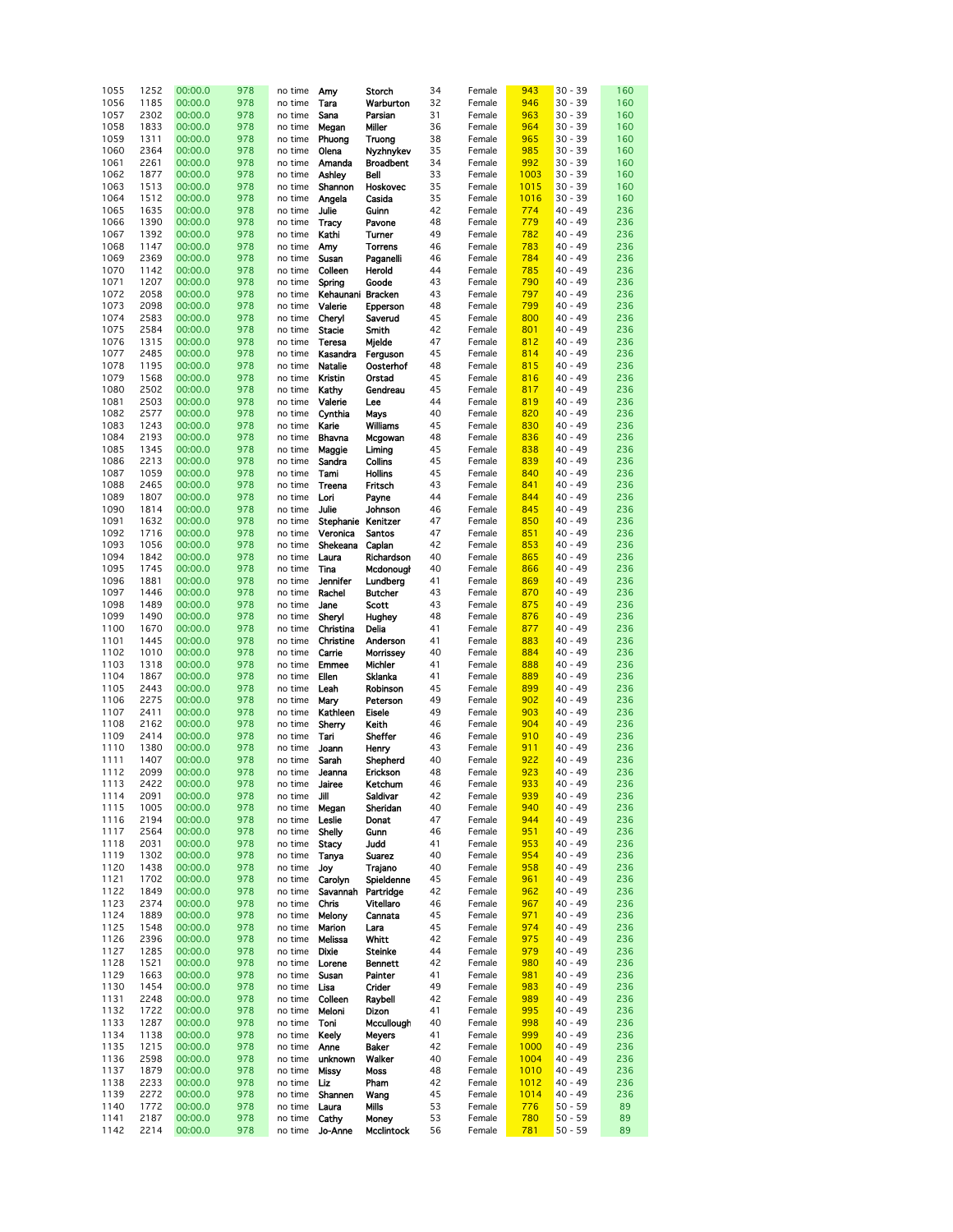| 1055 | 1252 | 00:00.0 | 978 | no time | Amy                | Storch           | 34 | Female | 943  | $30 - 39$ | 160 |
|------|------|---------|-----|---------|--------------------|------------------|----|--------|------|-----------|-----|
|      |      |         |     |         |                    |                  |    |        |      |           |     |
| 1056 | 1185 | 00:00.0 | 978 | no time | Tara               | Warburton        | 32 | Female | 946  | $30 - 39$ | 160 |
| 1057 | 2302 | 00:00.0 | 978 | no time | Sana               | Parsian          | 31 | Female | 963  | $30 - 39$ | 160 |
| 1058 | 1833 | 00:00.0 | 978 | no time |                    | Miller           | 36 | Female | 964  | $30 - 39$ | 160 |
|      |      |         |     |         | Megan              |                  |    |        |      |           |     |
| 1059 | 1311 | 00:00.0 | 978 | no time | Phuong             | Truong           | 38 | Female | 965  | $30 - 39$ | 160 |
| 1060 | 2364 | 00:00.0 | 978 | no time | Olena              | Nyzhnykev        | 35 | Female | 985  | $30 - 39$ | 160 |
|      |      |         |     |         |                    |                  |    |        |      |           |     |
| 1061 | 2261 | 00:00.0 | 978 | no time | Amanda             | <b>Broadbent</b> | 34 | Female | 992  | $30 - 39$ | 160 |
| 1062 | 1877 | 00:00.0 | 978 | no time | Ashley             | Bell             | 33 | Female | 1003 | $30 - 39$ | 160 |
| 1063 | 1513 | 00:00.0 | 978 | no time | Shannon            | Hoskovec         | 35 | Female | 1015 | $30 - 39$ | 160 |
|      |      |         |     |         |                    |                  |    |        |      |           |     |
| 1064 | 1512 | 00:00.0 | 978 | no time | Angela             | Casida           | 35 | Female | 1016 | $30 - 39$ | 160 |
| 1065 | 1635 | 00:00.0 | 978 | no time | Julie              | Guinn            | 42 | Female | 774  | $40 - 49$ | 236 |
|      |      |         |     |         |                    |                  |    |        |      |           |     |
| 1066 | 1390 | 00:00.0 | 978 | no time | Tracy              | Pavone           | 48 | Female | 779  | 40 - 49   | 236 |
| 1067 | 1392 | 00:00.0 | 978 | no time | Kathi              | Turner           | 49 | Female | 782  | $40 - 49$ | 236 |
|      |      |         |     |         |                    |                  |    | Female |      |           |     |
| 1068 | 1147 | 00:00.0 | 978 | no time | Amy                | Torrens          | 46 |        | 783  | $40 - 49$ | 236 |
| 1069 | 2369 | 00:00.0 | 978 | no time | Susan              | Paganelli        | 46 | Female | 784  | $40 - 49$ | 236 |
| 1070 | 1142 | 00:00.0 | 978 | no time | Colleen            | Herold           | 44 | Female | 785  | $40 - 49$ | 236 |
|      |      |         |     |         |                    |                  |    |        |      |           |     |
| 1071 | 1207 | 00:00.0 | 978 | no time | Spring             | Goode            | 43 | Female | 790  | 40 - 49   | 236 |
| 1072 | 2058 | 00:00.0 | 978 | no time | Kehaunani Bracken  |                  | 43 | Female | 797  | 40 - 49   | 236 |
| 1073 | 2098 | 00:00.0 | 978 | no time | Valerie            | Epperson         | 48 | Female | 799  | $40 - 49$ | 236 |
|      |      |         |     |         |                    |                  |    |        |      |           |     |
| 1074 | 2583 | 00:00.0 | 978 | no time | Cheryl             | Saverud          | 45 | Female | 800  | $40 - 49$ | 236 |
| 1075 | 2584 | 00:00.0 | 978 | no time | <b>Stacie</b>      | Smith            | 42 | Female | 801  | 40 - 49   | 236 |
| 1076 | 1315 | 00:00.0 | 978 | no time | Teresa             |                  | 47 | Female | 812  | 40 - 49   | 236 |
|      |      |         |     |         |                    | Mjelde           |    |        |      |           |     |
| 1077 | 2485 | 00:00.0 | 978 | no time | Kasandra           | Ferguson         | 45 | Female | 814  | 40 - 49   | 236 |
| 1078 | 1195 | 00:00.0 | 978 | no time | <b>Natalie</b>     | Oosterhof        | 48 | Female | 815  | 40 - 49   | 236 |
|      |      |         |     |         |                    |                  |    |        |      |           |     |
| 1079 | 1568 | 00:00.0 | 978 | no time | Kristin            | Orstad           | 45 | Female | 816  | 40 - 49   | 236 |
| 1080 | 2502 | 00:00.0 | 978 | no time | Kathy              | Gendreau         | 45 | Female | 817  | $40 - 49$ | 236 |
| 1081 | 2503 | 00:00.0 | 978 | no time | Valerie            | Lee              | 44 | Female | 819  | $40 - 49$ | 236 |
|      |      |         |     |         |                    |                  |    |        |      |           |     |
| 1082 | 2577 | 00:00.0 | 978 | no time | Cynthia            | Mays             | 40 | Female | 820  | $40 - 49$ | 236 |
| 1083 | 1243 | 00:00.0 | 978 | no time | Karie              | Williams         | 45 | Female | 830  | 40 - 49   | 236 |
| 1084 | 2193 |         | 978 | no time |                    |                  | 48 | Female | 836  | 40 - 49   | 236 |
|      |      | 00:00.0 |     |         | Bhavna             | Mcgowan          |    |        |      |           |     |
| 1085 | 1345 | 00:00.0 | 978 | no time | Maggie             | Liming           | 45 | Female | 838  | $40 - 49$ | 236 |
| 1086 | 2213 | 00:00.0 | 978 | no time | Sandra             | Collins          | 45 | Female | 839  | $40 - 49$ | 236 |
|      |      |         |     |         |                    |                  |    |        |      |           |     |
| 1087 | 1059 | 00:00.0 | 978 | no time | Tami               | Hollins          | 45 | Female | 840  | $40 - 49$ | 236 |
| 1088 | 2465 | 00:00.0 | 978 | no time | Treena             | Fritsch          | 43 | Female | 841  | 40 - 49   | 236 |
| 1089 | 1807 | 00:00.0 | 978 | no time | Lori               | Payne            | 44 | Female | 844  | 40 - 49   | 236 |
|      |      |         |     |         |                    |                  |    |        |      |           |     |
| 1090 | 1814 | 00:00.0 | 978 | no time | Julie              | Johnson          | 46 | Female | 845  | $40 - 49$ | 236 |
| 1091 | 1632 | 00:00.0 | 978 | no time | Stephanie Kenitzer |                  | 47 | Female | 850  | 40 - 49   | 236 |
| 1092 | 1716 | 00:00.0 | 978 | no time | Veronica           | Santos           | 47 | Female | 851  | $40 - 49$ | 236 |
|      |      |         |     |         |                    |                  |    |        |      |           |     |
| 1093 | 1056 | 00:00.0 | 978 | no time | Shekeana           | Caplan           | 42 | Female | 853  | 40 - 49   | 236 |
| 1094 | 1842 | 00:00.0 | 978 | no time | Laura              | Richardson       | 40 | Female | 865  | $40 - 49$ | 236 |
| 1095 | 1745 |         | 978 |         |                    |                  | 40 |        | 866  | $40 - 49$ | 236 |
|      |      | 00:00.0 |     | no time | Tina               | Mcdonougl        |    | Female |      |           |     |
| 1096 | 1881 | 00:00.0 | 978 | no time | <b>Jennifer</b>    | Lundberg         | 41 | Female | 869  | 40 - 49   | 236 |
| 1097 | 1446 | 00:00.0 | 978 | no time | Rachel             | <b>Butcher</b>   | 43 | Female | 870  | 40 - 49   | 236 |
|      |      |         |     |         |                    |                  |    |        |      |           |     |
| 1098 | 1489 | 00:00.0 | 978 | no time | Jane               | Scott            | 43 | Female | 875  | 40 - 49   | 236 |
| 1099 | 1490 | 00:00.0 | 978 | no time | Sheryl             | Hughey           | 48 | Female | 876  | $40 - 49$ | 236 |
| 1100 | 1670 | 00:00.0 | 978 | no time | Christina          | Delia            | 41 | Female | 877  | 40 - 49   | 236 |
|      |      |         |     |         |                    |                  |    |        |      |           |     |
| 1101 | 1445 | 00:00.0 | 978 | no time | Christine          | Anderson         | 41 | Female | 883  | 40 - 49   | 236 |
| 1102 | 1010 | 00:00.0 | 978 | no time | Carrie             | Morrissey        | 40 | Female | 884  | 40 - 49   | 236 |
| 1103 | 1318 | 00:00.0 | 978 | no time | <b>Emmee</b>       | Michler          | 41 | Female | 888  | 40 - 49   | 236 |
|      |      |         |     |         |                    |                  |    |        |      |           |     |
| 1104 | 1867 | 00:00.0 | 978 | no time | Ellen              | Sklanka          | 41 | Female | 889  | 40 - 49   | 236 |
| 1105 | 2443 | 00:00.0 | 978 | no time | Leah               | Robinson         | 45 | Female | 899  | $40 - 49$ | 236 |
| 1106 | 2275 | 00:00.0 | 978 | no time | Mary               | Peterson         | 49 | Female | 902  | $40 - 49$ | 236 |
|      |      |         |     |         |                    |                  |    |        |      |           |     |
| 1107 | 2411 | 00:00.0 | 978 | no time | Kathleen           | Eisele           | 49 | Female | 903  | $40 - 49$ | 236 |
| 1108 | 2162 | 00:00.0 | 978 | no time | Sherry             | Keith            | 46 | Female | 904  | 40 - 49   | 236 |
| 1109 | 2414 |         | 978 | no time | Tari               |                  | 46 | Female | 910  | 40 - 49   | 236 |
|      |      | 00:00.0 |     |         |                    | Sheffer          |    |        |      |           |     |
| 1110 | 1380 | 00:00.0 | 978 | no time | Joann              | Henry            | 43 | Female | 911  | $40 - 49$ | 236 |
| 1111 | 1407 | 00:00.0 | 978 | no time | Sarah              | Shepherd         | 40 | Female | 922  | 40 - 49   | 236 |
| 1112 | 2099 | 00:00.0 | 978 |         | Jeanna             |                  | 48 |        | 923  | $40 - 49$ | 236 |
|      |      |         |     | no time |                    | Erickson         |    | Female |      |           |     |
| 1113 | 2422 | 00:00.0 | 978 | no time | Jairee             | Ketchum          | 46 | Female | 933  | $40 - 49$ | 236 |
| 1114 | 2091 | 00:00.0 | 978 | no time | Jill               | Saldivar         | 42 | Female | 939  | $40 - 49$ | 236 |
| 1115 | 1005 | 00:00.0 | 978 | no time | Megan              | Sheridan         | 40 | Female | 940  | $40 - 49$ | 236 |
|      |      |         |     |         |                    |                  |    |        |      |           |     |
| 1116 | 2194 | 00:00.0 | 978 | no time | Leslie             | Donat            | 47 | Female | 944  | $40 - 49$ | 236 |
| 1117 | 2564 | 00:00.0 | 978 | no time | Shelly             | Gunn             | 46 | Female | 951  | $40 - 49$ | 236 |
| 1118 | 2031 | 00:00.0 | 978 | no time | Stacy              | Judd             | 41 | Female | 953  | 40 - 49   | 236 |
|      |      |         |     |         |                    |                  |    |        |      |           |     |
| 1119 | 1302 | 00:00.0 | 978 | no time | Tanya              | Suarez           | 40 | Female | 954  | $40 - 49$ | 236 |
| 1120 | 1438 | 00:00.0 | 978 | no time | Joy                | Trajano          | 40 | Female | 958  | 40 - 49   | 236 |
| 1121 | 1702 | 00:00.0 | 978 | no time | Carolyn            | Spieldenne       | 45 | Female | 961  | 40 - 49   | 236 |
|      |      |         |     |         |                    |                  |    |        |      |           |     |
| 1122 | 1849 | 00:00.0 | 978 | no time | Savannah           | Partridge        | 42 | Female | 962  | 40 - 49   | 236 |
| 1123 | 2374 | 00:00.0 | 978 | no time | Chris              | <b>Vitellaro</b> | 46 | Female | 967  | $40 - 49$ | 236 |
| 1124 | 1889 | 00:00.0 | 978 | no time | Melony             | Cannata          | 45 | Female | 971  | 40 - 49   | 236 |
|      |      |         |     |         |                    |                  |    |        |      |           |     |
| 1125 | 1548 | 00:00.0 | 978 | no time | Marion             | Lara             | 45 | Female | 974  | $40 - 49$ | 236 |
| 1126 | 2396 | 00:00.0 | 978 | no time | Melissa            | Whitt            | 42 | Female | 975  | $40 - 49$ | 236 |
| 1127 | 1285 | 00:00.0 | 978 | no time | Dixie              | Steinke          | 44 | Female | 979  | 40 - 49   | 236 |
|      |      |         |     |         |                    |                  |    |        |      |           |     |
| 1128 | 1521 | 00:00.0 | 978 | no time | Lorene             | Bennett          | 42 | Female | 980  | 40 - 49   | 236 |
| 1129 | 1663 | 00:00.0 | 978 | no time | Susan              | Painter          | 41 | Female | 981  | 40 - 49   | 236 |
| 1130 | 1454 | 00:00.0 | 978 | no time | Lisa               | Crider           | 49 | Female | 983  | $40 - 49$ | 236 |
|      |      |         |     |         |                    |                  |    |        |      |           |     |
| 1131 | 2248 | 00:00.0 | 978 | no time | Colleen            | Raybell          | 42 | Female | 989  | 40 - 49   | 236 |
|      |      | 00:00.0 | 978 | no time | Meloni             | Dizon            | 41 | Female | 995  | 40 - 49   | 236 |
|      |      |         |     | no time | Toni               | Mccullough       | 40 | Female | 998  | 40 - 49   | 236 |
| 1132 | 1722 |         |     |         |                    |                  |    |        |      |           |     |
| 1133 | 1287 | 00:00.0 | 978 |         |                    |                  |    |        |      |           |     |
| 1134 | 1138 | 00:00.0 | 978 | no time | Keely              | <b>Meyers</b>    | 41 | Female | 999  | 40 - 49   | 236 |
| 1135 | 1215 | 00:00.0 | 978 | no time | Anne               | <b>Baker</b>     | 42 | Female | 1000 | 40 - 49   | 236 |
|      |      |         |     |         |                    |                  |    |        |      |           |     |
| 1136 | 2598 | 00:00.0 | 978 | no time | unknown            | Walker           | 40 | Female | 1004 | 40 - 49   | 236 |
| 1137 | 1879 | 00:00.0 | 978 | no time | Missy              | Moss             | 48 | Female | 1010 | 40 - 49   | 236 |
|      |      |         |     |         |                    |                  |    |        |      |           |     |
| 1138 | 2233 | 00:00.0 | 978 | no time | Шz                 | Pham             | 42 | Female | 1012 | 40 - 49   | 236 |
| 1139 | 2272 | 00:00.0 | 978 | no time | Shannen            | Wang             | 45 | Female | 1014 | 40 - 49   | 236 |
| 1140 | 1772 | 00:00.0 | 978 | no time | Laura              | Mills            | 53 | Female | 776  | $50 - 59$ | 89  |
| 1141 | 2187 | 00:00.0 | 978 | no time | Cathy              | Money            | 53 | Female | 780  | $50 - 59$ | 89  |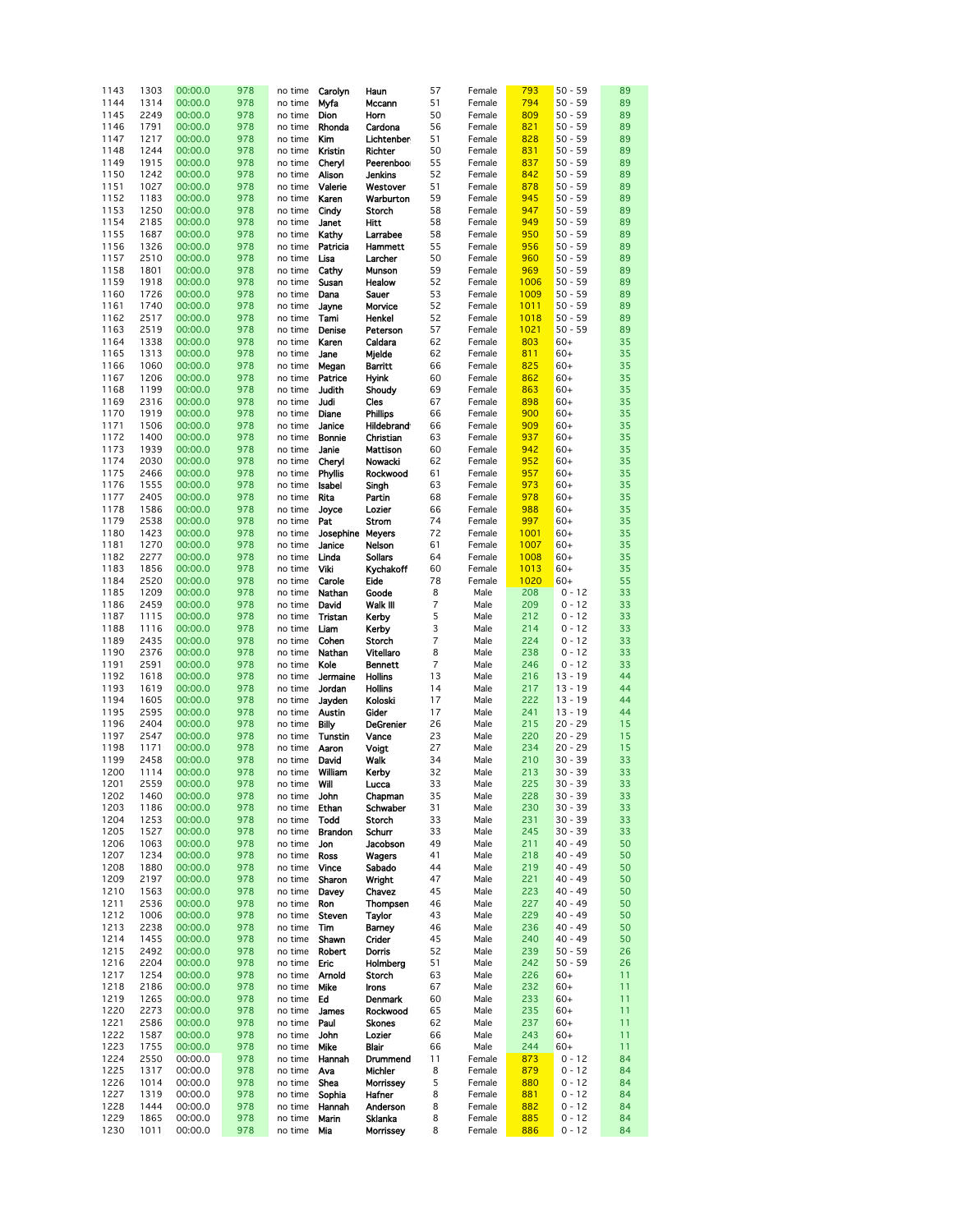| 1143 | 1303 | 00:00.0 | 978 | no time             | Carolyn       | Haun             | 57             | Female | 793  | $50 - 59$ | 89 |
|------|------|---------|-----|---------------------|---------------|------------------|----------------|--------|------|-----------|----|
| 1144 | 1314 | 00:00.0 | 978 | no time             | Myfa          | Mccann           | 51             | Female | 794  | $50 - 59$ | 89 |
| 1145 | 2249 | 00:00.0 | 978 | no time             | Dion          | Horn             | 50             | Female | 809  | $50 - 59$ | 89 |
|      |      |         |     |                     |               |                  |                |        |      |           |    |
| 1146 | 1791 | 00:00.0 | 978 | no time             | Rhonda        | Cardona          | 56             | Female | 821  | $50 - 59$ | 89 |
| 1147 | 1217 | 00:00.0 | 978 | no time             | Kim           | Lichtenben       | 51             | Female | 828  | $50 - 59$ | 89 |
| 1148 | 1244 | 00:00.0 | 978 | no time             | Kristin       | Richter          | 50             | Female | 831  | $50 - 59$ | 89 |
|      |      |         |     |                     |               |                  |                |        |      |           |    |
| 1149 | 1915 | 00:00.0 | 978 | no time             | Cheryl        | Peerenboor       | 55             | Female | 837  | $50 - 59$ | 89 |
| 1150 | 1242 | 00:00.0 | 978 | no time             | Alison        | Jenkins          | 52             | Female | 842  | $50 - 59$ | 89 |
| 1151 | 1027 | 00:00.0 | 978 | no time             | Valerie       | Westover         | 51             | Female | 878  | $50 - 59$ | 89 |
|      |      |         |     |                     |               |                  |                |        |      |           |    |
| 1152 | 1183 | 00:00.0 | 978 | no time             | Karen         | Warburton        | 59             | Female | 945  | $50 - 59$ | 89 |
| 1153 | 1250 | 00:00.0 | 978 | no time             | Cindy         | Storch           | 58             | Female | 947  | $50 - 59$ | 89 |
| 1154 | 2185 | 00:00.0 | 978 | no time             | Janet         | Hitt             | 58             | Female | 949  | $50 - 59$ | 89 |
|      |      |         |     |                     |               |                  |                |        |      |           |    |
| 1155 | 1687 | 00:00.0 | 978 | no time             | Kathy         | Larrabee         | 58             | Female | 950  | $50 - 59$ | 89 |
| 1156 | 1326 | 00:00.0 | 978 | no time             | Patricia      | Hammett          | 55             | Female | 956  | $50 - 59$ | 89 |
| 1157 | 2510 | 00:00.0 | 978 |                     | Lisa          | Larcher          | 50             | Female | 960  | $50 - 59$ | 89 |
|      |      |         |     | no time             |               |                  |                |        |      |           |    |
| 1158 | 1801 | 00:00.0 | 978 | no time             | Cathy         | Munson           | 59             | Female | 969  | $50 - 59$ | 89 |
| 1159 | 1918 | 00:00.0 | 978 | no time             | Susan         | Healow           | 52             | Female | 1006 | $50 - 59$ | 89 |
| 1160 | 1726 | 00:00.0 | 978 | no time             | Dana          | Sauer            | 53             | Female | 1009 | $50 - 59$ | 89 |
|      |      |         |     |                     |               |                  |                |        |      |           |    |
| 1161 | 1740 | 00:00.0 | 978 | no time             | Jayne         | Morvice          | 52             | Female | 1011 | $50 - 59$ | 89 |
| 1162 | 2517 | 00:00.0 | 978 | no time             | Tami          | Henkel           | 52             | Female | 1018 | $50 - 59$ | 89 |
| 1163 | 2519 | 00:00.0 | 978 | no time             | Denise        | Peterson         | 57             | Female | 1021 | $50 - 59$ | 89 |
|      |      |         |     |                     |               |                  |                |        |      |           |    |
| 1164 | 1338 | 00:00.0 | 978 | no time             | Karen         | Caldara          | 62             | Female | 803  | $60+$     | 35 |
| 1165 | 1313 | 00:00.0 | 978 | no time             | Jane          | Mjelde           | 62             | Female | 811  | $60+$     | 35 |
| 1166 | 1060 | 00:00.0 | 978 | no time             | Megan         | Barritt          | 66             | Female | 825  | $60+$     | 35 |
|      |      |         | 978 |                     |               |                  | 60             |        |      |           |    |
| 1167 | 1206 | 00:00.0 |     | no time             | Patrice       | <b>Hyink</b>     |                | Female | 862  | $60+$     | 35 |
| 1168 | 1199 | 00:00.0 | 978 | no time             | Judith        | Shoudy           | 69             | Female | 863  | $60+$     | 35 |
| 1169 | 2316 | 00:00.0 | 978 | no time             | Judi          | Cles             | 67             | Female | 898  | $60+$     | 35 |
| 1170 | 1919 | 00:00.0 | 978 | no time             | Diane         | Phillips         | 66             | Female | 900  | $60+$     | 35 |
|      |      |         |     |                     |               |                  |                |        |      |           |    |
| 1171 | 1506 | 00:00.0 | 978 | no time             | Janice        | Hildebrand       | 66             | Female | 909  | $60+$     | 35 |
| 1172 | 1400 | 00:00.0 | 978 | no time             | Bonnie        | Christian        | 63             | Female | 937  | $60+$     | 35 |
| 1173 | 1939 | 00:00.0 | 978 | no time             | Janie         | Mattison         | 60             | Female | 942  | $60+$     | 35 |
|      |      |         |     |                     |               |                  |                |        |      |           |    |
| 1174 | 2030 | 00:00.0 | 978 | no time             | Cheryl        | Nowacki          | 62             | Female | 952  | $60+$     | 35 |
| 1175 | 2466 | 00:00.0 | 978 | no time             | Phyllis       | Rockwood         | 61             | Female | 957  | $60+$     | 35 |
| 1176 | 1555 | 00:00.0 | 978 | no time             | Isabel        | Singh            | 63             | Female | 973  | $60+$     | 35 |
| 1177 | 2405 | 00:00.0 | 978 | no time             | Rita          | Partin           | 68             | Female | 978  | $60+$     | 35 |
| 1178 | 1586 | 00:00.0 | 978 | no time             | Joyce         | Lozier           | 66             | Female | 988  | $60+$     | 35 |
|      |      |         | 978 |                     |               |                  | 74             | Female |      | $60+$     | 35 |
| 1179 | 2538 | 00:00.0 |     | no time             | Pat           | Strom            |                |        | 997  |           |    |
| 1180 | 1423 | 00:00.0 | 978 | no time             | Josephine     | <b>Meyers</b>    | 72             | Female | 1001 | $60+$     | 35 |
| 1181 | 1270 | 00:00.0 | 978 | no time             | Janice        | Nelson           | 61             | Female | 1007 | $60+$     | 35 |
| 1182 | 2277 | 00:00.0 | 978 | no time             | Linda         | <b>Sollars</b>   | 64             | Female | 1008 | $60+$     | 35 |
| 1183 | 1856 | 00:00.0 | 978 | no time             | Viki          | Kychakoff        | 60             | Female | 1013 | $60+$     | 35 |
|      | 2520 |         | 978 |                     |               | Eide             | 78             |        | 1020 |           | 55 |
| 1184 |      | 00:00.0 |     | no time             | Carole        |                  |                | Female |      | $60+$     |    |
| 1185 | 1209 | 00:00.0 | 978 | no time             | Nathan        | Goode            | 8              | Male   | 208  | 0 - 12    | 33 |
| 1186 | 2459 | 00:00.0 | 978 | no time             | David         | Walk III         | $\overline{7}$ | Male   | 209  | $0 - 12$  | 33 |
| 1187 | 1115 | 00:00.0 | 978 | no time             | Tristan       | Kerby            | 5              | Male   | 212  | $0 - 12$  | 33 |
| 1188 | 1116 | 00:00.0 | 978 | no time             | Liam          | Kerby            | 3              | Male   | 214  | $0 - 12$  | 33 |
|      |      |         |     |                     |               |                  |                |        |      |           |    |
| 1189 | 2435 | 00:00.0 | 978 | no time             | Cohen         | Storch           | 7              | Male   | 224  | $0 - 12$  | 33 |
| 1190 | 2376 | 00:00.0 | 978 | no time             | Nathan        | Vitellaro        | 8              | Male   | 238  | 0 - 12    | 33 |
| 1191 | 2591 | 00:00.0 | 978 | no time             | Kole          | Bennett          | 7              | Male   | 246  | $0 - 12$  | 33 |
| 1192 | 1618 | 00:00.0 | 978 | no time             | Jermaine      | <b>Hollins</b>   | 13             | Male   | 216  | $13 - 19$ | 44 |
| 1193 | 1619 | 00:00.0 | 978 |                     | Jordan        | <b>Hollins</b>   | 14             |        | 217  | $13 - 19$ | 44 |
|      |      |         |     | no time             |               |                  |                | Male   |      |           |    |
| 1194 | 1605 | 00:00.0 | 978 | no time             | Jayden        | Koloski          | 17             | Male   | 222  | $13 - 19$ | 44 |
| 1195 | 2595 | 00:00.0 | 978 | no time             | Austin        | Gider            | 17             | Male   | 241  | $13 - 19$ | 44 |
| 1196 | 2404 | 00:00.0 | 978 | no time             | Billy         | <b>DeGrenier</b> | 26             | Male   | 215  | $20 - 29$ | 15 |
|      |      | 00:00.0 |     |                     |               |                  |                |        | 220  |           | 15 |
| 1197 | 2547 |         | 978 | no time             | Tunstin       | Vance            | 23             | Male   |      | $20 - 29$ |    |
| 1198 | 1171 | 00:00.0 | 978 | no time             | Aaron         | Voigt            | 27             | Male   | 234  | $20 - 29$ | 15 |
| 1199 | 2458 | 00:00.0 | 978 | no time             | David         | Walk             | 34             | Male   | 210  | $30 - 39$ | 33 |
| 1200 | 1114 | 00:00.0 | 978 | no time             | William       | Kerby            | 32             | Male   | 213  | $30 - 39$ | 33 |
|      |      |         |     |                     |               |                  |                |        |      |           |    |
| 1201 | 2559 | 00:00.0 | 978 | no time             | Will          | Lucca            | 33             | Male   | 225  | $30 - 39$ | 33 |
| 1202 | 1460 | 00:00.0 | 978 | no time <b>John</b> |               | Chapman          | 35             | Male   | 228  | $30 - 39$ | 33 |
| 1203 | 1186 | 00:00.0 | 978 | no time             | Ethan         | Schwaber         | 31             | Male   | 230  | $30 - 39$ | 33 |
| 1204 | 1253 | 00:00.0 | 978 | no time             | Todd          | Storch           | 33             | Male   | 231  | $30 - 39$ | 33 |
| 1205 | 1527 | 00:00.0 | 978 | no time             | Brandon       | Schurr           | 33             | Male   | 245  | $30 - 39$ | 33 |
| 1206 | 1063 | 00:00.0 |     |                     |               |                  | 49             |        |      |           |    |
|      |      |         | 978 | no time             | Jon           | Jacobson         |                | Male   | 211  | $40 - 49$ | 50 |
| 1207 | 1234 | 00:00.0 | 978 | no time             | Ross          | Wagers           | 41             | Male   | 218  | $40 - 49$ | 50 |
| 1208 | 1880 | 00:00.0 | 978 | no time             | Vince         | Sabado           | 44             | Male   | 219  | $40 - 49$ | 50 |
| 1209 | 2197 | 00:00.0 | 978 | no time             | Sharon        | Wright           | 47             | Male   | 221  | $40 - 49$ | 50 |
| 1210 | 1563 | 00:00.0 | 978 | no time             | Davey         | Chavez           | 45             | Male   | 223  | $40 - 49$ | 50 |
| 1211 |      |         |     |                     |               | Thompsen         |                |        |      | $40 - 49$ |    |
|      | 2536 | 00:00.0 | 978 | no time             | Ron           |                  | 46             | Male   | 227  |           | 50 |
| 1212 | 1006 | 00:00.0 | 978 | no time             | Steven        | Taylor           | 43             | Male   | 229  | $40 - 49$ | 50 |
| 1213 | 2238 | 00:00.0 | 978 | no time             | Tim           | Barney           | 46             | Male   | 236  | $40 - 49$ | 50 |
| 1214 | 1455 | 00:00.0 | 978 | no time             | Shawn         | Crider           | 45             | Male   | 240  | $40 - 49$ | 50 |
| 1215 | 2492 | 00:00.0 | 978 | no time             | <b>Robert</b> | Dorris           | 52             | Male   | 239  | $50 - 59$ | 26 |
|      |      |         |     |                     |               |                  |                |        | 242  |           |    |
| 1216 | 2204 | 00:00.0 | 978 | no time             | Eric          | Holmberg         | 51             | Male   |      | $50 - 59$ | 26 |
| 1217 | 1254 | 00:00.0 | 978 | no time             | Arnold        | Storch           | 63             | Male   | 226  | $60+$     | 11 |
| 1218 | 2186 | 00:00.0 | 978 | no time             | Mike          | Irons            | 67             | Male   | 232  | $60+$     | 11 |
| 1219 | 1265 | 00:00.0 | 978 | no time             | Ed            | Denmark          | 60             | Male   | 233  | $60+$     | 11 |
| 1220 | 2273 | 00:00.0 | 978 | no time             | James         | Rockwood         | 65             | Male   | 235  | $60+$     | 11 |
| 1221 | 2586 | 00:00.0 | 978 | no time             | Paul          | <b>Skones</b>    | 62             | Male   | 237  | $60+$     | 11 |
|      |      |         |     |                     |               |                  |                |        |      |           |    |
| 1222 | 1587 | 00:00.0 | 978 | no time             | John          | Lozier           | 66             | Male   | 243  | $60+$     | 11 |
| 1223 | 1755 | 00:00.0 | 978 | no time             | Mike          | Blair            | 66             | Male   | 244  | $60+$     | 11 |
| 1224 | 2550 | 00:00.0 | 978 | no time             | Hannah        | Drummend         | 11             | Female | 873  | 0 - 12    | 84 |
| 1225 | 1317 | 00:00.0 | 978 | no time             | Ava           | Michler          | 8              | Female | 879  | $0 - 12$  | 84 |
| 1226 | 1014 | 00:00.0 | 978 | no time             | Shea          | Morrissey        | 5              | Female | 880  | $0 - 12$  | 84 |
| 1227 | 1319 | 00:00.0 | 978 | no time             | Sophia        | Hafner           | 8              | Female | 881  | 0 - 12    | 84 |
|      |      |         |     |                     |               |                  |                |        |      |           |    |
| 1228 | 1444 | 00:00.0 | 978 | no time             | Hannah        | Anderson         | 8              | Female | 882  | $0 - 12$  | 84 |
| 1229 | 1865 | 00:00.0 | 978 | no time             | Marin         | Sklanka          | 8              | Female | 885  | 0 - 12    | 84 |
| 1230 | 1011 | 00:00.0 | 978 | no time Mia         |               | Morrissey        | 8              | Female | 886  | $0 - 12$  | 84 |